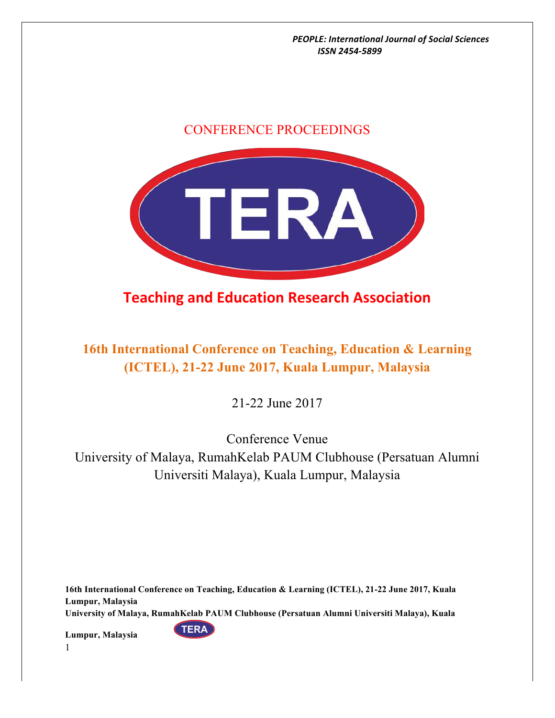## CONFERENCE PROCEEDINGS



**Teaching and Education Research Association** 

## **16th International Conference on Teaching, Education & Learning (ICTEL), 21-22 June 2017, Kuala Lumpur, Malaysia**

21-22 June 2017

Conference Venue

University of Malaya, RumahKelab PAUM Clubhouse (Persatuan Alumni Universiti Malaya), Kuala Lumpur, Malaysia

**16th International Conference on Teaching, Education & Learning (ICTEL), 21-22 June 2017, Kuala Lumpur, Malaysia University of Malaya, RumahKelab PAUM Clubhouse (Persatuan Alumni Universiti Malaya), Kuala** 

**TERA**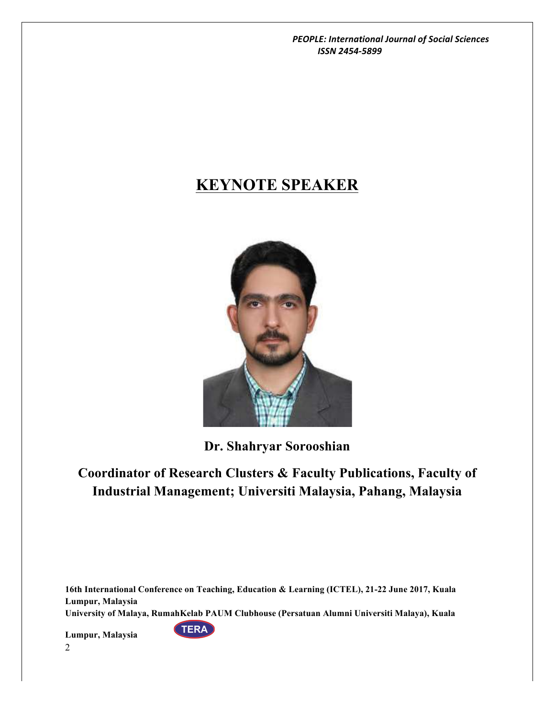# **KEYNOTE SPEAKER**



**Dr. Shahryar Sorooshian**

# **Coordinator of Research Clusters & Faculty Publications, Faculty of Industrial Management; Universiti Malaysia, Pahang, Malaysia**

**16th International Conference on Teaching, Education & Learning (ICTEL), 21-22 June 2017, Kuala Lumpur, Malaysia University of Malaya, RumahKelab PAUM Clubhouse (Persatuan Alumni Universiti Malaya), Kuala** 

**TERA**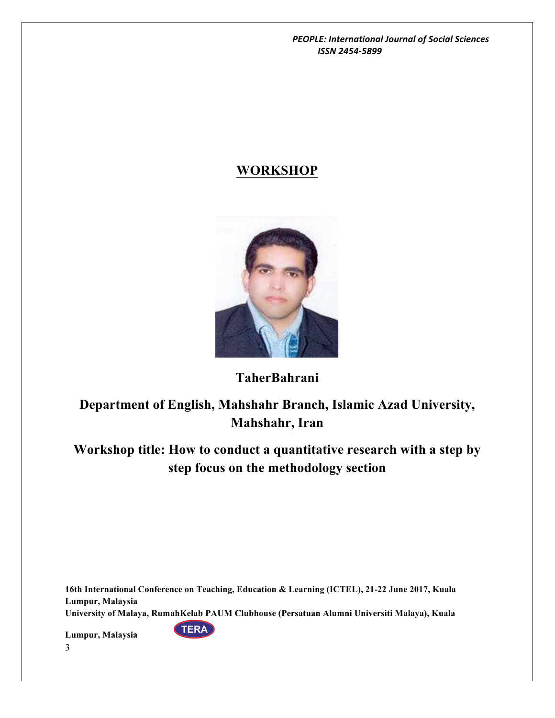## **WORKSHOP**



## **TaherBahrani**

**Department of English, Mahshahr Branch, Islamic Azad University, Mahshahr, Iran**

**Workshop title: How to conduct a quantitative research with a step by step focus on the methodology section**

**16th International Conference on Teaching, Education & Learning (ICTEL), 21-22 June 2017, Kuala Lumpur, Malaysia University of Malaya, RumahKelab PAUM Clubhouse (Persatuan Alumni Universiti Malaya), Kuala** 

**TERA**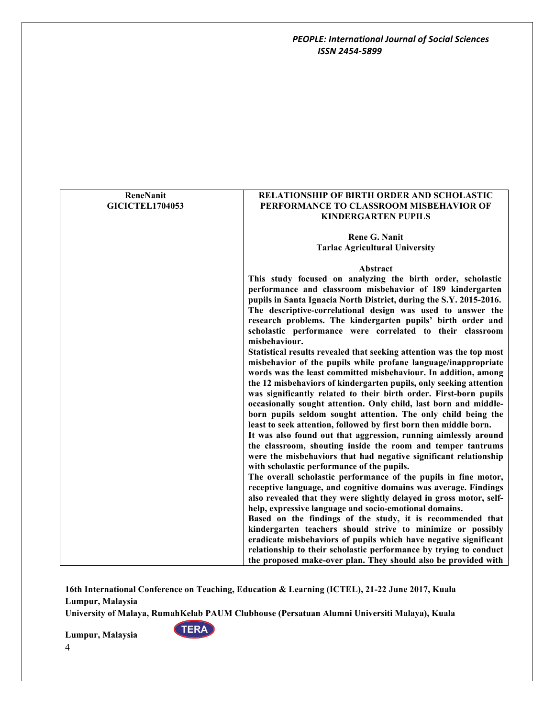| ReneNanit              | <b>RELATIONSHIP OF BIRTH ORDER AND SCHOLASTIC</b>                    |
|------------------------|----------------------------------------------------------------------|
| <b>GICICTEL1704053</b> | PERFORMANCE TO CLASSROOM MISBEHAVIOR OF                              |
|                        | <b>KINDERGARTEN PUPILS</b>                                           |
|                        |                                                                      |
|                        | <b>Rene G. Nanit</b>                                                 |
|                        | <b>Tarlac Agricultural University</b>                                |
|                        |                                                                      |
|                        | Abstract                                                             |
|                        | This study focused on analyzing the birth order, scholastic          |
|                        | performance and classroom misbehavior of 189 kindergarten            |
|                        | pupils in Santa Ignacia North District, during the S.Y. 2015-2016.   |
|                        | The descriptive-correlational design was used to answer the          |
|                        | research problems. The kindergarten pupils' birth order and          |
|                        | scholastic performance were correlated to their classroom            |
|                        | misbehaviour.                                                        |
|                        | Statistical results revealed that seeking attention was the top most |
|                        | misbehavior of the pupils while profane language/inappropriate       |
|                        | words was the least committed misbehaviour. In addition, among       |
|                        | the 12 misbehaviors of kindergarten pupils, only seeking attention   |
|                        | was significantly related to their birth order. First-born pupils    |
|                        | occasionally sought attention. Only child, last born and middle-     |
|                        | born pupils seldom sought attention. The only child being the        |
|                        | least to seek attention, followed by first born then middle born.    |
|                        | It was also found out that aggression, running aimlessly around      |
|                        | the classroom, shouting inside the room and temper tantrums          |
|                        | were the misbehaviors that had negative significant relationship     |
|                        | with scholastic performance of the pupils.                           |
|                        | The overall scholastic performance of the pupils in fine motor,      |
|                        | receptive language, and cognitive domains was average. Findings      |
|                        | also revealed that they were slightly delayed in gross motor, self-  |
|                        | help, expressive language and socio-emotional domains.               |
|                        | Based on the findings of the study, it is recommended that           |
|                        | kindergarten teachers should strive to minimize or possibly          |
|                        | eradicate misbehaviors of pupils which have negative significant     |
|                        | relationship to their scholastic performance by trying to conduct    |
|                        | the proposed make-over plan. They should also be provided with       |

**University of Malaya, RumahKelab PAUM Clubhouse (Persatuan Alumni Universiti Malaya), Kuala** 

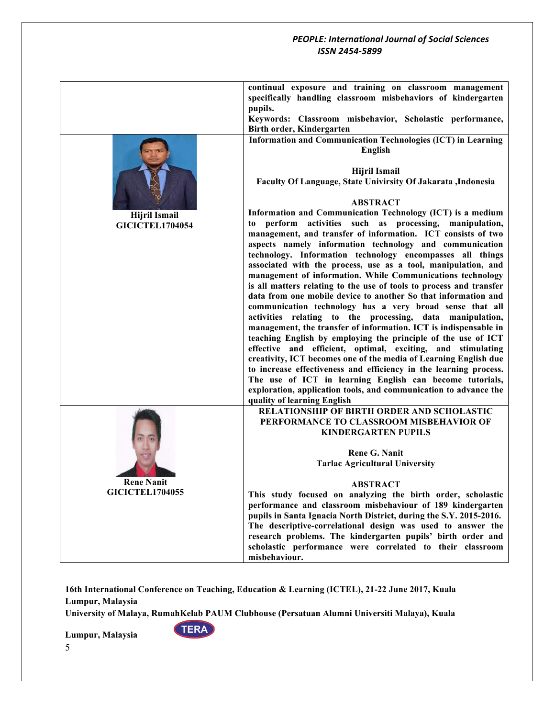|                        | continual exposure and training on classroom management                                                                           |
|------------------------|-----------------------------------------------------------------------------------------------------------------------------------|
|                        | specifically handling classroom misbehaviors of kindergarten                                                                      |
|                        | pupils.                                                                                                                           |
|                        | Keywords: Classroom misbehavior, Scholastic performance,                                                                          |
|                        | Birth order, Kindergarten                                                                                                         |
|                        | Information and Communication Technologies (ICT) in Learning                                                                      |
|                        | <b>English</b>                                                                                                                    |
|                        |                                                                                                                                   |
|                        | <b>Hijril Ismail</b>                                                                                                              |
|                        | Faculty Of Language, State Univirsity Of Jakarata , Indonesia                                                                     |
|                        |                                                                                                                                   |
|                        | <b>ABSTRACT</b>                                                                                                                   |
| <b>Hijril Ismail</b>   | Information and Communication Technology (ICT) is a medium                                                                        |
| <b>GICICTEL1704054</b> | to perform activities such as processing, manipulation,                                                                           |
|                        | management, and transfer of information. ICT consists of two                                                                      |
|                        | aspects namely information technology and communication                                                                           |
|                        | technology. Information technology encompasses all things                                                                         |
|                        | associated with the process, use as a tool, manipulation, and                                                                     |
|                        | management of information. While Communications technology                                                                        |
|                        | is all matters relating to the use of tools to process and transfer                                                               |
|                        | data from one mobile device to another So that information and                                                                    |
|                        | communication technology has a very broad sense that all                                                                          |
|                        | activities relating to the processing, data manipulation,                                                                         |
|                        | management, the transfer of information. ICT is indispensable in                                                                  |
|                        | teaching English by employing the principle of the use of ICT                                                                     |
|                        | effective and efficient, optimal, exciting, and stimulating                                                                       |
|                        | creativity, ICT becomes one of the media of Learning English due                                                                  |
|                        | to increase effectiveness and efficiency in the learning process.                                                                 |
|                        | The use of ICT in learning English can become tutorials,                                                                          |
|                        | exploration, application tools, and communication to advance the                                                                  |
|                        | quality of learning English                                                                                                       |
|                        | <b>RELATIONSHIP OF BIRTH ORDER AND SCHOLASTIC</b>                                                                                 |
|                        | PERFORMANCE TO CLASSROOM MISBEHAVIOR OF                                                                                           |
|                        | <b>KINDERGARTEN PUPILS</b>                                                                                                        |
|                        |                                                                                                                                   |
|                        | <b>Rene G. Nanit</b>                                                                                                              |
|                        | <b>Tarlac Agricultural University</b>                                                                                             |
| <b>Rene Nanit</b>      |                                                                                                                                   |
| <b>GICICTEL1704055</b> | <b>ABSTRACT</b>                                                                                                                   |
|                        | This study focused on analyzing the birth order, scholastic<br>performance and classroom misbehaviour of 189 kindergarten         |
|                        |                                                                                                                                   |
|                        | pupils in Santa Ignacia North District, during the S.Y. 2015-2016.<br>The descriptive-correlational design was used to answer the |
|                        |                                                                                                                                   |
|                        | research problems. The kindergarten pupils' birth order and<br>scholastic performance were correlated to their classroom          |
|                        | misbehaviour.                                                                                                                     |
|                        |                                                                                                                                   |

**16th International Conference on Teaching, Education & Learning (ICTEL), 21-22 June 2017, Kuala Lumpur, Malaysia**

**University of Malaya, RumahKelab PAUM Clubhouse (Persatuan Alumni Universiti Malaya), Kuala** 

**Lumpur, Malaysia** 



5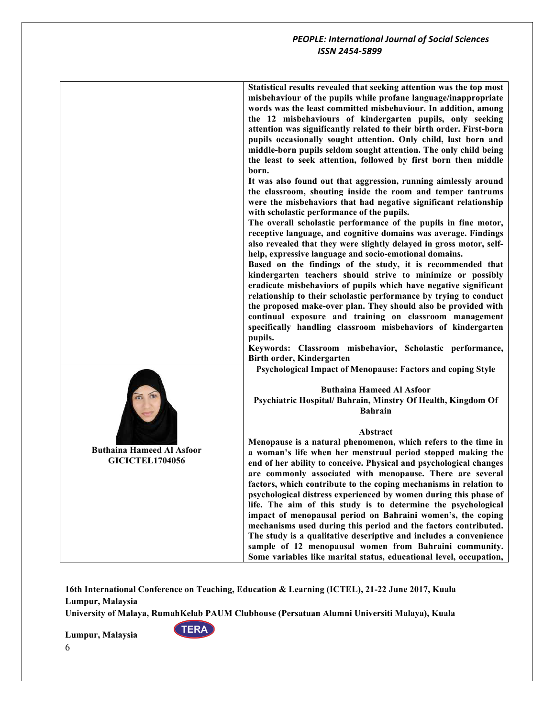|                                                            | Statistical results revealed that seeking attention was the top most<br>misbehaviour of the pupils while profane language/inappropriate<br>words was the least committed misbehaviour. In addition, among<br>the 12 misbehaviours of kindergarten pupils, only seeking<br>attention was significantly related to their birth order. First-born<br>pupils occasionally sought attention. Only child, last born and<br>middle-born pupils seldom sought attention. The only child being<br>the least to seek attention, followed by first born then middle<br>born.                                                                                                                                                                                                                                                             |
|------------------------------------------------------------|-------------------------------------------------------------------------------------------------------------------------------------------------------------------------------------------------------------------------------------------------------------------------------------------------------------------------------------------------------------------------------------------------------------------------------------------------------------------------------------------------------------------------------------------------------------------------------------------------------------------------------------------------------------------------------------------------------------------------------------------------------------------------------------------------------------------------------|
|                                                            | It was also found out that aggression, running aimlessly around<br>the classroom, shouting inside the room and temper tantrums<br>were the misbehaviors that had negative significant relationship<br>with scholastic performance of the pupils.<br>The overall scholastic performance of the pupils in fine motor,<br>receptive language, and cognitive domains was average. Findings                                                                                                                                                                                                                                                                                                                                                                                                                                        |
|                                                            | also revealed that they were slightly delayed in gross motor, self-<br>help, expressive language and socio-emotional domains.<br>Based on the findings of the study, it is recommended that<br>kindergarten teachers should strive to minimize or possibly<br>eradicate misbehaviors of pupils which have negative significant<br>relationship to their scholastic performance by trying to conduct<br>the proposed make-over plan. They should also be provided with<br>continual exposure and training on classroom management<br>specifically handling classroom misbehaviors of kindergarten<br>pupils.                                                                                                                                                                                                                   |
|                                                            | Keywords: Classroom misbehavior, Scholastic performance,<br>Birth order, Kindergarten                                                                                                                                                                                                                                                                                                                                                                                                                                                                                                                                                                                                                                                                                                                                         |
|                                                            | Psychological Impact of Menopause: Factors and coping Style<br><b>Buthaina Hameed Al Asfoor</b><br>Psychiatric Hospital/Bahrain, Minstry Of Health, Kingdom Of<br><b>Bahrain</b>                                                                                                                                                                                                                                                                                                                                                                                                                                                                                                                                                                                                                                              |
| <b>Buthaina Hameed Al Asfoor</b><br><b>GICICTEL1704056</b> | Abstract<br>Menopause is a natural phenomenon, which refers to the time in<br>a woman's life when her menstrual period stopped making the<br>end of her ability to conceive. Physical and psychological changes<br>are commonly associated with menopause. There are several<br>factors, which contribute to the coping mechanisms in relation to<br>psychological distress experienced by women during this phase of<br>life. The aim of this study is to determine the psychological<br>impact of menopausal period on Bahraini women's, the coping<br>mechanisms used during this period and the factors contributed.<br>The study is a qualitative descriptive and includes a convenience<br>sample of 12 menopausal women from Bahraini community.<br>Some variables like marital status, educational level, occupation, |

**University of Malaya, RumahKelab PAUM Clubhouse (Persatuan Alumni Universiti Malaya), Kuala** 

**TERA**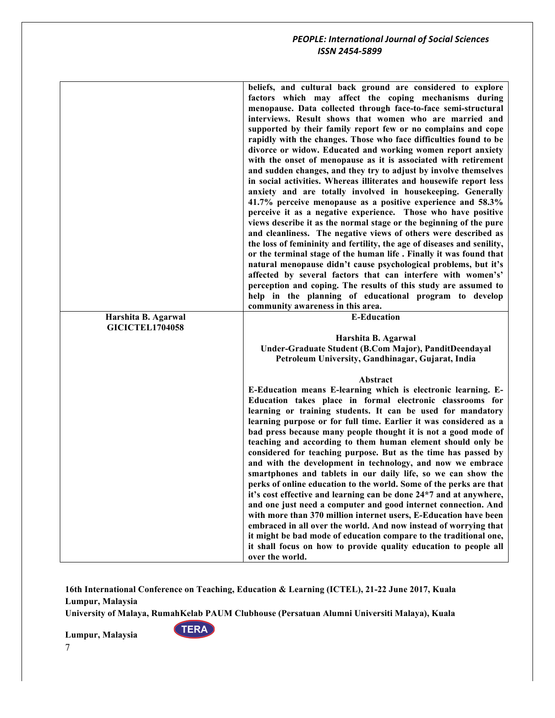|                        | beliefs, and cultural back ground are considered to explore<br>factors which may affect the coping mechanisms during<br>menopause. Data collected through face-to-face semi-structural<br>interviews. Result shows that women who are married and<br>supported by their family report few or no complains and cope<br>rapidly with the changes. Those who face difficulties found to be<br>divorce or widow. Educated and working women report anxiety<br>with the onset of menopause as it is associated with retirement<br>and sudden changes, and they try to adjust by involve themselves<br>in social activities. Whereas illiterates and housewife report less<br>anxiety and are totally involved in housekeeping. Generally<br>41.7% perceive menopause as a positive experience and 58.3%<br>perceive it as a negative experience. Those who have positive<br>views describe it as the normal stage or the beginning of the pure<br>and cleanliness. The negative views of others were described as<br>the loss of femininity and fertility, the age of diseases and senility,<br>or the terminal stage of the human life. Finally it was found that<br>natural menopause didn't cause psychological problems, but it's<br>affected by several factors that can interfere with women's'<br>perception and coping. The results of this study are assumed to<br>help in the planning of educational program to develop<br>community awareness in this area. |
|------------------------|--------------------------------------------------------------------------------------------------------------------------------------------------------------------------------------------------------------------------------------------------------------------------------------------------------------------------------------------------------------------------------------------------------------------------------------------------------------------------------------------------------------------------------------------------------------------------------------------------------------------------------------------------------------------------------------------------------------------------------------------------------------------------------------------------------------------------------------------------------------------------------------------------------------------------------------------------------------------------------------------------------------------------------------------------------------------------------------------------------------------------------------------------------------------------------------------------------------------------------------------------------------------------------------------------------------------------------------------------------------------------------------------------------------------------------------------------------------------|
| Harshita B. Agarwal    | <b>E-Education</b>                                                                                                                                                                                                                                                                                                                                                                                                                                                                                                                                                                                                                                                                                                                                                                                                                                                                                                                                                                                                                                                                                                                                                                                                                                                                                                                                                                                                                                                 |
| <b>GICICTEL1704058</b> | Harshita B. Agarwal                                                                                                                                                                                                                                                                                                                                                                                                                                                                                                                                                                                                                                                                                                                                                                                                                                                                                                                                                                                                                                                                                                                                                                                                                                                                                                                                                                                                                                                |
|                        | Under-Graduate Student (B.Com Major), PanditDeendayal                                                                                                                                                                                                                                                                                                                                                                                                                                                                                                                                                                                                                                                                                                                                                                                                                                                                                                                                                                                                                                                                                                                                                                                                                                                                                                                                                                                                              |
|                        | Petroleum University, Gandhinagar, Gujarat, India                                                                                                                                                                                                                                                                                                                                                                                                                                                                                                                                                                                                                                                                                                                                                                                                                                                                                                                                                                                                                                                                                                                                                                                                                                                                                                                                                                                                                  |
|                        | Abstract                                                                                                                                                                                                                                                                                                                                                                                                                                                                                                                                                                                                                                                                                                                                                                                                                                                                                                                                                                                                                                                                                                                                                                                                                                                                                                                                                                                                                                                           |
|                        | E-Education means E-learning which is electronic learning. E-                                                                                                                                                                                                                                                                                                                                                                                                                                                                                                                                                                                                                                                                                                                                                                                                                                                                                                                                                                                                                                                                                                                                                                                                                                                                                                                                                                                                      |
|                        |                                                                                                                                                                                                                                                                                                                                                                                                                                                                                                                                                                                                                                                                                                                                                                                                                                                                                                                                                                                                                                                                                                                                                                                                                                                                                                                                                                                                                                                                    |
|                        | Education takes place in formal electronic classrooms for                                                                                                                                                                                                                                                                                                                                                                                                                                                                                                                                                                                                                                                                                                                                                                                                                                                                                                                                                                                                                                                                                                                                                                                                                                                                                                                                                                                                          |
|                        | learning or training students. It can be used for mandatory                                                                                                                                                                                                                                                                                                                                                                                                                                                                                                                                                                                                                                                                                                                                                                                                                                                                                                                                                                                                                                                                                                                                                                                                                                                                                                                                                                                                        |
|                        | learning purpose or for full time. Earlier it was considered as a                                                                                                                                                                                                                                                                                                                                                                                                                                                                                                                                                                                                                                                                                                                                                                                                                                                                                                                                                                                                                                                                                                                                                                                                                                                                                                                                                                                                  |
|                        | bad press because many people thought it is not a good mode of<br>teaching and according to them human element should only be                                                                                                                                                                                                                                                                                                                                                                                                                                                                                                                                                                                                                                                                                                                                                                                                                                                                                                                                                                                                                                                                                                                                                                                                                                                                                                                                      |
|                        | considered for teaching purpose. But as the time has passed by<br>and with the development in technology, and now we embrace                                                                                                                                                                                                                                                                                                                                                                                                                                                                                                                                                                                                                                                                                                                                                                                                                                                                                                                                                                                                                                                                                                                                                                                                                                                                                                                                       |
|                        | smartphones and tablets in our daily life, so we can show the<br>perks of online education to the world. Some of the perks are that                                                                                                                                                                                                                                                                                                                                                                                                                                                                                                                                                                                                                                                                                                                                                                                                                                                                                                                                                                                                                                                                                                                                                                                                                                                                                                                                |
|                        | it's cost effective and learning can be done 24*7 and at anywhere,                                                                                                                                                                                                                                                                                                                                                                                                                                                                                                                                                                                                                                                                                                                                                                                                                                                                                                                                                                                                                                                                                                                                                                                                                                                                                                                                                                                                 |
|                        | and one just need a computer and good internet connection. And<br>with more than 370 million internet users, E-Education have been                                                                                                                                                                                                                                                                                                                                                                                                                                                                                                                                                                                                                                                                                                                                                                                                                                                                                                                                                                                                                                                                                                                                                                                                                                                                                                                                 |
|                        | embraced in all over the world. And now instead of worrying that                                                                                                                                                                                                                                                                                                                                                                                                                                                                                                                                                                                                                                                                                                                                                                                                                                                                                                                                                                                                                                                                                                                                                                                                                                                                                                                                                                                                   |
|                        | it might be bad mode of education compare to the traditional one,<br>it shall focus on how to provide quality education to people all                                                                                                                                                                                                                                                                                                                                                                                                                                                                                                                                                                                                                                                                                                                                                                                                                                                                                                                                                                                                                                                                                                                                                                                                                                                                                                                              |

**16th International Conference on Teaching, Education & Learning (ICTEL), 21-22 June 2017, Kuala Lumpur, Malaysia**

**University of Malaya, RumahKelab PAUM Clubhouse (Persatuan Alumni Universiti Malaya), Kuala** 

**TERA**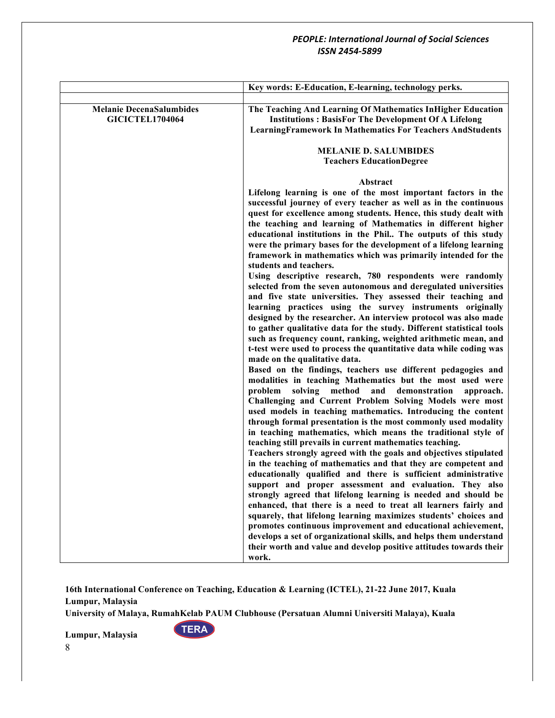|                                                           | Key words: E-Education, E-learning, technology perks.                                                                                                                                                                                                                                                                                                                                                                                                                                                                                                                                                                                                                                                                                                                                                                                                                                                                                                                                                                                                                                                                                                                                                                                                                                                                                                                                                                                                                                                                                                                                                                                                                                        |
|-----------------------------------------------------------|----------------------------------------------------------------------------------------------------------------------------------------------------------------------------------------------------------------------------------------------------------------------------------------------------------------------------------------------------------------------------------------------------------------------------------------------------------------------------------------------------------------------------------------------------------------------------------------------------------------------------------------------------------------------------------------------------------------------------------------------------------------------------------------------------------------------------------------------------------------------------------------------------------------------------------------------------------------------------------------------------------------------------------------------------------------------------------------------------------------------------------------------------------------------------------------------------------------------------------------------------------------------------------------------------------------------------------------------------------------------------------------------------------------------------------------------------------------------------------------------------------------------------------------------------------------------------------------------------------------------------------------------------------------------------------------------|
|                                                           |                                                                                                                                                                                                                                                                                                                                                                                                                                                                                                                                                                                                                                                                                                                                                                                                                                                                                                                                                                                                                                                                                                                                                                                                                                                                                                                                                                                                                                                                                                                                                                                                                                                                                              |
| <b>Melanie DecenaSalumbides</b><br><b>GICICTEL1704064</b> | The Teaching And Learning Of Mathematics InHigher Education<br><b>Institutions: BasisFor The Development Of A Lifelong</b><br><b>LearningFramework In Mathematics For Teachers AndStudents</b>                                                                                                                                                                                                                                                                                                                                                                                                                                                                                                                                                                                                                                                                                                                                                                                                                                                                                                                                                                                                                                                                                                                                                                                                                                                                                                                                                                                                                                                                                               |
|                                                           | <b>MELANIE D. SALUMBIDES</b>                                                                                                                                                                                                                                                                                                                                                                                                                                                                                                                                                                                                                                                                                                                                                                                                                                                                                                                                                                                                                                                                                                                                                                                                                                                                                                                                                                                                                                                                                                                                                                                                                                                                 |
|                                                           | <b>Teachers EducationDegree</b>                                                                                                                                                                                                                                                                                                                                                                                                                                                                                                                                                                                                                                                                                                                                                                                                                                                                                                                                                                                                                                                                                                                                                                                                                                                                                                                                                                                                                                                                                                                                                                                                                                                              |
|                                                           | Abstract                                                                                                                                                                                                                                                                                                                                                                                                                                                                                                                                                                                                                                                                                                                                                                                                                                                                                                                                                                                                                                                                                                                                                                                                                                                                                                                                                                                                                                                                                                                                                                                                                                                                                     |
|                                                           | Lifelong learning is one of the most important factors in the<br>successful journey of every teacher as well as in the continuous<br>quest for excellence among students. Hence, this study dealt with<br>the teaching and learning of Mathematics in different higher<br>educational institutions in the Phil The outputs of this study<br>were the primary bases for the development of a lifelong learning<br>framework in mathematics which was primarily intended for the<br>students and teachers.<br>Using descriptive research, 780 respondents were randomly<br>selected from the seven autonomous and deregulated universities<br>and five state universities. They assessed their teaching and<br>learning practices using the survey instruments originally<br>designed by the researcher. An interview protocol was also made<br>to gather qualitative data for the study. Different statistical tools<br>such as frequency count, ranking, weighted arithmetic mean, and<br>t-test were used to process the quantitative data while coding was<br>made on the qualitative data.<br>Based on the findings, teachers use different pedagogies and<br>modalities in teaching Mathematics but the most used were<br>solving method<br>and<br>demonstration<br>problem<br>approach.<br>Challenging and Current Problem Solving Models were most<br>used models in teaching mathematics. Introducing the content<br>through formal presentation is the most commonly used modality<br>in teaching mathematics, which means the traditional style of<br>teaching still prevails in current mathematics teaching.<br>Teachers strongly agreed with the goals and objectives stipulated |
|                                                           | in the teaching of mathematics and that they are competent and<br>educationally qualified and there is sufficient administrative<br>support and proper assessment and evaluation. They also<br>strongly agreed that lifelong learning is needed and should be<br>enhanced, that there is a need to treat all learners fairly and<br>squarely, that lifelong learning maximizes students' choices and<br>promotes continuous improvement and educational achievement,                                                                                                                                                                                                                                                                                                                                                                                                                                                                                                                                                                                                                                                                                                                                                                                                                                                                                                                                                                                                                                                                                                                                                                                                                         |
|                                                           | develops a set of organizational skills, and helps them understand<br>their worth and value and develop positive attitudes towards their<br>work.                                                                                                                                                                                                                                                                                                                                                                                                                                                                                                                                                                                                                                                                                                                                                                                                                                                                                                                                                                                                                                                                                                                                                                                                                                                                                                                                                                                                                                                                                                                                            |

**16th International Conference on Teaching, Education & Learning (ICTEL), 21-22 June 2017, Kuala Lumpur, Malaysia**

**University of Malaya, RumahKelab PAUM Clubhouse (Persatuan Alumni Universiti Malaya), Kuala** 

**TERA**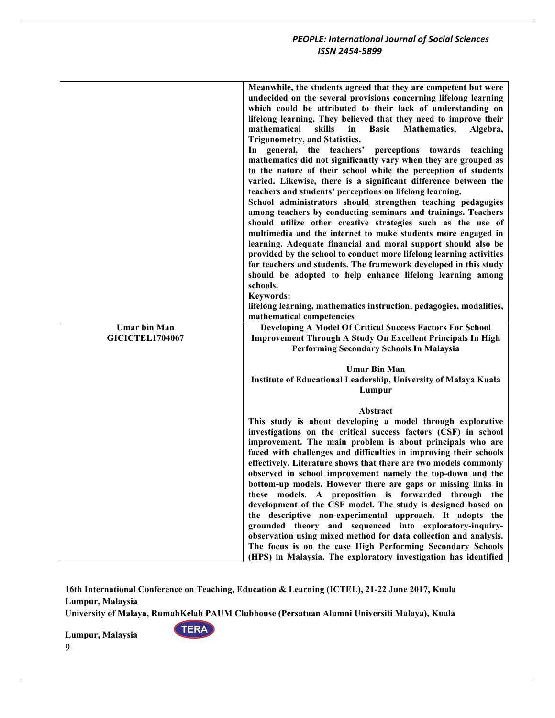|                        | Meanwhile, the students agreed that they are competent but were<br>undecided on the several provisions concerning lifelong learning<br>which could be attributed to their lack of understanding on<br>lifelong learning. They believed that they need to improve their<br>mathematical<br>skills<br><b>Basic</b><br>in<br><b>Mathematics,</b><br>Algebra,<br>Trigonometry, and Statistics.<br>In general, the teachers'<br>perceptions<br>towards<br>teaching<br>mathematics did not significantly vary when they are grouped as<br>to the nature of their school while the perception of students<br>varied. Likewise, there is a significant difference between the<br>teachers and students' perceptions on lifelong learning.<br>School administrators should strengthen teaching pedagogies<br>among teachers by conducting seminars and trainings. Teachers<br>should utilize other creative strategies such as the use of<br>multimedia and the internet to make students more engaged in<br>learning. Adequate financial and moral support should also be<br>provided by the school to conduct more lifelong learning activities<br>for teachers and students. The framework developed in this study<br>should be adopted to help enhance lifelong learning among<br>schools.<br><b>Keywords:</b><br>lifelong learning, mathematics instruction, pedagogies, modalities, |
|------------------------|----------------------------------------------------------------------------------------------------------------------------------------------------------------------------------------------------------------------------------------------------------------------------------------------------------------------------------------------------------------------------------------------------------------------------------------------------------------------------------------------------------------------------------------------------------------------------------------------------------------------------------------------------------------------------------------------------------------------------------------------------------------------------------------------------------------------------------------------------------------------------------------------------------------------------------------------------------------------------------------------------------------------------------------------------------------------------------------------------------------------------------------------------------------------------------------------------------------------------------------------------------------------------------------------------------------------------------------------------------------------------------|
|                        | mathematical competencies                                                                                                                                                                                                                                                                                                                                                                                                                                                                                                                                                                                                                                                                                                                                                                                                                                                                                                                                                                                                                                                                                                                                                                                                                                                                                                                                                        |
| <b>Umar bin Man</b>    | <b>Developing A Model Of Critical Success Factors For School</b>                                                                                                                                                                                                                                                                                                                                                                                                                                                                                                                                                                                                                                                                                                                                                                                                                                                                                                                                                                                                                                                                                                                                                                                                                                                                                                                 |
| <b>GICICTEL1704067</b> | <b>Improvement Through A Study On Excellent Principals In High</b><br><b>Performing Secondary Schools In Malaysia</b>                                                                                                                                                                                                                                                                                                                                                                                                                                                                                                                                                                                                                                                                                                                                                                                                                                                                                                                                                                                                                                                                                                                                                                                                                                                            |
|                        |                                                                                                                                                                                                                                                                                                                                                                                                                                                                                                                                                                                                                                                                                                                                                                                                                                                                                                                                                                                                                                                                                                                                                                                                                                                                                                                                                                                  |
|                        | <b>Umar Bin Man</b>                                                                                                                                                                                                                                                                                                                                                                                                                                                                                                                                                                                                                                                                                                                                                                                                                                                                                                                                                                                                                                                                                                                                                                                                                                                                                                                                                              |
|                        | Institute of Educational Leadership, University of Malaya Kuala<br>Lumpur                                                                                                                                                                                                                                                                                                                                                                                                                                                                                                                                                                                                                                                                                                                                                                                                                                                                                                                                                                                                                                                                                                                                                                                                                                                                                                        |
|                        |                                                                                                                                                                                                                                                                                                                                                                                                                                                                                                                                                                                                                                                                                                                                                                                                                                                                                                                                                                                                                                                                                                                                                                                                                                                                                                                                                                                  |
|                        | Abstract                                                                                                                                                                                                                                                                                                                                                                                                                                                                                                                                                                                                                                                                                                                                                                                                                                                                                                                                                                                                                                                                                                                                                                                                                                                                                                                                                                         |
|                        | This study is about developing a model through explorative                                                                                                                                                                                                                                                                                                                                                                                                                                                                                                                                                                                                                                                                                                                                                                                                                                                                                                                                                                                                                                                                                                                                                                                                                                                                                                                       |
|                        | investigations on the critical success factors (CSF) in school                                                                                                                                                                                                                                                                                                                                                                                                                                                                                                                                                                                                                                                                                                                                                                                                                                                                                                                                                                                                                                                                                                                                                                                                                                                                                                                   |
|                        | improvement. The main problem is about principals who are                                                                                                                                                                                                                                                                                                                                                                                                                                                                                                                                                                                                                                                                                                                                                                                                                                                                                                                                                                                                                                                                                                                                                                                                                                                                                                                        |
|                        | faced with challenges and difficulties in improving their schools                                                                                                                                                                                                                                                                                                                                                                                                                                                                                                                                                                                                                                                                                                                                                                                                                                                                                                                                                                                                                                                                                                                                                                                                                                                                                                                |
|                        | effectively. Literature shows that there are two models commonly                                                                                                                                                                                                                                                                                                                                                                                                                                                                                                                                                                                                                                                                                                                                                                                                                                                                                                                                                                                                                                                                                                                                                                                                                                                                                                                 |
|                        | observed in school improvement namely the top-down and the<br>bottom-up models. However there are gaps or missing links in                                                                                                                                                                                                                                                                                                                                                                                                                                                                                                                                                                                                                                                                                                                                                                                                                                                                                                                                                                                                                                                                                                                                                                                                                                                       |
|                        | these models. A proposition is forwarded through the                                                                                                                                                                                                                                                                                                                                                                                                                                                                                                                                                                                                                                                                                                                                                                                                                                                                                                                                                                                                                                                                                                                                                                                                                                                                                                                             |
|                        | development of the CSF model. The study is designed based on                                                                                                                                                                                                                                                                                                                                                                                                                                                                                                                                                                                                                                                                                                                                                                                                                                                                                                                                                                                                                                                                                                                                                                                                                                                                                                                     |
|                        | the descriptive non-experimental approach. It adopts the                                                                                                                                                                                                                                                                                                                                                                                                                                                                                                                                                                                                                                                                                                                                                                                                                                                                                                                                                                                                                                                                                                                                                                                                                                                                                                                         |
|                        | grounded theory and sequenced into exploratory-inquiry-                                                                                                                                                                                                                                                                                                                                                                                                                                                                                                                                                                                                                                                                                                                                                                                                                                                                                                                                                                                                                                                                                                                                                                                                                                                                                                                          |
|                        | observation using mixed method for data collection and analysis.                                                                                                                                                                                                                                                                                                                                                                                                                                                                                                                                                                                                                                                                                                                                                                                                                                                                                                                                                                                                                                                                                                                                                                                                                                                                                                                 |
|                        | The focus is on the case High Performing Secondary Schools                                                                                                                                                                                                                                                                                                                                                                                                                                                                                                                                                                                                                                                                                                                                                                                                                                                                                                                                                                                                                                                                                                                                                                                                                                                                                                                       |
|                        | (HPS) in Malaysia. The exploratory investigation has identified                                                                                                                                                                                                                                                                                                                                                                                                                                                                                                                                                                                                                                                                                                                                                                                                                                                                                                                                                                                                                                                                                                                                                                                                                                                                                                                  |

**University of Malaya, RumahKelab PAUM Clubhouse (Persatuan Alumni Universiti Malaya), Kuala** 

**TERA**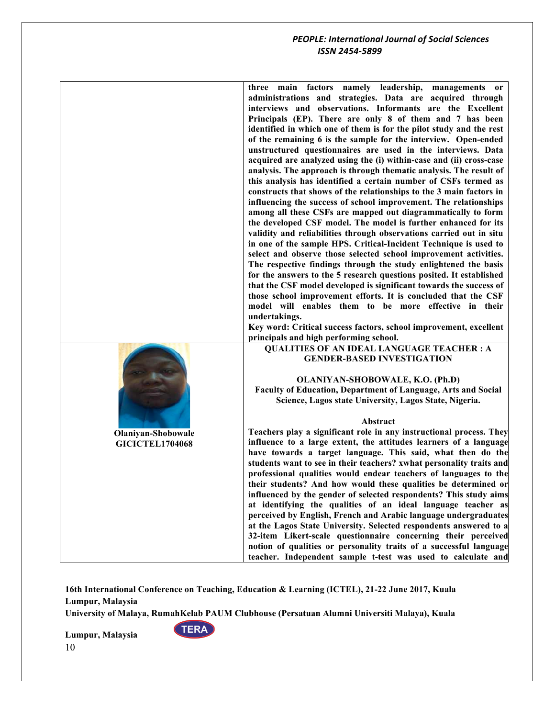| three main factors namely leadership, managements or<br>administrations and strategies. Data are acquired through<br>interviews and observations. Informants are the Excellent<br>Principals (EP). There are only 8 of them and 7 has been<br>identified in which one of them is for the pilot study and the rest<br>of the remaining 6 is the sample for the interview. Open-ended<br>unstructured questionnaires are used in the interviews. Data<br>acquired are analyzed using the (i) within-case and (ii) cross-case<br>analysis. The approach is through thematic analysis. The result of<br>this analysis has identified a certain number of CSFs termed as<br>constructs that shows of the relationships to the 3 main factors in<br>influencing the success of school improvement. The relationships<br>among all these CSFs are mapped out diagrammatically to form<br>the developed CSF model. The model is further enhanced for its<br>validity and reliabilities through observations carried out in situ<br>in one of the sample HPS. Critical-Incident Technique is used to<br>select and observe those selected school improvement activities.<br>The respective findings through the study enlightened the basis<br>for the answers to the 5 research questions posited. It established<br>that the CSF model developed is significant towards the success of<br>those school improvement efforts. It is concluded that the CSF<br>model will enables them to be more effective in their<br>undertakings.<br>Key word: Critical success factors, school improvement, excellent |
|--------------------------------------------------------------------------------------------------------------------------------------------------------------------------------------------------------------------------------------------------------------------------------------------------------------------------------------------------------------------------------------------------------------------------------------------------------------------------------------------------------------------------------------------------------------------------------------------------------------------------------------------------------------------------------------------------------------------------------------------------------------------------------------------------------------------------------------------------------------------------------------------------------------------------------------------------------------------------------------------------------------------------------------------------------------------------------------------------------------------------------------------------------------------------------------------------------------------------------------------------------------------------------------------------------------------------------------------------------------------------------------------------------------------------------------------------------------------------------------------------------------------------------------------------------------------------------------------------|
|                                                                                                                                                                                                                                                                                                                                                                                                                                                                                                                                                                                                                                                                                                                                                                                                                                                                                                                                                                                                                                                                                                                                                                                                                                                                                                                                                                                                                                                                                                                                                                                                  |
|                                                                                                                                                                                                                                                                                                                                                                                                                                                                                                                                                                                                                                                                                                                                                                                                                                                                                                                                                                                                                                                                                                                                                                                                                                                                                                                                                                                                                                                                                                                                                                                                  |
|                                                                                                                                                                                                                                                                                                                                                                                                                                                                                                                                                                                                                                                                                                                                                                                                                                                                                                                                                                                                                                                                                                                                                                                                                                                                                                                                                                                                                                                                                                                                                                                                  |
|                                                                                                                                                                                                                                                                                                                                                                                                                                                                                                                                                                                                                                                                                                                                                                                                                                                                                                                                                                                                                                                                                                                                                                                                                                                                                                                                                                                                                                                                                                                                                                                                  |
|                                                                                                                                                                                                                                                                                                                                                                                                                                                                                                                                                                                                                                                                                                                                                                                                                                                                                                                                                                                                                                                                                                                                                                                                                                                                                                                                                                                                                                                                                                                                                                                                  |
|                                                                                                                                                                                                                                                                                                                                                                                                                                                                                                                                                                                                                                                                                                                                                                                                                                                                                                                                                                                                                                                                                                                                                                                                                                                                                                                                                                                                                                                                                                                                                                                                  |
|                                                                                                                                                                                                                                                                                                                                                                                                                                                                                                                                                                                                                                                                                                                                                                                                                                                                                                                                                                                                                                                                                                                                                                                                                                                                                                                                                                                                                                                                                                                                                                                                  |
|                                                                                                                                                                                                                                                                                                                                                                                                                                                                                                                                                                                                                                                                                                                                                                                                                                                                                                                                                                                                                                                                                                                                                                                                                                                                                                                                                                                                                                                                                                                                                                                                  |
|                                                                                                                                                                                                                                                                                                                                                                                                                                                                                                                                                                                                                                                                                                                                                                                                                                                                                                                                                                                                                                                                                                                                                                                                                                                                                                                                                                                                                                                                                                                                                                                                  |
|                                                                                                                                                                                                                                                                                                                                                                                                                                                                                                                                                                                                                                                                                                                                                                                                                                                                                                                                                                                                                                                                                                                                                                                                                                                                                                                                                                                                                                                                                                                                                                                                  |
|                                                                                                                                                                                                                                                                                                                                                                                                                                                                                                                                                                                                                                                                                                                                                                                                                                                                                                                                                                                                                                                                                                                                                                                                                                                                                                                                                                                                                                                                                                                                                                                                  |
|                                                                                                                                                                                                                                                                                                                                                                                                                                                                                                                                                                                                                                                                                                                                                                                                                                                                                                                                                                                                                                                                                                                                                                                                                                                                                                                                                                                                                                                                                                                                                                                                  |
|                                                                                                                                                                                                                                                                                                                                                                                                                                                                                                                                                                                                                                                                                                                                                                                                                                                                                                                                                                                                                                                                                                                                                                                                                                                                                                                                                                                                                                                                                                                                                                                                  |
|                                                                                                                                                                                                                                                                                                                                                                                                                                                                                                                                                                                                                                                                                                                                                                                                                                                                                                                                                                                                                                                                                                                                                                                                                                                                                                                                                                                                                                                                                                                                                                                                  |
|                                                                                                                                                                                                                                                                                                                                                                                                                                                                                                                                                                                                                                                                                                                                                                                                                                                                                                                                                                                                                                                                                                                                                                                                                                                                                                                                                                                                                                                                                                                                                                                                  |
|                                                                                                                                                                                                                                                                                                                                                                                                                                                                                                                                                                                                                                                                                                                                                                                                                                                                                                                                                                                                                                                                                                                                                                                                                                                                                                                                                                                                                                                                                                                                                                                                  |
|                                                                                                                                                                                                                                                                                                                                                                                                                                                                                                                                                                                                                                                                                                                                                                                                                                                                                                                                                                                                                                                                                                                                                                                                                                                                                                                                                                                                                                                                                                                                                                                                  |
|                                                                                                                                                                                                                                                                                                                                                                                                                                                                                                                                                                                                                                                                                                                                                                                                                                                                                                                                                                                                                                                                                                                                                                                                                                                                                                                                                                                                                                                                                                                                                                                                  |
|                                                                                                                                                                                                                                                                                                                                                                                                                                                                                                                                                                                                                                                                                                                                                                                                                                                                                                                                                                                                                                                                                                                                                                                                                                                                                                                                                                                                                                                                                                                                                                                                  |
|                                                                                                                                                                                                                                                                                                                                                                                                                                                                                                                                                                                                                                                                                                                                                                                                                                                                                                                                                                                                                                                                                                                                                                                                                                                                                                                                                                                                                                                                                                                                                                                                  |
|                                                                                                                                                                                                                                                                                                                                                                                                                                                                                                                                                                                                                                                                                                                                                                                                                                                                                                                                                                                                                                                                                                                                                                                                                                                                                                                                                                                                                                                                                                                                                                                                  |
|                                                                                                                                                                                                                                                                                                                                                                                                                                                                                                                                                                                                                                                                                                                                                                                                                                                                                                                                                                                                                                                                                                                                                                                                                                                                                                                                                                                                                                                                                                                                                                                                  |
|                                                                                                                                                                                                                                                                                                                                                                                                                                                                                                                                                                                                                                                                                                                                                                                                                                                                                                                                                                                                                                                                                                                                                                                                                                                                                                                                                                                                                                                                                                                                                                                                  |
|                                                                                                                                                                                                                                                                                                                                                                                                                                                                                                                                                                                                                                                                                                                                                                                                                                                                                                                                                                                                                                                                                                                                                                                                                                                                                                                                                                                                                                                                                                                                                                                                  |
| principals and high performing school.                                                                                                                                                                                                                                                                                                                                                                                                                                                                                                                                                                                                                                                                                                                                                                                                                                                                                                                                                                                                                                                                                                                                                                                                                                                                                                                                                                                                                                                                                                                                                           |
| <b>QUALITIES OF AN IDEAL LANGUAGE TEACHER : A</b>                                                                                                                                                                                                                                                                                                                                                                                                                                                                                                                                                                                                                                                                                                                                                                                                                                                                                                                                                                                                                                                                                                                                                                                                                                                                                                                                                                                                                                                                                                                                                |
| <b>GENDER-BASED INVESTIGATION</b>                                                                                                                                                                                                                                                                                                                                                                                                                                                                                                                                                                                                                                                                                                                                                                                                                                                                                                                                                                                                                                                                                                                                                                                                                                                                                                                                                                                                                                                                                                                                                                |
|                                                                                                                                                                                                                                                                                                                                                                                                                                                                                                                                                                                                                                                                                                                                                                                                                                                                                                                                                                                                                                                                                                                                                                                                                                                                                                                                                                                                                                                                                                                                                                                                  |
| OLANIYAN-SHOBOWALE, K.O. (Ph.D)                                                                                                                                                                                                                                                                                                                                                                                                                                                                                                                                                                                                                                                                                                                                                                                                                                                                                                                                                                                                                                                                                                                                                                                                                                                                                                                                                                                                                                                                                                                                                                  |
| Faculty of Education, Department of Language, Arts and Social                                                                                                                                                                                                                                                                                                                                                                                                                                                                                                                                                                                                                                                                                                                                                                                                                                                                                                                                                                                                                                                                                                                                                                                                                                                                                                                                                                                                                                                                                                                                    |
| Science, Lagos state University, Lagos State, Nigeria.                                                                                                                                                                                                                                                                                                                                                                                                                                                                                                                                                                                                                                                                                                                                                                                                                                                                                                                                                                                                                                                                                                                                                                                                                                                                                                                                                                                                                                                                                                                                           |
|                                                                                                                                                                                                                                                                                                                                                                                                                                                                                                                                                                                                                                                                                                                                                                                                                                                                                                                                                                                                                                                                                                                                                                                                                                                                                                                                                                                                                                                                                                                                                                                                  |
| Abstract                                                                                                                                                                                                                                                                                                                                                                                                                                                                                                                                                                                                                                                                                                                                                                                                                                                                                                                                                                                                                                                                                                                                                                                                                                                                                                                                                                                                                                                                                                                                                                                         |
| Teachers play a significant role in any instructional process. They<br><b>Olaniyan-Shobowale</b>                                                                                                                                                                                                                                                                                                                                                                                                                                                                                                                                                                                                                                                                                                                                                                                                                                                                                                                                                                                                                                                                                                                                                                                                                                                                                                                                                                                                                                                                                                 |
| influence to a large extent, the attitudes learners of a language<br><b>GICICTEL1704068</b>                                                                                                                                                                                                                                                                                                                                                                                                                                                                                                                                                                                                                                                                                                                                                                                                                                                                                                                                                                                                                                                                                                                                                                                                                                                                                                                                                                                                                                                                                                      |
| have towards a target language. This said, what then do the                                                                                                                                                                                                                                                                                                                                                                                                                                                                                                                                                                                                                                                                                                                                                                                                                                                                                                                                                                                                                                                                                                                                                                                                                                                                                                                                                                                                                                                                                                                                      |
| students want to see in their teachers? xwhat personality traits and                                                                                                                                                                                                                                                                                                                                                                                                                                                                                                                                                                                                                                                                                                                                                                                                                                                                                                                                                                                                                                                                                                                                                                                                                                                                                                                                                                                                                                                                                                                             |
| professional qualities would endear teachers of languages to the                                                                                                                                                                                                                                                                                                                                                                                                                                                                                                                                                                                                                                                                                                                                                                                                                                                                                                                                                                                                                                                                                                                                                                                                                                                                                                                                                                                                                                                                                                                                 |
| their students? And how would these qualities be determined or                                                                                                                                                                                                                                                                                                                                                                                                                                                                                                                                                                                                                                                                                                                                                                                                                                                                                                                                                                                                                                                                                                                                                                                                                                                                                                                                                                                                                                                                                                                                   |
| influenced by the gender of selected respondents? This study aims                                                                                                                                                                                                                                                                                                                                                                                                                                                                                                                                                                                                                                                                                                                                                                                                                                                                                                                                                                                                                                                                                                                                                                                                                                                                                                                                                                                                                                                                                                                                |
| at identifying the qualities of an ideal language teacher as                                                                                                                                                                                                                                                                                                                                                                                                                                                                                                                                                                                                                                                                                                                                                                                                                                                                                                                                                                                                                                                                                                                                                                                                                                                                                                                                                                                                                                                                                                                                     |
| perceived by English, French and Arabic language undergraduates                                                                                                                                                                                                                                                                                                                                                                                                                                                                                                                                                                                                                                                                                                                                                                                                                                                                                                                                                                                                                                                                                                                                                                                                                                                                                                                                                                                                                                                                                                                                  |
| at the Lagos State University. Selected respondents answered to a                                                                                                                                                                                                                                                                                                                                                                                                                                                                                                                                                                                                                                                                                                                                                                                                                                                                                                                                                                                                                                                                                                                                                                                                                                                                                                                                                                                                                                                                                                                                |
| 32-item Likert-scale questionnaire concerning their perceived                                                                                                                                                                                                                                                                                                                                                                                                                                                                                                                                                                                                                                                                                                                                                                                                                                                                                                                                                                                                                                                                                                                                                                                                                                                                                                                                                                                                                                                                                                                                    |
| notion of qualities or personality traits of a successful language                                                                                                                                                                                                                                                                                                                                                                                                                                                                                                                                                                                                                                                                                                                                                                                                                                                                                                                                                                                                                                                                                                                                                                                                                                                                                                                                                                                                                                                                                                                               |
| teacher. Independent sample t-test was used to calculate and                                                                                                                                                                                                                                                                                                                                                                                                                                                                                                                                                                                                                                                                                                                                                                                                                                                                                                                                                                                                                                                                                                                                                                                                                                                                                                                                                                                                                                                                                                                                     |

**16th International Conference on Teaching, Education & Learning (ICTEL), 21-22 June 2017, Kuala Lumpur, Malaysia**

**University of Malaya, RumahKelab PAUM Clubhouse (Persatuan Alumni Universiti Malaya), Kuala** 

**TERA**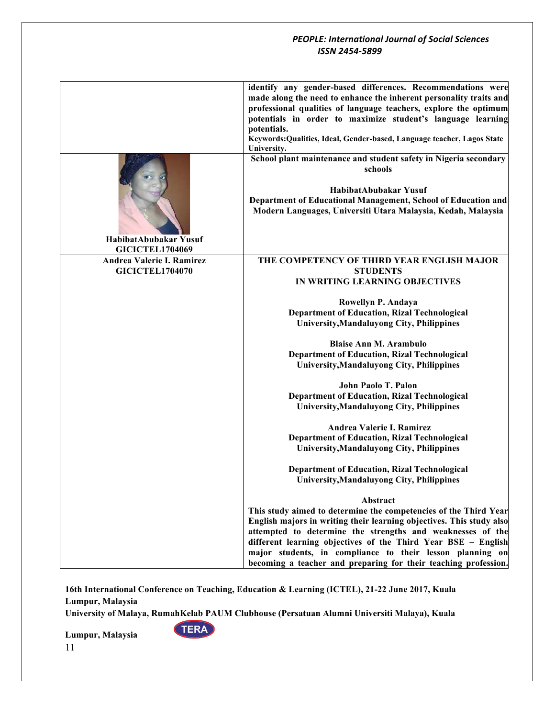|                                                 | identify any gender-based differences. Recommendations were                                                                            |
|-------------------------------------------------|----------------------------------------------------------------------------------------------------------------------------------------|
|                                                 | made along the need to enhance the inherent personality traits and<br>professional qualities of language teachers, explore the optimum |
|                                                 | potentials in order to maximize student's language learning                                                                            |
|                                                 | potentials.<br>Keywords: Qualities, Ideal, Gender-based, Language teacher, Lagos State                                                 |
|                                                 | University.                                                                                                                            |
|                                                 | School plant maintenance and student safety in Nigeria secondary<br>schools                                                            |
|                                                 | HabibatAbubakar Yusuf                                                                                                                  |
|                                                 | Department of Educational Management, School of Education and<br>Modern Languages, Universiti Utara Malaysia, Kedah, Malaysia          |
|                                                 |                                                                                                                                        |
| HabibatAbubakar Yusuf<br><b>GICICTEL1704069</b> |                                                                                                                                        |
| Andrea Valerie I. Ramirez                       | THE COMPETENCY OF THIRD YEAR ENGLISH MAJOR                                                                                             |
| <b>GICICTEL1704070</b>                          | <b>STUDENTS</b><br>IN WRITING LEARNING OBJECTIVES                                                                                      |
|                                                 |                                                                                                                                        |
|                                                 | Rowellyn P. Andaya<br><b>Department of Education, Rizal Technological</b>                                                              |
|                                                 | <b>University, Mandaluyong City, Philippines</b>                                                                                       |
|                                                 | <b>Blaise Ann M. Arambulo</b>                                                                                                          |
|                                                 | <b>Department of Education, Rizal Technological</b>                                                                                    |
|                                                 | <b>University, Mandaluyong City, Philippines</b>                                                                                       |
|                                                 | John Paolo T. Palon                                                                                                                    |
|                                                 | <b>Department of Education, Rizal Technological</b><br><b>University, Mandaluyong City, Philippines</b>                                |
|                                                 |                                                                                                                                        |
|                                                 | Andrea Valerie I. Ramirez                                                                                                              |
|                                                 | <b>Department of Education, Rizal Technological</b><br><b>University, Mandaluyong City, Philippines</b>                                |
|                                                 | <b>Department of Education, Rizal Technological</b>                                                                                    |
|                                                 | University, Mandaluyong City, Philippines                                                                                              |
|                                                 | Abstract                                                                                                                               |
|                                                 | This study aimed to determine the competencies of the Third Year                                                                       |
|                                                 | English majors in writing their learning objectives. This study also<br>attempted to determine the strengths and weaknesses of the     |
|                                                 | different learning objectives of the Third Year BSE - English                                                                          |
|                                                 | major students, in compliance to their lesson planning on<br>becoming a teacher and preparing for their teaching profession.           |
|                                                 |                                                                                                                                        |

**16th International Conference on Teaching, Education & Learning (ICTEL), 21-22 June 2017, Kuala Lumpur, Malaysia**

**University of Malaya, RumahKelab PAUM Clubhouse (Persatuan Alumni Universiti Malaya), Kuala** 

**TERA**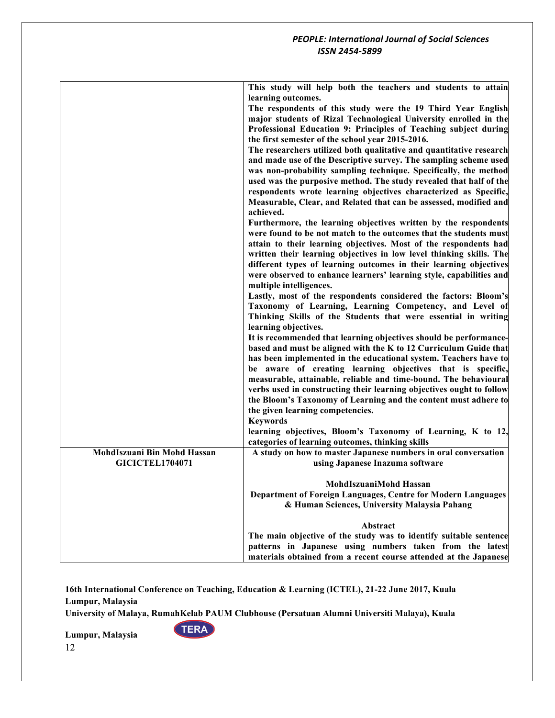|                             | This study will help both the teachers and students to attain<br>learning outcomes. |
|-----------------------------|-------------------------------------------------------------------------------------|
|                             | The respondents of this study were the 19 Third Year English                        |
|                             | major students of Rizal Technological University enrolled in the                    |
|                             | Professional Education 9: Principles of Teaching subject during                     |
|                             | the first semester of the school year 2015-2016.                                    |
|                             | The researchers utilized both qualitative and quantitative research                 |
|                             | and made use of the Descriptive survey. The sampling scheme used                    |
|                             | was non-probability sampling technique. Specifically, the method                    |
|                             | used was the purposive method. The study revealed that half of the                  |
|                             | respondents wrote learning objectives characterized as Specific,                    |
|                             | Measurable, Clear, and Related that can be assessed, modified and                   |
|                             | achieved.                                                                           |
|                             | Furthermore, the learning objectives written by the respondents                     |
|                             | were found to be not match to the outcomes that the students must                   |
|                             | attain to their learning objectives. Most of the respondents had                    |
|                             | written their learning objectives in low level thinking skills. The                 |
|                             | different types of learning outcomes in their learning objectives                   |
|                             | were observed to enhance learners' learning style, capabilities and                 |
|                             | multiple intelligences.                                                             |
|                             | Lastly, most of the respondents considered the factors: Bloom's                     |
|                             | Taxonomy of Learning, Learning Competency, and Level of                             |
|                             | Thinking Skills of the Students that were essential in writing                      |
|                             | learning objectives.                                                                |
|                             | It is recommended that learning objectives should be performance-                   |
|                             | based and must be aligned with the K to 12 Curriculum Guide that                    |
|                             | has been implemented in the educational system. Teachers have to                    |
|                             | be aware of creating learning objectives that is specific,                          |
|                             | measurable, attainable, reliable and time-bound. The behavioural                    |
|                             | verbs used in constructing their learning objectives ought to follow                |
|                             | the Bloom's Taxonomy of Learning and the content must adhere to                     |
|                             | the given learning competencies.                                                    |
|                             | <b>Keywords</b>                                                                     |
|                             | learning objectives, Bloom's Taxonomy of Learning, K to 12,                         |
|                             | categories of learning outcomes, thinking skills                                    |
| MohdIszuani Bin Mohd Hassan | A study on how to master Japanese numbers in oral conversation                      |
| <b>GICICTEL1704071</b>      | using Japanese Inazuma software                                                     |
|                             | MohdIszuaniMohd Hassan                                                              |
|                             | Department of Foreign Languages, Centre for Modern Languages                        |
|                             | & Human Sciences, University Malaysia Pahang                                        |
|                             |                                                                                     |
|                             | Abstract                                                                            |
|                             | The main objective of the study was to identify suitable sentence                   |
|                             | patterns in Japanese using numbers taken from the latest                            |
|                             | materials obtained from a recent course attended at the Japanese                    |

**University of Malaya, RumahKelab PAUM Clubhouse (Persatuan Alumni Universiti Malaya), Kuala** 

**TERA**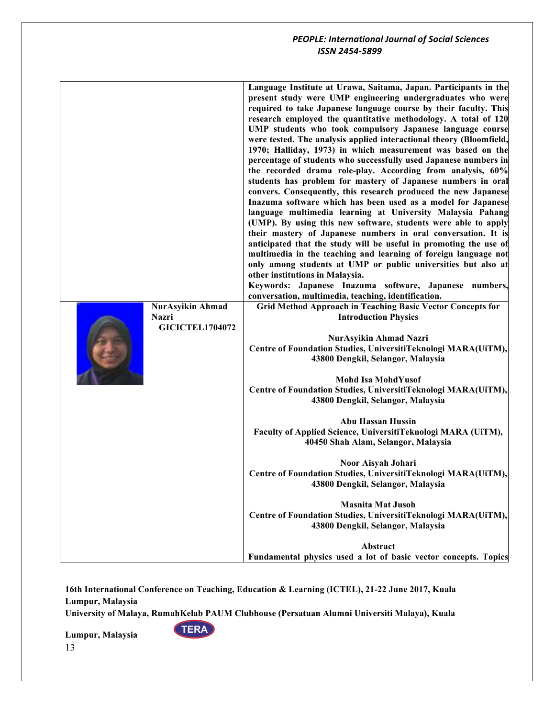| NurAsyikin Ahmad<br><b>Nazri</b><br><b>GICICTEL1704072</b> | Language Institute at Urawa, Saitama, Japan. Participants in the<br>present study were UMP engineering undergraduates who were<br>required to take Japanese language course by their faculty. This<br>research employed the quantitative methodology. A total of 120<br>UMP students who took compulsory Japanese language course<br>were tested. The analysis applied interactional theory (Bloomfield,<br>1970; Halliday, 1973) in which measurement was based on the<br>percentage of students who successfully used Japanese numbers in<br>the recorded drama role-play. According from analysis, 60%<br>students has problem for mastery of Japanese numbers in oral<br>convers. Consequently, this research produced the new Japanese<br>Inazuma software which has been used as a model for Japanese<br>language multimedia learning at University Malaysia Pahang<br>(UMP). By using this new software, students were able to apply<br>their mastery of Japanese numbers in oral conversation. It is<br>anticipated that the study will be useful in promoting the use of<br>multimedia in the teaching and learning of foreign language not<br>only among students at UMP or public universities but also at<br>other institutions in Malaysia.<br>Keywords: Japanese Inazuma software, Japanese numbers,<br>conversation, multimedia, teaching, identification.<br>Grid Method Approach in Teaching Basic Vector Concepts for<br><b>Introduction Physics</b><br>NurAsyikin Ahmad Nazri<br>Centre of Foundation Studies, UniversitiTeknologi MARA(UiTM),<br>43800 Dengkil, Selangor, Malaysia<br>Mohd Isa MohdYusof<br>Centre of Foundation Studies, UniversitiTeknologi MARA(UiTM),<br>43800 Dengkil, Selangor, Malaysia<br><b>Abu Hassan Hussin</b><br>Faculty of Applied Science, UniversitiTeknologi MARA (UiTM),<br>40450 Shah Alam, Selangor, Malaysia<br>Noor Aisyah Johari<br>Centre of Foundation Studies, UniversitiTeknologi MARA(UiTM),<br>43800 Dengkil, Selangor, Malaysia<br><b>Masnita Mat Jusoh</b><br>Centre of Foundation Studies, UniversitiTeknologi MARA(UiTM), |
|------------------------------------------------------------|------------------------------------------------------------------------------------------------------------------------------------------------------------------------------------------------------------------------------------------------------------------------------------------------------------------------------------------------------------------------------------------------------------------------------------------------------------------------------------------------------------------------------------------------------------------------------------------------------------------------------------------------------------------------------------------------------------------------------------------------------------------------------------------------------------------------------------------------------------------------------------------------------------------------------------------------------------------------------------------------------------------------------------------------------------------------------------------------------------------------------------------------------------------------------------------------------------------------------------------------------------------------------------------------------------------------------------------------------------------------------------------------------------------------------------------------------------------------------------------------------------------------------------------------------------------------------------------------------------------------------------------------------------------------------------------------------------------------------------------------------------------------------------------------------------------------------------------------------------------------------------------------------------------------------------------------------------------------------------------------------------------------------------------------------------------------------------------------|
|                                                            | 43800 Dengkil, Selangor, Malaysia                                                                                                                                                                                                                                                                                                                                                                                                                                                                                                                                                                                                                                                                                                                                                                                                                                                                                                                                                                                                                                                                                                                                                                                                                                                                                                                                                                                                                                                                                                                                                                                                                                                                                                                                                                                                                                                                                                                                                                                                                                                              |
|                                                            | Abstract<br>Fundamental physics used a lot of basic vector concepts. Topics                                                                                                                                                                                                                                                                                                                                                                                                                                                                                                                                                                                                                                                                                                                                                                                                                                                                                                                                                                                                                                                                                                                                                                                                                                                                                                                                                                                                                                                                                                                                                                                                                                                                                                                                                                                                                                                                                                                                                                                                                    |

**16th International Conference on Teaching, Education & Learning (ICTEL), 21-22 June 2017, Kuala Lumpur, Malaysia**

**University of Malaya, RumahKelab PAUM Clubhouse (Persatuan Alumni Universiti Malaya), Kuala** 

**TERA**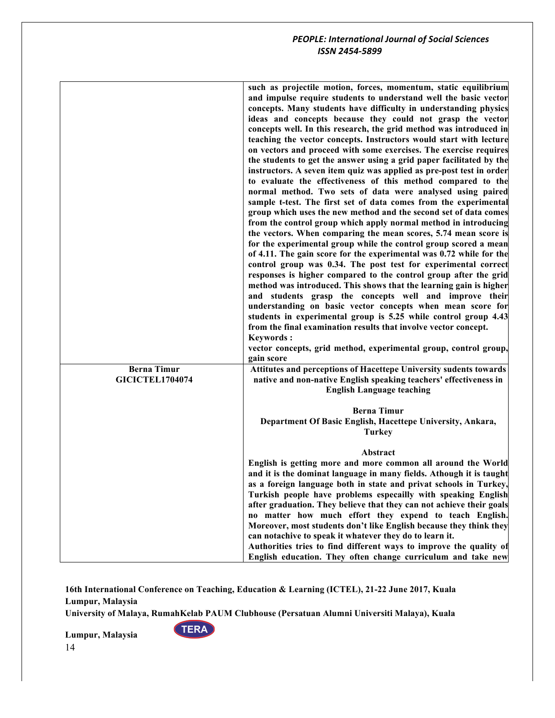|                                              | such as projectile motion, forces, momentum, static equilibrium<br>and impulse require students to understand well the basic vector<br>concepts. Many students have difficulty in understanding physics<br>ideas and concepts because they could not grasp the vector<br>concepts well. In this research, the grid method was introduced in<br>teaching the vector concepts. Instructors would start with lecture<br>on vectors and proceed with some exercises. The exercise requires<br>the students to get the answer using a grid paper facilitated by the<br>instructors. A seven item quiz was applied as pre-post test in order<br>to evaluate the effectiveness of this method compared to the<br>normal method. Two sets of data were analysed using paired<br>sample t-test. The first set of data comes from the experimental<br>group which uses the new method and the second set of data comes<br>from the control group which apply normal method in introducing<br>the vectors. When comparing the mean scores, 5.74 mean score is<br>for the experimental group while the control group scored a mean<br>of 4.11. The gain score for the experimental was 0.72 while for the<br>control group was 0.34. The post test for experimental correct<br>responses is higher compared to the control group after the grid<br>method was introduced. This shows that the learning gain is higher<br>and students grasp the concepts well and improve their<br>understanding on basic vector concepts when mean score for<br>students in experimental group is 5.25 while control group 4.43<br>from the final examination results that involve vector concept.<br><b>Keywords:</b><br>vector concepts, grid method, experimental group, control group,<br>gain score |
|----------------------------------------------|-------------------------------------------------------------------------------------------------------------------------------------------------------------------------------------------------------------------------------------------------------------------------------------------------------------------------------------------------------------------------------------------------------------------------------------------------------------------------------------------------------------------------------------------------------------------------------------------------------------------------------------------------------------------------------------------------------------------------------------------------------------------------------------------------------------------------------------------------------------------------------------------------------------------------------------------------------------------------------------------------------------------------------------------------------------------------------------------------------------------------------------------------------------------------------------------------------------------------------------------------------------------------------------------------------------------------------------------------------------------------------------------------------------------------------------------------------------------------------------------------------------------------------------------------------------------------------------------------------------------------------------------------------------------------------------------------------------------------------------------------------------------------------|
| <b>Berna Timur</b><br><b>GICICTEL1704074</b> | Attitutes and perceptions of Hacettepe University sudents towards<br>native and non-native English speaking teachers' effectiveness in<br><b>English Language teaching</b>                                                                                                                                                                                                                                                                                                                                                                                                                                                                                                                                                                                                                                                                                                                                                                                                                                                                                                                                                                                                                                                                                                                                                                                                                                                                                                                                                                                                                                                                                                                                                                                                    |
|                                              | <b>Berna Timur</b><br>Department Of Basic English, Hacettepe University, Ankara,<br><b>Turkey</b>                                                                                                                                                                                                                                                                                                                                                                                                                                                                                                                                                                                                                                                                                                                                                                                                                                                                                                                                                                                                                                                                                                                                                                                                                                                                                                                                                                                                                                                                                                                                                                                                                                                                             |
|                                              | Abstract<br>English is getting more and more common all around the World<br>and it is the dominat language in many fields. Athough it is taught<br>as a foreign language both in state and privat schools in Turkey,<br>Turkish people have problems especailly with speaking English<br>after graduation. They believe that they can not achieve their goals<br>no matter how much effort they expend to teach English.<br>Moreover, most students don't like English because they think they<br>can notachive to speak it whatever they do to learn it.<br>Authorities tries to find different ways to improve the quality of<br>English education. They often change curriculum and take new                                                                                                                                                                                                                                                                                                                                                                                                                                                                                                                                                                                                                                                                                                                                                                                                                                                                                                                                                                                                                                                                               |

**16th International Conference on Teaching, Education & Learning (ICTEL), 21-22 June 2017, Kuala Lumpur, Malaysia**

**University of Malaya, RumahKelab PAUM Clubhouse (Persatuan Alumni Universiti Malaya), Kuala** 

**TERA**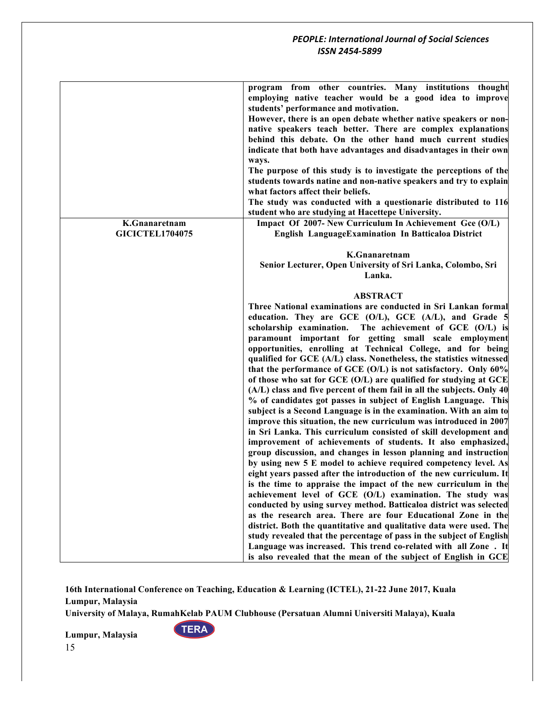|                                         | program from other countries. Many institutions thought<br>employing native teacher would be a good idea to improve<br>students' performance and motivation.<br>However, there is an open debate whether native speakers or non-<br>native speakers teach better. There are complex explanations |
|-----------------------------------------|--------------------------------------------------------------------------------------------------------------------------------------------------------------------------------------------------------------------------------------------------------------------------------------------------|
|                                         | behind this debate. On the other hand much current studies<br>indicate that both have advantages and disadvantages in their own<br>ways.                                                                                                                                                         |
|                                         | The purpose of this study is to investigate the perceptions of the<br>students towards natine and non-native speakers and try to explain<br>what factors affect their beliefs.                                                                                                                   |
|                                         | The study was conducted with a questionarie distributed to 116<br>student who are studying at Hacettepe University.                                                                                                                                                                              |
| K.Gnanaretnam<br><b>GICICTEL1704075</b> | Impact Of 2007- New Curriculum In Achievement Gce (O/L)<br>English LanguageExamination In Batticaloa District                                                                                                                                                                                    |
|                                         | K.Gnanaretnam<br>Senior Lecturer, Open University of Sri Lanka, Colombo, Sri<br>Lanka.                                                                                                                                                                                                           |
|                                         | <b>ABSTRACT</b>                                                                                                                                                                                                                                                                                  |
|                                         | Three National examinations are conducted in Sri Lankan formal<br>education. They are GCE (O/L), GCE (A/L), and Grade 5                                                                                                                                                                          |
|                                         | scholarship examination. The achievement of GCE (O/L) is<br>paramount important for getting small scale employment                                                                                                                                                                               |
|                                         | opportunities, enrolling at Technical College, and for being<br>qualified for GCE (A/L) class. Nonetheless, the statistics witnessed<br>that the performance of GCE (O/L) is not satisfactory. Only 60%                                                                                          |
|                                         | of those who sat for GCE (O/L) are qualified for studying at GCE<br>(A/L) class and five percent of them fail in all the subjects. Only 40<br>% of candidates got passes in subject of English Language. This                                                                                    |
|                                         | subject is a Second Language is in the examination. With an aim to<br>improve this situation, the new curriculum was introduced in 2007                                                                                                                                                          |
|                                         | in Sri Lanka. This curriculum consisted of skill development and<br>improvement of achievements of students. It also emphasized,<br>group discussion, and changes in lesson planning and instruction                                                                                             |
|                                         | by using new 5 E model to achieve required competency level. As<br>eight years passed after the introduction of the new curriculum. It                                                                                                                                                           |
|                                         | is the time to appraise the impact of the new curriculum in the<br>achievement level of GCE (O/L) examination. The study was<br>conducted by using survey method. Batticaloa district was selected                                                                                               |
|                                         | as the research area. There are four Educational Zone in the<br>district. Both the quantitative and qualitative data were used. The                                                                                                                                                              |
|                                         | study revealed that the percentage of pass in the subject of English<br>Language was increased. This trend co-related with all Zone. It                                                                                                                                                          |
|                                         | is also revealed that the mean of the subject of English in GCE                                                                                                                                                                                                                                  |

**University of Malaya, RumahKelab PAUM Clubhouse (Persatuan Alumni Universiti Malaya), Kuala** 

**TERA**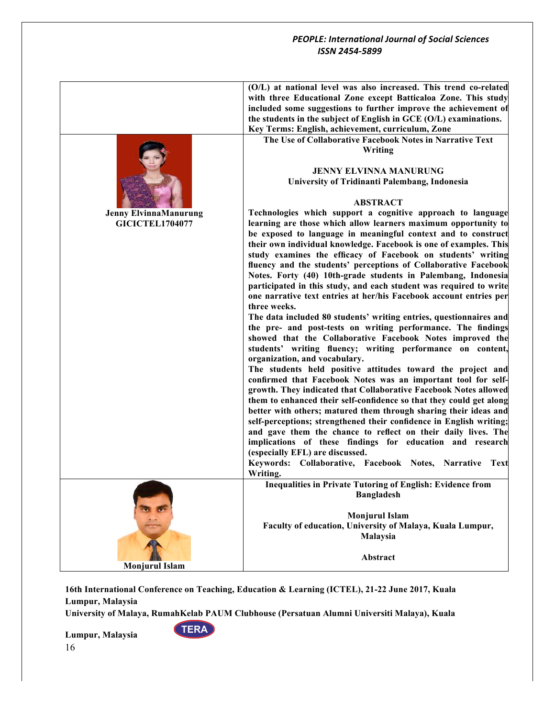|                              | (O/L) at national level was also increased. This trend co-related     |
|------------------------------|-----------------------------------------------------------------------|
|                              | with three Educational Zone except Batticaloa Zone. This study        |
|                              | included some suggestions to further improve the achievement of       |
|                              | the students in the subject of English in GCE (O/L) examinations.     |
|                              | Key Terms: English, achievement, curriculum, Zone                     |
|                              | The Use of Collaborative Facebook Notes in Narrative Text             |
|                              | Writing                                                               |
|                              |                                                                       |
|                              | <b>JENNY ELVINNA MANURUNG</b>                                         |
|                              | University of Tridinanti Palembang, Indonesia                         |
|                              |                                                                       |
|                              | <b>ABSTRACT</b>                                                       |
| <b>Jenny ElvinnaManurung</b> | Technologies which support a cognitive approach to language           |
| <b>GICICTEL1704077</b>       | learning are those which allow learners maximum opportunity to        |
|                              | be exposed to language in meaningful context and to construct         |
|                              | their own individual knowledge. Facebook is one of examples. This     |
|                              | study examines the efficacy of Facebook on students' writing          |
|                              | fluency and the students' perceptions of Collaborative Facebook       |
|                              | Notes. Forty (40) 10th-grade students in Palembang, Indonesia         |
|                              | participated in this study, and each student was required to write    |
|                              | one narrative text entries at her/his Facebook account entries per    |
|                              | three weeks.                                                          |
|                              | The data included 80 students' writing entries, questionnaires and    |
|                              | the pre- and post-tests on writing performance. The findings          |
|                              | showed that the Collaborative Facebook Notes improved the             |
|                              | students' writing fluency; writing performance on content,            |
|                              | organization, and vocabulary.                                         |
|                              | The students held positive attitudes toward the project and           |
|                              | confirmed that Facebook Notes was an important tool for self-         |
|                              | growth. They indicated that Collaborative Facebook Notes allowed      |
|                              | them to enhanced their self-confidence so that they could get along   |
|                              | better with others; matured them through sharing their ideas and      |
|                              | self-perceptions; strengthened their confidence in English writing;   |
|                              | and gave them the chance to reflect on their daily lives. The         |
|                              | implications of these findings for education and research             |
|                              | (especially EFL) are discussed.                                       |
|                              | Keywords: Collaborative, Facebook Notes, Narrative Text               |
|                              | Writing.                                                              |
|                              | <b>Inequalities in Private Tutoring of English: Evidence from</b>     |
|                              | <b>Bangladesh</b>                                                     |
|                              | <b>Monjurul Islam</b>                                                 |
|                              |                                                                       |
|                              | Faculty of education, University of Malaya, Kuala Lumpur,<br>Malaysia |
|                              |                                                                       |
|                              | Abstract                                                              |
| <b>Monjurul Islam</b>        |                                                                       |
|                              |                                                                       |

**16th International Conference on Teaching, Education & Learning (ICTEL), 21-22 June 2017, Kuala Lumpur, Malaysia**

**University of Malaya, RumahKelab PAUM Clubhouse (Persatuan Alumni Universiti Malaya), Kuala** 

**TERA**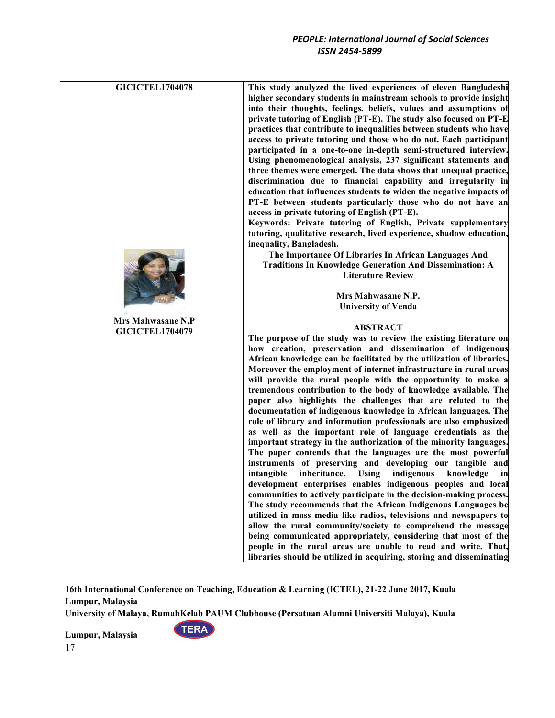| <b>GICICTEL1704078</b> | This study analyzed the lived experiences of eleven Bangladeshi<br>higher secondary students in mainstream schools to provide insight<br>into their thoughts, feelings, beliefs, values and assumptions of<br>private tutoring of English (PT-E). The study also focused on PT-E<br>practices that contribute to inequalities between students who have<br>access to private tutoring and those who do not. Each participant<br>participated in a one-to-one in-depth semi-structured interview.<br>Using phenomenological analysis, 237 significant statements and<br>three themes were emerged. The data shows that unequal practice,<br>discrimination due to financial capability and irregularity in<br>education that influences students to widen the negative impacts of<br>PT-E between students particularly those who do not have an<br>access in private tutoring of English (PT-E).<br>Keywords: Private tutoring of English, Private supplementary<br>tutoring, qualitative research, lived experience, shadow education,<br>inequality, Bangladesh. |
|------------------------|--------------------------------------------------------------------------------------------------------------------------------------------------------------------------------------------------------------------------------------------------------------------------------------------------------------------------------------------------------------------------------------------------------------------------------------------------------------------------------------------------------------------------------------------------------------------------------------------------------------------------------------------------------------------------------------------------------------------------------------------------------------------------------------------------------------------------------------------------------------------------------------------------------------------------------------------------------------------------------------------------------------------------------------------------------------------|
|                        | The Importance Of Libraries In African Languages And                                                                                                                                                                                                                                                                                                                                                                                                                                                                                                                                                                                                                                                                                                                                                                                                                                                                                                                                                                                                               |
|                        | <b>Traditions In Knowledge Generation And Dissemination: A</b>                                                                                                                                                                                                                                                                                                                                                                                                                                                                                                                                                                                                                                                                                                                                                                                                                                                                                                                                                                                                     |
|                        | <b>Literature Review</b>                                                                                                                                                                                                                                                                                                                                                                                                                                                                                                                                                                                                                                                                                                                                                                                                                                                                                                                                                                                                                                           |
|                        |                                                                                                                                                                                                                                                                                                                                                                                                                                                                                                                                                                                                                                                                                                                                                                                                                                                                                                                                                                                                                                                                    |
|                        | Mrs Mahwasane N.P.                                                                                                                                                                                                                                                                                                                                                                                                                                                                                                                                                                                                                                                                                                                                                                                                                                                                                                                                                                                                                                                 |
|                        | <b>University of Venda</b>                                                                                                                                                                                                                                                                                                                                                                                                                                                                                                                                                                                                                                                                                                                                                                                                                                                                                                                                                                                                                                         |
| Mrs Mahwasane N.P      | <b>ABSTRACT</b>                                                                                                                                                                                                                                                                                                                                                                                                                                                                                                                                                                                                                                                                                                                                                                                                                                                                                                                                                                                                                                                    |
| <b>GICICTEL1704079</b> | The purpose of the study was to review the existing literature on                                                                                                                                                                                                                                                                                                                                                                                                                                                                                                                                                                                                                                                                                                                                                                                                                                                                                                                                                                                                  |
|                        | how creation, preservation and dissemination of indigenous                                                                                                                                                                                                                                                                                                                                                                                                                                                                                                                                                                                                                                                                                                                                                                                                                                                                                                                                                                                                         |
|                        | African knowledge can be facilitated by the utilization of libraries.                                                                                                                                                                                                                                                                                                                                                                                                                                                                                                                                                                                                                                                                                                                                                                                                                                                                                                                                                                                              |
|                        |                                                                                                                                                                                                                                                                                                                                                                                                                                                                                                                                                                                                                                                                                                                                                                                                                                                                                                                                                                                                                                                                    |
|                        |                                                                                                                                                                                                                                                                                                                                                                                                                                                                                                                                                                                                                                                                                                                                                                                                                                                                                                                                                                                                                                                                    |
|                        | Moreover the employment of internet infrastructure in rural areas                                                                                                                                                                                                                                                                                                                                                                                                                                                                                                                                                                                                                                                                                                                                                                                                                                                                                                                                                                                                  |
|                        | will provide the rural people with the opportunity to make a<br>tremendous contribution to the body of knowledge available. The                                                                                                                                                                                                                                                                                                                                                                                                                                                                                                                                                                                                                                                                                                                                                                                                                                                                                                                                    |
|                        | paper also highlights the challenges that are related to the                                                                                                                                                                                                                                                                                                                                                                                                                                                                                                                                                                                                                                                                                                                                                                                                                                                                                                                                                                                                       |
|                        | documentation of indigenous knowledge in African languages. The                                                                                                                                                                                                                                                                                                                                                                                                                                                                                                                                                                                                                                                                                                                                                                                                                                                                                                                                                                                                    |
|                        | role of library and information professionals are also emphasized                                                                                                                                                                                                                                                                                                                                                                                                                                                                                                                                                                                                                                                                                                                                                                                                                                                                                                                                                                                                  |
|                        | as well as the important role of language credentials as the                                                                                                                                                                                                                                                                                                                                                                                                                                                                                                                                                                                                                                                                                                                                                                                                                                                                                                                                                                                                       |
|                        | important strategy in the authorization of the minority languages.                                                                                                                                                                                                                                                                                                                                                                                                                                                                                                                                                                                                                                                                                                                                                                                                                                                                                                                                                                                                 |
|                        | The paper contends that the languages are the most powerful                                                                                                                                                                                                                                                                                                                                                                                                                                                                                                                                                                                                                                                                                                                                                                                                                                                                                                                                                                                                        |
|                        | instruments of preserving and developing our tangible and                                                                                                                                                                                                                                                                                                                                                                                                                                                                                                                                                                                                                                                                                                                                                                                                                                                                                                                                                                                                          |
|                        | intangible<br>inheritance. Using indigenous<br>knowledge<br>in                                                                                                                                                                                                                                                                                                                                                                                                                                                                                                                                                                                                                                                                                                                                                                                                                                                                                                                                                                                                     |
|                        | development enterprises enables indigenous peoples and local                                                                                                                                                                                                                                                                                                                                                                                                                                                                                                                                                                                                                                                                                                                                                                                                                                                                                                                                                                                                       |
|                        | communities to actively participate in the decision-making process.                                                                                                                                                                                                                                                                                                                                                                                                                                                                                                                                                                                                                                                                                                                                                                                                                                                                                                                                                                                                |
|                        | The study recommends that the African Indigenous Languages be                                                                                                                                                                                                                                                                                                                                                                                                                                                                                                                                                                                                                                                                                                                                                                                                                                                                                                                                                                                                      |
|                        | utilized in mass media like radios, televisions and newspapers to<br>allow the rural community/society to comprehend the message                                                                                                                                                                                                                                                                                                                                                                                                                                                                                                                                                                                                                                                                                                                                                                                                                                                                                                                                   |
|                        | being communicated appropriately, considering that most of the                                                                                                                                                                                                                                                                                                                                                                                                                                                                                                                                                                                                                                                                                                                                                                                                                                                                                                                                                                                                     |
|                        | people in the rural areas are unable to read and write. That,                                                                                                                                                                                                                                                                                                                                                                                                                                                                                                                                                                                                                                                                                                                                                                                                                                                                                                                                                                                                      |

**16th International Conference on Teaching, Education & Learning (ICTEL), 21-22 June 2017, Kuala Lumpur, Malaysia**

**University of Malaya, RumahKelab PAUM Clubhouse (Persatuan Alumni Universiti Malaya), Kuala** 

**TERA**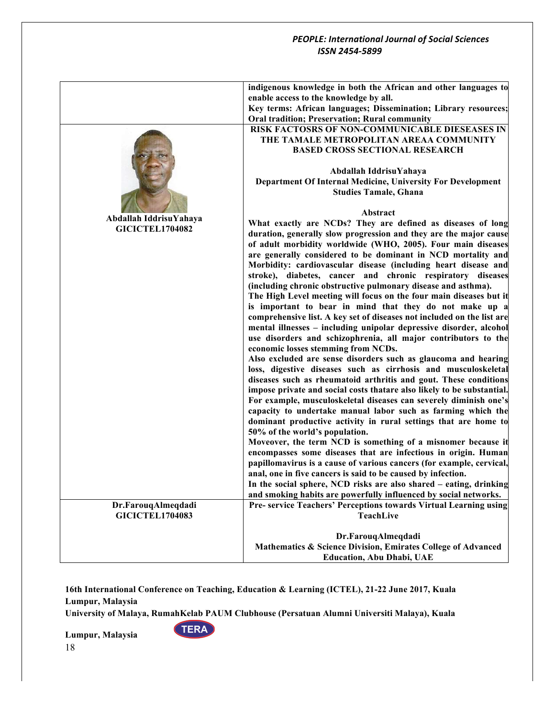|                        | indigenous knowledge in both the African and other languages to<br>enable access to the knowledge by all.<br>Key terms: African languages; Dissemination; Library resources; |
|------------------------|------------------------------------------------------------------------------------------------------------------------------------------------------------------------------|
|                        | Oral tradition; Preservation; Rural community                                                                                                                                |
|                        | RISK FACTOSRS OF NON-COMMUNICABLE DIESEASES IN<br>THE TAMALE METROPOLITAN AREAA COMMUNITY<br><b>BASED CROSS SECTIONAL RESEARCH</b>                                           |
|                        | Abdallah IddrisuYahaya                                                                                                                                                       |
|                        | Department Of Internal Medicine, University For Development<br><b>Studies Tamale, Ghana</b>                                                                                  |
|                        | Abstract                                                                                                                                                                     |
| Abdallah IddrisuYahaya | What exactly are NCDs? They are defined as diseases of long                                                                                                                  |
| <b>GICICTEL1704082</b> | duration, generally slow progression and they are the major cause                                                                                                            |
|                        | of adult morbidity worldwide (WHO, 2005). Four main diseases                                                                                                                 |
|                        | are generally considered to be dominant in NCD mortality and                                                                                                                 |
|                        | Morbidity: cardiovascular disease (including heart disease and                                                                                                               |
|                        | stroke), diabetes, cancer and chronic respiratory diseases                                                                                                                   |
|                        | (including chronic obstructive pulmonary disease and asthma).                                                                                                                |
|                        | The High Level meeting will focus on the four main diseases but it                                                                                                           |
|                        | is important to bear in mind that they do not make up a                                                                                                                      |
|                        | comprehensive list. A key set of diseases not included on the list are                                                                                                       |
|                        | mental illnesses - including unipolar depressive disorder, alcohol                                                                                                           |
|                        | use disorders and schizophrenia, all major contributors to the                                                                                                               |
|                        | economic losses stemming from NCDs.                                                                                                                                          |
|                        | Also excluded are sense disorders such as glaucoma and hearing                                                                                                               |
|                        | loss, digestive diseases such as cirrhosis and musculoskeletal                                                                                                               |
|                        | diseases such as rheumatoid arthritis and gout. These conditions                                                                                                             |
|                        | impose private and social costs thatare also likely to be substantial.                                                                                                       |
|                        | For example, musculoskeletal diseases can severely diminish one's<br>capacity to undertake manual labor such as farming which the                                            |
|                        | dominant productive activity in rural settings that are home to                                                                                                              |
|                        | 50% of the world's population.                                                                                                                                               |
|                        | Moveover, the term NCD is something of a misnomer because it                                                                                                                 |
|                        | encompasses some diseases that are infectious in origin. Human                                                                                                               |
|                        | papillomavirus is a cause of various cancers (for example, cervical,                                                                                                         |
|                        | anal, one in five cancers is said to be caused by infection.                                                                                                                 |
|                        | In the social sphere, NCD risks are also shared – eating, drinking                                                                                                           |
|                        | and smoking habits are powerfully influenced by social networks.                                                                                                             |
| Dr.FarouqAlmeqdadi     | Pre- service Teachers' Perceptions towards Virtual Learning using                                                                                                            |
| <b>GICICTEL1704083</b> | <b>TeachLive</b>                                                                                                                                                             |
|                        | Dr.FarouqAlmeqdadi                                                                                                                                                           |
|                        | Mathematics & Science Division, Emirates College of Advanced                                                                                                                 |
|                        | <b>Education, Abu Dhabi, UAE</b>                                                                                                                                             |
|                        |                                                                                                                                                                              |

**16th International Conference on Teaching, Education & Learning (ICTEL), 21-22 June 2017, Kuala Lumpur, Malaysia**

**University of Malaya, RumahKelab PAUM Clubhouse (Persatuan Alumni Universiti Malaya), Kuala** 

**TERA**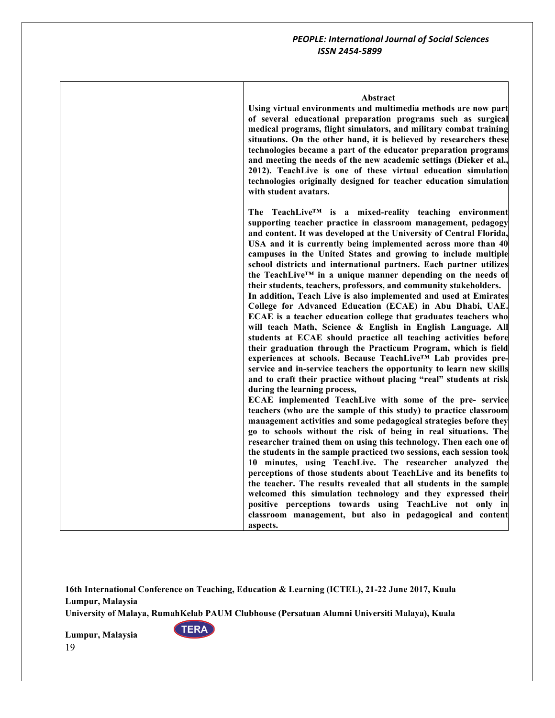#### **Abstract**

**Using virtual environments and multimedia methods are now part of several educational preparation programs such as surgical medical programs, flight simulators, and military combat training situations. On the other hand, it is believed by researchers these technologies became a part of the educator preparation programs and meeting the needs of the new academic settings (Dieker et al., 2012). TeachLive is one of these virtual education simulation technologies originally designed for teacher education simulation with student avatars.** 

**The TeachLive™ is a mixed-reality teaching environment supporting teacher practice in classroom management, pedagogy and content. It was developed at the University of Central Florida, USA and it is currently being implemented across more than 40 campuses in the United States and growing to include multiple school districts and international partners. Each partner utilizes the TeachLive™ in a unique manner depending on the needs of their students, teachers, professors, and community stakeholders. In addition, Teach Live is also implemented and used at Emirates College for Advanced Education (ECAE) in Abu Dhabi, UAE. ECAE is a teacher education college that graduates teachers who will teach Math, Science & English in English Language. All students at ECAE should practice all teaching activities before their graduation through the Practicum Program, which is field experiences at schools. Because TeachLive™ Lab provides preservice and in-service teachers the opportunity to learn new skills and to craft their practice without placing "real" students at risk during the learning process, ECAE implemented TeachLive with some of the pre- service** 

**teachers (who are the sample of this study) to practice classroom management activities and some pedagogical strategies before they go to schools without the risk of being in real situations. The researcher trained them on using this technology. Then each one of the students in the sample practiced two sessions, each session took 10 minutes, using TeachLive. The researcher analyzed the perceptions of those students about TeachLive and its benefits to the teacher. The results revealed that all students in the sample welcomed this simulation technology and they expressed their positive perceptions towards using TeachLive not only in classroom management, but also in pedagogical and content aspects.**

**16th International Conference on Teaching, Education & Learning (ICTEL), 21-22 June 2017, Kuala Lumpur, Malaysia**

**University of Malaya, RumahKelab PAUM Clubhouse (Persatuan Alumni Universiti Malaya), Kuala** 

**TERA**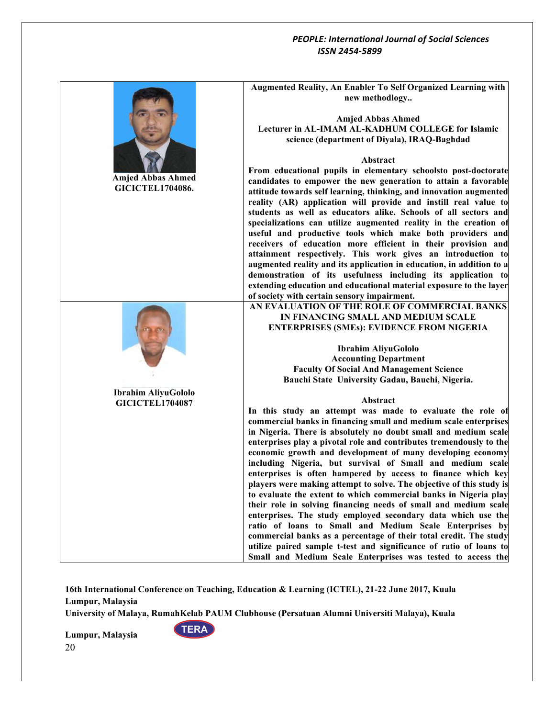|                            | Augmented Reality, An Enabler To Self Organized Learning with        |
|----------------------------|----------------------------------------------------------------------|
|                            | new methodlogy                                                       |
|                            | <b>Amjed Abbas Ahmed</b>                                             |
|                            | Lecturer in AL-IMAM AL-KADHUM COLLEGE for Islamic                    |
|                            | science (department of Diyala), IRAQ-Baghdad                         |
|                            |                                                                      |
|                            | Abstract                                                             |
|                            | From educational pupils in elementary schoolsto post-doctorate       |
| <b>Amjed Abbas Ahmed</b>   | candidates to empower the new generation to attain a favorable       |
| <b>GICICTEL1704086.</b>    | attitude towards self learning, thinking, and innovation augmented   |
|                            | reality (AR) application will provide and instill real value to      |
|                            | students as well as educators alike. Schools of all sectors and      |
|                            | specializations can utilize augmented reality in the creation of     |
|                            | useful and productive tools which make both providers and            |
|                            | receivers of education more efficient in their provision and         |
|                            | attainment respectively. This work gives an introduction to          |
|                            | augmented reality and its application in education, in addition to a |
|                            | demonstration of its usefulness including its application to         |
|                            | extending education and educational material exposure to the layer   |
|                            | of society with certain sensory impairment.                          |
|                            | AN EVALUATION OF THE ROLE OF COMMERCIAL BANKS                        |
|                            | IN FINANCING SMALL AND MEDIUM SCALE                                  |
|                            | <b>ENTERPRISES (SMEs): EVIDENCE FROM NIGERIA</b>                     |
|                            | <b>Ibrahim AliyuGololo</b>                                           |
|                            | <b>Accounting Department</b>                                         |
|                            | <b>Faculty Of Social And Management Science</b>                      |
|                            | Bauchi State University Gadau, Bauchi, Nigeria.                      |
| <b>Ibrahim AliyuGololo</b> |                                                                      |
| <b>GICICTEL1704087</b>     | Abstract                                                             |
|                            | In this study an attempt was made to evaluate the role of            |
|                            | commercial banks in financing small and medium scale enterprises     |
|                            | in Nigeria. There is absolutely no doubt small and medium scale      |
|                            | enterprises play a pivotal role and contributes tremendously to the  |
|                            | economic growth and development of many developing economy           |
|                            | including Nigeria, but survival of Small and medium scale            |
|                            | enterprises is often hampered by access to finance which key         |
|                            | players were making attempt to solve. The objective of this study is |
|                            | to evaluate the extent to which commercial banks in Nigeria play     |
|                            | their role in solving financing needs of small and medium scale      |
|                            | enterprises. The study employed secondary data which use the         |
|                            | ratio of loans to Small and Medium Scale Enterprises by              |
|                            | commercial banks as a percentage of their total credit. The study    |
|                            | utilize paired sample t-test and significance of ratio of loans to   |
|                            | Small and Medium Scale Enterprises was tested to access the          |

**16th International Conference on Teaching, Education & Learning (ICTEL), 21-22 June 2017, Kuala Lumpur, Malaysia**

**University of Malaya, RumahKelab PAUM Clubhouse (Persatuan Alumni Universiti Malaya), Kuala** 

**TERA**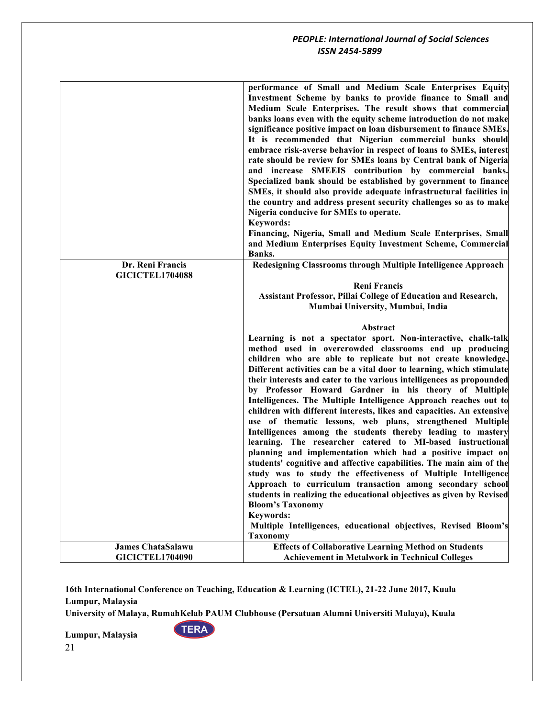|                          | performance of Small and Medium Scale Enterprises Equity<br>Investment Scheme by banks to provide finance to Small and<br>Medium Scale Enterprises. The result shows that commercial<br>banks loans even with the equity scheme introduction do not make<br>significance positive impact on loan disbursement to finance SMEs.<br>It is recommended that Nigerian commercial banks should<br>embrace risk-averse behavior in respect of loans to SMEs, interest<br>rate should be review for SMEs loans by Central bank of Nigeria<br>and increase SMEEIS contribution by commercial banks.<br>Specialized bank should be established by government to finance<br>SMEs, it should also provide adequate infrastructural facilities in<br>the country and address present security challenges so as to make<br>Nigeria conducive for SMEs to operate.<br><b>Keywords:</b><br>Financing, Nigeria, Small and Medium Scale Enterprises, Small<br>and Medium Enterprises Equity Investment Scheme, Commercial<br>Banks. |
|--------------------------|--------------------------------------------------------------------------------------------------------------------------------------------------------------------------------------------------------------------------------------------------------------------------------------------------------------------------------------------------------------------------------------------------------------------------------------------------------------------------------------------------------------------------------------------------------------------------------------------------------------------------------------------------------------------------------------------------------------------------------------------------------------------------------------------------------------------------------------------------------------------------------------------------------------------------------------------------------------------------------------------------------------------|
|                          |                                                                                                                                                                                                                                                                                                                                                                                                                                                                                                                                                                                                                                                                                                                                                                                                                                                                                                                                                                                                                    |
| Dr. Reni Francis         | Redesigning Classrooms through Multiple Intelligence Approach                                                                                                                                                                                                                                                                                                                                                                                                                                                                                                                                                                                                                                                                                                                                                                                                                                                                                                                                                      |
| <b>GICICTEL1704088</b>   |                                                                                                                                                                                                                                                                                                                                                                                                                                                                                                                                                                                                                                                                                                                                                                                                                                                                                                                                                                                                                    |
|                          | <b>Reni Francis</b>                                                                                                                                                                                                                                                                                                                                                                                                                                                                                                                                                                                                                                                                                                                                                                                                                                                                                                                                                                                                |
|                          | <b>Assistant Professor, Pillai College of Education and Research,</b>                                                                                                                                                                                                                                                                                                                                                                                                                                                                                                                                                                                                                                                                                                                                                                                                                                                                                                                                              |
|                          | Mumbai University, Mumbai, India                                                                                                                                                                                                                                                                                                                                                                                                                                                                                                                                                                                                                                                                                                                                                                                                                                                                                                                                                                                   |
|                          |                                                                                                                                                                                                                                                                                                                                                                                                                                                                                                                                                                                                                                                                                                                                                                                                                                                                                                                                                                                                                    |
|                          | Abstract                                                                                                                                                                                                                                                                                                                                                                                                                                                                                                                                                                                                                                                                                                                                                                                                                                                                                                                                                                                                           |
|                          |                                                                                                                                                                                                                                                                                                                                                                                                                                                                                                                                                                                                                                                                                                                                                                                                                                                                                                                                                                                                                    |
|                          |                                                                                                                                                                                                                                                                                                                                                                                                                                                                                                                                                                                                                                                                                                                                                                                                                                                                                                                                                                                                                    |
|                          |                                                                                                                                                                                                                                                                                                                                                                                                                                                                                                                                                                                                                                                                                                                                                                                                                                                                                                                                                                                                                    |
|                          | children who are able to replicate but not create knowledge.                                                                                                                                                                                                                                                                                                                                                                                                                                                                                                                                                                                                                                                                                                                                                                                                                                                                                                                                                       |
|                          |                                                                                                                                                                                                                                                                                                                                                                                                                                                                                                                                                                                                                                                                                                                                                                                                                                                                                                                                                                                                                    |
|                          | their interests and cater to the various intelligences as propounded                                                                                                                                                                                                                                                                                                                                                                                                                                                                                                                                                                                                                                                                                                                                                                                                                                                                                                                                               |
|                          |                                                                                                                                                                                                                                                                                                                                                                                                                                                                                                                                                                                                                                                                                                                                                                                                                                                                                                                                                                                                                    |
|                          |                                                                                                                                                                                                                                                                                                                                                                                                                                                                                                                                                                                                                                                                                                                                                                                                                                                                                                                                                                                                                    |
|                          |                                                                                                                                                                                                                                                                                                                                                                                                                                                                                                                                                                                                                                                                                                                                                                                                                                                                                                                                                                                                                    |
|                          |                                                                                                                                                                                                                                                                                                                                                                                                                                                                                                                                                                                                                                                                                                                                                                                                                                                                                                                                                                                                                    |
|                          |                                                                                                                                                                                                                                                                                                                                                                                                                                                                                                                                                                                                                                                                                                                                                                                                                                                                                                                                                                                                                    |
|                          | learning. The researcher catered to MI-based instructional                                                                                                                                                                                                                                                                                                                                                                                                                                                                                                                                                                                                                                                                                                                                                                                                                                                                                                                                                         |
|                          |                                                                                                                                                                                                                                                                                                                                                                                                                                                                                                                                                                                                                                                                                                                                                                                                                                                                                                                                                                                                                    |
|                          |                                                                                                                                                                                                                                                                                                                                                                                                                                                                                                                                                                                                                                                                                                                                                                                                                                                                                                                                                                                                                    |
|                          |                                                                                                                                                                                                                                                                                                                                                                                                                                                                                                                                                                                                                                                                                                                                                                                                                                                                                                                                                                                                                    |
|                          |                                                                                                                                                                                                                                                                                                                                                                                                                                                                                                                                                                                                                                                                                                                                                                                                                                                                                                                                                                                                                    |
|                          | <b>Bloom's Taxonomy</b>                                                                                                                                                                                                                                                                                                                                                                                                                                                                                                                                                                                                                                                                                                                                                                                                                                                                                                                                                                                            |
|                          | <b>Keywords:</b>                                                                                                                                                                                                                                                                                                                                                                                                                                                                                                                                                                                                                                                                                                                                                                                                                                                                                                                                                                                                   |
|                          |                                                                                                                                                                                                                                                                                                                                                                                                                                                                                                                                                                                                                                                                                                                                                                                                                                                                                                                                                                                                                    |
|                          | <b>Taxonomy</b>                                                                                                                                                                                                                                                                                                                                                                                                                                                                                                                                                                                                                                                                                                                                                                                                                                                                                                                                                                                                    |
| <b>James ChataSalawu</b> | <b>Effects of Collaborative Learning Method on Students</b>                                                                                                                                                                                                                                                                                                                                                                                                                                                                                                                                                                                                                                                                                                                                                                                                                                                                                                                                                        |
| <b>GICICTEL1704090</b>   | Learning is not a spectator sport. Non-interactive, chalk-talk<br>method used in overcrowded classrooms end up producing<br>Different activities can be a vital door to learning, which stimulate<br>by Professor Howard Gardner in his theory of Multiple<br>Intelligences. The Multiple Intelligence Approach reaches out to<br>children with different interests, likes and capacities. An extensive<br>use of thematic lessons, web plans, strengthened Multiple<br>Intelligences among the students thereby leading to mastery<br>planning and implementation which had a positive impact on<br>students' cognitive and affective capabilities. The main aim of the<br>study was to study the effectiveness of Multiple Intelligence<br>Approach to curriculum transaction among secondary school<br>students in realizing the educational objectives as given by Revised<br>Multiple Intelligences, educational objectives, Revised Bloom's<br><b>Achievement in Metalwork in Technical Colleges</b>         |

**16th International Conference on Teaching, Education & Learning (ICTEL), 21-22 June 2017, Kuala Lumpur, Malaysia**

**University of Malaya, RumahKelab PAUM Clubhouse (Persatuan Alumni Universiti Malaya), Kuala** 

**TERA**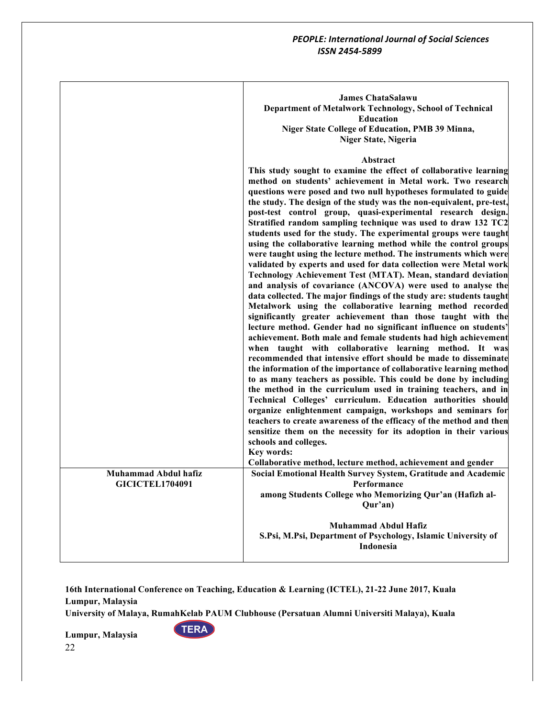|                                                       | <b>James ChataSalawu</b><br>Department of Metalwork Technology, School of Technical<br><b>Education</b><br>Niger State College of Education, PMB 39 Minna,<br><b>Niger State, Nigeria</b>                                                                                                                                                                                                                                                                                                                                                                                                                                                                                                                                                                                                                                                                                                                                                                                                                                                                                                                                                                                                                                                                                                                                                                                                                                                                                                                                                                                                                                                                                                                                                                                                                                                                                                                          |
|-------------------------------------------------------|--------------------------------------------------------------------------------------------------------------------------------------------------------------------------------------------------------------------------------------------------------------------------------------------------------------------------------------------------------------------------------------------------------------------------------------------------------------------------------------------------------------------------------------------------------------------------------------------------------------------------------------------------------------------------------------------------------------------------------------------------------------------------------------------------------------------------------------------------------------------------------------------------------------------------------------------------------------------------------------------------------------------------------------------------------------------------------------------------------------------------------------------------------------------------------------------------------------------------------------------------------------------------------------------------------------------------------------------------------------------------------------------------------------------------------------------------------------------------------------------------------------------------------------------------------------------------------------------------------------------------------------------------------------------------------------------------------------------------------------------------------------------------------------------------------------------------------------------------------------------------------------------------------------------|
|                                                       | Abstract<br>This study sought to examine the effect of collaborative learning<br>method on students' achievement in Metal work. Two research<br>questions were posed and two null hypotheses formulated to guide<br>the study. The design of the study was the non-equivalent, pre-test,<br>post-test control group, quasi-experimental research design.<br>Stratified random sampling technique was used to draw 132 TC2<br>students used for the study. The experimental groups were taught<br>using the collaborative learning method while the control groups<br>were taught using the lecture method. The instruments which were<br>validated by experts and used for data collection were Metal work<br>Technology Achievement Test (MTAT). Mean, standard deviation<br>and analysis of covariance (ANCOVA) were used to analyse the<br>data collected. The major findings of the study are: students taught<br>Metalwork using the collaborative learning method recorded<br>significantly greater achievement than those taught with the<br>lecture method. Gender had no significant influence on students'<br>achievement. Both male and female students had high achievement<br>when taught with collaborative learning method. It was<br>recommended that intensive effort should be made to disseminate<br>the information of the importance of collaborative learning method<br>to as many teachers as possible. This could be done by including<br>the method in the curriculum used in training teachers, and in<br>Technical Colleges' curriculum. Education authorities should<br>organize enlightenment campaign, workshops and seminars for<br>teachers to create awareness of the efficacy of the method and then<br>sensitize them on the necessity for its adoption in their various<br>schools and colleges.<br>Key words:<br>Collaborative method, lecture method, achievement and gender |
| <b>Muhammad Abdul hafiz</b><br><b>GICICTEL1704091</b> | Social Emotional Health Survey System, Gratitude and Academic<br>Performance<br>among Students College who Memorizing Qur'an (Hafizh al-<br>Qur'an)                                                                                                                                                                                                                                                                                                                                                                                                                                                                                                                                                                                                                                                                                                                                                                                                                                                                                                                                                                                                                                                                                                                                                                                                                                                                                                                                                                                                                                                                                                                                                                                                                                                                                                                                                                |
|                                                       | <b>Muhammad Abdul Hafiz</b><br>S.Psi, M.Psi, Department of Psychology, Islamic University of<br>Indonesia                                                                                                                                                                                                                                                                                                                                                                                                                                                                                                                                                                                                                                                                                                                                                                                                                                                                                                                                                                                                                                                                                                                                                                                                                                                                                                                                                                                                                                                                                                                                                                                                                                                                                                                                                                                                          |

**University of Malaya, RumahKelab PAUM Clubhouse (Persatuan Alumni Universiti Malaya), Kuala** 

**TERA**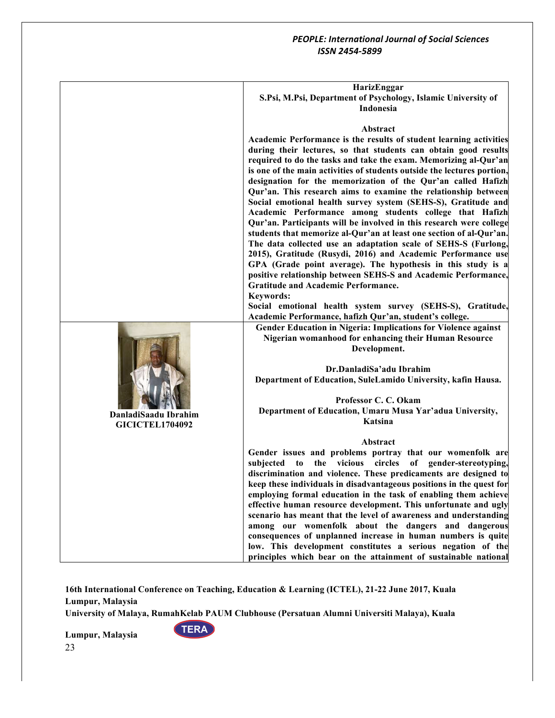|                                                | HarizEnggar                                                                                                                             |
|------------------------------------------------|-----------------------------------------------------------------------------------------------------------------------------------------|
|                                                | S.Psi, M.Psi, Department of Psychology, Islamic University of<br>Indonesia                                                              |
|                                                | Abstract                                                                                                                                |
|                                                | Academic Performance is the results of student learning activities                                                                      |
|                                                | during their lectures, so that students can obtain good results                                                                         |
|                                                | required to do the tasks and take the exam. Memorizing al-Qur'an                                                                        |
|                                                | is one of the main activities of students outside the lectures portion,<br>designation for the memorization of the Qur'an called Hafizh |
|                                                | Qur'an. This research aims to examine the relationship between                                                                          |
|                                                | Social emotional health survey system (SEHS-S), Gratitude and                                                                           |
|                                                | Academic Performance among students college that Hafizh                                                                                 |
|                                                | Qur'an. Participants will be involved in this research were college                                                                     |
|                                                | students that memorize al-Qur'an at least one section of al-Qur'an.<br>The data collected use an adaptation scale of SEHS-S (Furlong,   |
|                                                | 2015), Gratitude (Rusydi, 2016) and Academic Performance use                                                                            |
|                                                | GPA (Grade point average). The hypothesis in this study is a                                                                            |
|                                                | positive relationship between SEHS-S and Academic Performance,                                                                          |
|                                                | <b>Gratitude and Academic Performance.</b>                                                                                              |
|                                                | <b>Keywords:</b><br>Social emotional health system survey (SEHS-S), Gratitude,                                                          |
|                                                | Academic Performance, hafizh Qur'an, student's college.                                                                                 |
|                                                | Gender Education in Nigeria: Implications for Violence against                                                                          |
|                                                | Nigerian womanhood for enhancing their Human Resource                                                                                   |
|                                                | Development.                                                                                                                            |
|                                                | Dr.DanladiSa'adu Ibrahim                                                                                                                |
|                                                | Department of Education, SuleLamido University, kafin Hausa.                                                                            |
|                                                |                                                                                                                                         |
|                                                | Professor C. C. Okam<br>Department of Education, Umaru Musa Yar'adua University,                                                        |
| DanladiSaadu Ibrahim<br><b>GICICTEL1704092</b> | Katsina                                                                                                                                 |
|                                                |                                                                                                                                         |
|                                                | Abstract                                                                                                                                |
|                                                | Gender issues and problems portray that our womenfolk are<br>subjected<br>the vicious<br>circles of gender-stereotyping,<br>to          |
|                                                | discrimination and violence. These predicaments are designed to                                                                         |
|                                                | keep these individuals in disadvantageous positions in the quest for                                                                    |
|                                                | employing formal education in the task of enabling them achieve                                                                         |
|                                                | effective human resource development. This unfortunate and ugly<br>scenario has meant that the level of awareness and understanding     |
|                                                | among our womenfolk about the dangers and dangerous                                                                                     |
|                                                | consequences of unplanned increase in human numbers is quite                                                                            |
|                                                | low. This development constitutes a serious negation of the                                                                             |
|                                                | principles which bear on the attainment of sustainable national                                                                         |

**16th International Conference on Teaching, Education & Learning (ICTEL), 21-22 June 2017, Kuala Lumpur, Malaysia**

**University of Malaya, RumahKelab PAUM Clubhouse (Persatuan Alumni Universiti Malaya), Kuala** 

**TERA**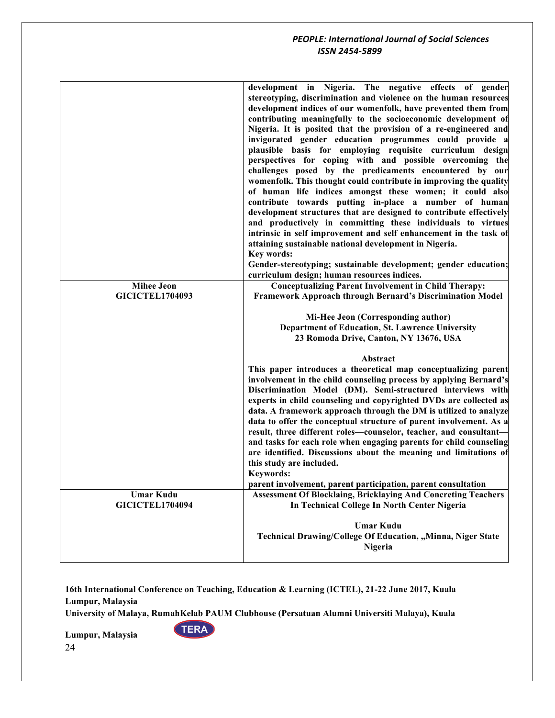|                        | development in Nigeria. The negative effects of gender<br>stereotyping, discrimination and violence on the human resources<br>development indices of our womenfolk, have prevented them from<br>contributing meaningfully to the socioeconomic development of<br>Nigeria. It is posited that the provision of a re-engineered and<br>invigorated gender education programmes could provide a<br>plausible basis for employing requisite curriculum design<br>perspectives for coping with and possible overcoming the<br>challenges posed by the predicaments encountered by our<br>womenfolk. This thought could contribute in improving the quality<br>of human life indices amongst these women; it could also<br>contribute towards putting in-place a number of human<br>development structures that are designed to contribute effectively<br>and productively in committing these individuals to virtues<br>intrinsic in self improvement and self enhancement in the task of<br>attaining sustainable national development in Nigeria.<br>Key words:<br>Gender-stereotyping; sustainable development; gender education;<br>curriculum design; human resources indices. |
|------------------------|--------------------------------------------------------------------------------------------------------------------------------------------------------------------------------------------------------------------------------------------------------------------------------------------------------------------------------------------------------------------------------------------------------------------------------------------------------------------------------------------------------------------------------------------------------------------------------------------------------------------------------------------------------------------------------------------------------------------------------------------------------------------------------------------------------------------------------------------------------------------------------------------------------------------------------------------------------------------------------------------------------------------------------------------------------------------------------------------------------------------------------------------------------------------------------|
|                        |                                                                                                                                                                                                                                                                                                                                                                                                                                                                                                                                                                                                                                                                                                                                                                                                                                                                                                                                                                                                                                                                                                                                                                                |
| <b>Mihee Jeon</b>      | <b>Conceptualizing Parent Involvement in Child Therapy:</b>                                                                                                                                                                                                                                                                                                                                                                                                                                                                                                                                                                                                                                                                                                                                                                                                                                                                                                                                                                                                                                                                                                                    |
| <b>GICICTEL1704093</b> | Framework Approach through Bernard's Discrimination Model                                                                                                                                                                                                                                                                                                                                                                                                                                                                                                                                                                                                                                                                                                                                                                                                                                                                                                                                                                                                                                                                                                                      |
|                        | Mi-Hee Jeon (Corresponding author)<br>Department of Education, St. Lawrence University<br>23 Romoda Drive, Canton, NY 13676, USA<br>Abstract                                                                                                                                                                                                                                                                                                                                                                                                                                                                                                                                                                                                                                                                                                                                                                                                                                                                                                                                                                                                                                   |
|                        | This paper introduces a theoretical map conceptualizing parent<br>involvement in the child counseling process by applying Bernard's<br>Discrimination Model (DM). Semi-structured interviews with<br>experts in child counseling and copyrighted DVDs are collected as<br>data. A framework approach through the DM is utilized to analyze<br>data to offer the conceptual structure of parent involvement. As a<br>result, three different roles-counselor, teacher, and consultant-<br>and tasks for each role when engaging parents for child counseling<br>are identified. Discussions about the meaning and limitations of<br>this study are included.<br>Keywords:<br>parent involvement, parent participation, parent consultation                                                                                                                                                                                                                                                                                                                                                                                                                                      |
| <b>Umar Kudu</b>       | <b>Assessment Of Blocklaing, Bricklaying And Concreting Teachers</b>                                                                                                                                                                                                                                                                                                                                                                                                                                                                                                                                                                                                                                                                                                                                                                                                                                                                                                                                                                                                                                                                                                           |
| <b>GICICTEL1704094</b> | In Technical College In North Center Nigeria                                                                                                                                                                                                                                                                                                                                                                                                                                                                                                                                                                                                                                                                                                                                                                                                                                                                                                                                                                                                                                                                                                                                   |
|                        | <b>Umar Kudu</b><br>Technical Drawing/College Of Education, "Minna, Niger State<br>Nigeria                                                                                                                                                                                                                                                                                                                                                                                                                                                                                                                                                                                                                                                                                                                                                                                                                                                                                                                                                                                                                                                                                     |

**16th International Conference on Teaching, Education & Learning (ICTEL), 21-22 June 2017, Kuala Lumpur, Malaysia**

**University of Malaya, RumahKelab PAUM Clubhouse (Persatuan Alumni Universiti Malaya), Kuala** 

**TERA**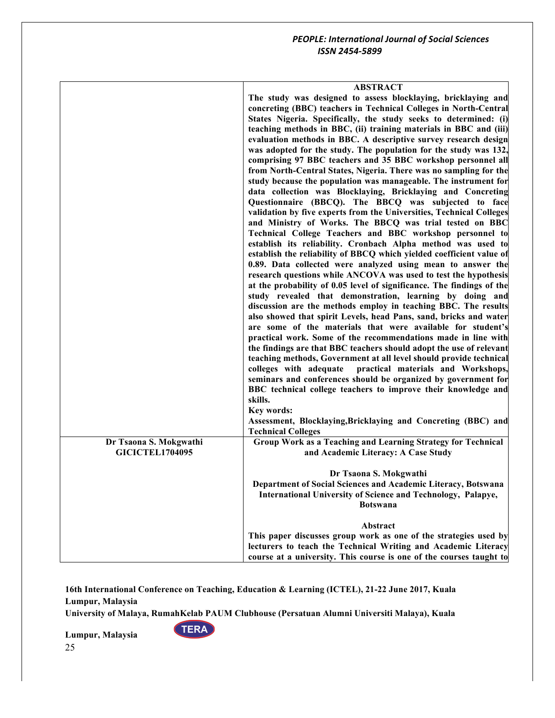|                                                  | <b>ABSTRACT</b><br>The study was designed to assess blocklaying, bricklaying and<br>concreting (BBC) teachers in Technical Colleges in North-Central<br>States Nigeria. Specifically, the study seeks to determined: (i)<br>teaching methods in BBC, (ii) training materials in BBC and (iii)<br>evaluation methods in BBC. A descriptive survey research design<br>was adopted for the study. The population for the study was 132,<br>comprising 97 BBC teachers and 35 BBC workshop personnel all<br>from North-Central States, Nigeria. There was no sampling for the<br>study because the population was manageable. The instrument for<br>data collection was Blocklaying, Bricklaying and Concreting<br>Questionnaire (BBCQ). The BBCQ was subjected to face<br>validation by five experts from the Universities, Technical Colleges<br>and Ministry of Works. The BBCQ was trial tested on BBC<br>Technical College Teachers and BBC workshop personnel to<br>establish its reliability. Cronbach Alpha method was used to<br>establish the reliability of BBCQ which yielded coefficient value of<br>0.89. Data collected were analyzed using mean to answer the<br>research questions while ANCOVA was used to test the hypothesis<br>at the probability of 0.05 level of significance. The findings of the<br>study revealed that demonstration, learning by doing and<br>discussion are the methods employ in teaching BBC. The results<br>also showed that spirit Levels, head Pans, sand, bricks and water<br>are some of the materials that were available for student's<br>practical work. Some of the recommendations made in line with<br>the findings are that BBC teachers should adopt the use of relevant<br>teaching methods, Government at all level should provide technical<br>colleges with adequate<br>practical materials and Workshops,<br>seminars and conferences should be organized by government for<br>BBC technical college teachers to improve their knowledge and<br>skills.<br>Key words:<br>Assessment, Blocklaying, Bricklaying and Concreting (BBC) and<br><b>Technical Colleges</b> |
|--------------------------------------------------|---------------------------------------------------------------------------------------------------------------------------------------------------------------------------------------------------------------------------------------------------------------------------------------------------------------------------------------------------------------------------------------------------------------------------------------------------------------------------------------------------------------------------------------------------------------------------------------------------------------------------------------------------------------------------------------------------------------------------------------------------------------------------------------------------------------------------------------------------------------------------------------------------------------------------------------------------------------------------------------------------------------------------------------------------------------------------------------------------------------------------------------------------------------------------------------------------------------------------------------------------------------------------------------------------------------------------------------------------------------------------------------------------------------------------------------------------------------------------------------------------------------------------------------------------------------------------------------------------------------------------------------------------------------------------------------------------------------------------------------------------------------------------------------------------------------------------------------------------------------------------------------------------------------------------------------------------------------------------------------------------------------------------------------------------------------------------------------------------------------------------------|
| Dr Tsaona S. Mokgwathi<br><b>GICICTEL1704095</b> | Group Work as a Teaching and Learning Strategy for Technical<br>and Academic Literacy: A Case Study                                                                                                                                                                                                                                                                                                                                                                                                                                                                                                                                                                                                                                                                                                                                                                                                                                                                                                                                                                                                                                                                                                                                                                                                                                                                                                                                                                                                                                                                                                                                                                                                                                                                                                                                                                                                                                                                                                                                                                                                                             |
|                                                  | Dr Tsaona S. Mokgwathi<br>Department of Social Sciences and Academic Literacy, Botswana<br>International University of Science and Technology, Palapye,<br><b>Botswana</b>                                                                                                                                                                                                                                                                                                                                                                                                                                                                                                                                                                                                                                                                                                                                                                                                                                                                                                                                                                                                                                                                                                                                                                                                                                                                                                                                                                                                                                                                                                                                                                                                                                                                                                                                                                                                                                                                                                                                                      |
|                                                  | Abstract<br>This paper discusses group work as one of the strategies used by<br>lecturers to teach the Technical Writing and Academic Literacy<br>course at a university. This course is one of the courses taught to                                                                                                                                                                                                                                                                                                                                                                                                                                                                                                                                                                                                                                                                                                                                                                                                                                                                                                                                                                                                                                                                                                                                                                                                                                                                                                                                                                                                                                                                                                                                                                                                                                                                                                                                                                                                                                                                                                           |

**16th International Conference on Teaching, Education & Learning (ICTEL), 21-22 June 2017, Kuala Lumpur, Malaysia**

**University of Malaya, RumahKelab PAUM Clubhouse (Persatuan Alumni Universiti Malaya), Kuala** 

**TERA**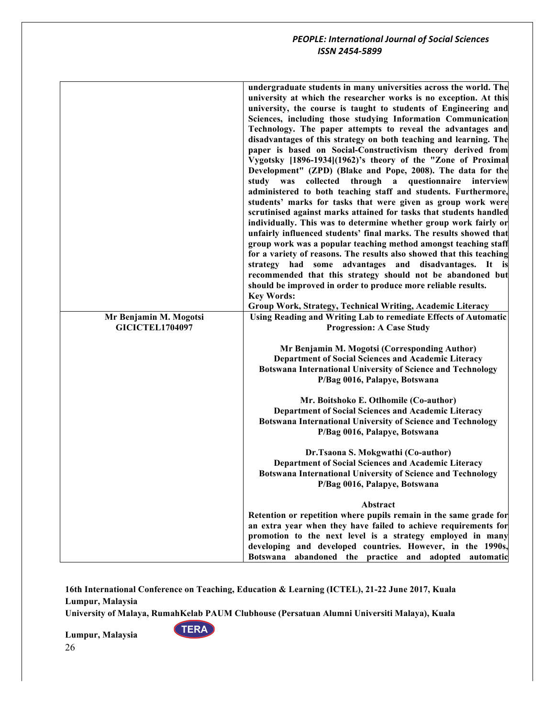|                        | undergraduate students in many universities across the world. The<br>university at which the researcher works is no exception. At this<br>university, the course is taught to students of Engineering and<br>Sciences, including those studying Information Communication<br>Technology. The paper attempts to reveal the advantages and<br>disadvantages of this strategy on both teaching and learning. The<br>paper is based on Social-Constructivism theory derived from<br>Vygotsky [1896-1934](1962)'s theory of the "Zone of Proximal<br>Development" (ZPD) (Blake and Pope, 2008). The data for the<br>study was collected through a questionnaire interview<br>administered to both teaching staff and students. Furthermore,<br>students' marks for tasks that were given as group work were<br>scrutinised against marks attained for tasks that students handled<br>individually. This was to determine whether group work fairly or<br>unfairly influenced students' final marks. The results showed that<br>group work was a popular teaching method amongst teaching staff<br>for a variety of reasons. The results also showed that this teaching<br>strategy had some advantages and disadvantages. It is<br>recommended that this strategy should not be abandoned but<br>should be improved in order to produce more reliable results.<br><b>Key Words:</b> |
|------------------------|--------------------------------------------------------------------------------------------------------------------------------------------------------------------------------------------------------------------------------------------------------------------------------------------------------------------------------------------------------------------------------------------------------------------------------------------------------------------------------------------------------------------------------------------------------------------------------------------------------------------------------------------------------------------------------------------------------------------------------------------------------------------------------------------------------------------------------------------------------------------------------------------------------------------------------------------------------------------------------------------------------------------------------------------------------------------------------------------------------------------------------------------------------------------------------------------------------------------------------------------------------------------------------------------------------------------------------------------------------------------------------|
|                        |                                                                                                                                                                                                                                                                                                                                                                                                                                                                                                                                                                                                                                                                                                                                                                                                                                                                                                                                                                                                                                                                                                                                                                                                                                                                                                                                                                                |
|                        | Group Work, Strategy, Technical Writing, Academic Literacy                                                                                                                                                                                                                                                                                                                                                                                                                                                                                                                                                                                                                                                                                                                                                                                                                                                                                                                                                                                                                                                                                                                                                                                                                                                                                                                     |
| Mr Benjamin M. Mogotsi | Using Reading and Writing Lab to remediate Effects of Automatic                                                                                                                                                                                                                                                                                                                                                                                                                                                                                                                                                                                                                                                                                                                                                                                                                                                                                                                                                                                                                                                                                                                                                                                                                                                                                                                |
| <b>GICICTEL1704097</b> | <b>Progression: A Case Study</b>                                                                                                                                                                                                                                                                                                                                                                                                                                                                                                                                                                                                                                                                                                                                                                                                                                                                                                                                                                                                                                                                                                                                                                                                                                                                                                                                               |
|                        | Mr Benjamin M. Mogotsi (Corresponding Author)<br>Department of Social Sciences and Academic Literacy<br><b>Botswana International University of Science and Technology</b><br>P/Bag 0016, Palapye, Botswana                                                                                                                                                                                                                                                                                                                                                                                                                                                                                                                                                                                                                                                                                                                                                                                                                                                                                                                                                                                                                                                                                                                                                                    |
|                        |                                                                                                                                                                                                                                                                                                                                                                                                                                                                                                                                                                                                                                                                                                                                                                                                                                                                                                                                                                                                                                                                                                                                                                                                                                                                                                                                                                                |
|                        | Mr. Boitshoko E. Otlhomile (Co-author)                                                                                                                                                                                                                                                                                                                                                                                                                                                                                                                                                                                                                                                                                                                                                                                                                                                                                                                                                                                                                                                                                                                                                                                                                                                                                                                                         |
|                        | Department of Social Sciences and Academic Literacy<br><b>Botswana International University of Science and Technology</b>                                                                                                                                                                                                                                                                                                                                                                                                                                                                                                                                                                                                                                                                                                                                                                                                                                                                                                                                                                                                                                                                                                                                                                                                                                                      |
|                        | P/Bag 0016, Palapye, Botswana                                                                                                                                                                                                                                                                                                                                                                                                                                                                                                                                                                                                                                                                                                                                                                                                                                                                                                                                                                                                                                                                                                                                                                                                                                                                                                                                                  |
|                        |                                                                                                                                                                                                                                                                                                                                                                                                                                                                                                                                                                                                                                                                                                                                                                                                                                                                                                                                                                                                                                                                                                                                                                                                                                                                                                                                                                                |
|                        | Dr.Tsaona S. Mokgwathi (Co-author)<br><b>Department of Social Sciences and Academic Literacy</b><br><b>Botswana International University of Science and Technology</b><br>P/Bag 0016, Palapye, Botswana                                                                                                                                                                                                                                                                                                                                                                                                                                                                                                                                                                                                                                                                                                                                                                                                                                                                                                                                                                                                                                                                                                                                                                        |
|                        | Abstract                                                                                                                                                                                                                                                                                                                                                                                                                                                                                                                                                                                                                                                                                                                                                                                                                                                                                                                                                                                                                                                                                                                                                                                                                                                                                                                                                                       |
|                        | Retention or repetition where pupils remain in the same grade for                                                                                                                                                                                                                                                                                                                                                                                                                                                                                                                                                                                                                                                                                                                                                                                                                                                                                                                                                                                                                                                                                                                                                                                                                                                                                                              |
|                        | an extra year when they have failed to achieve requirements for<br>promotion to the next level is a strategy employed in many<br>developing and developed countries. However, in the 1990s,                                                                                                                                                                                                                                                                                                                                                                                                                                                                                                                                                                                                                                                                                                                                                                                                                                                                                                                                                                                                                                                                                                                                                                                    |
|                        | Botswana abandoned the practice and adopted automatic                                                                                                                                                                                                                                                                                                                                                                                                                                                                                                                                                                                                                                                                                                                                                                                                                                                                                                                                                                                                                                                                                                                                                                                                                                                                                                                          |

**16th International Conference on Teaching, Education & Learning (ICTEL), 21-22 June 2017, Kuala Lumpur, Malaysia**

**University of Malaya, RumahKelab PAUM Clubhouse (Persatuan Alumni Universiti Malaya), Kuala** 

**TERA**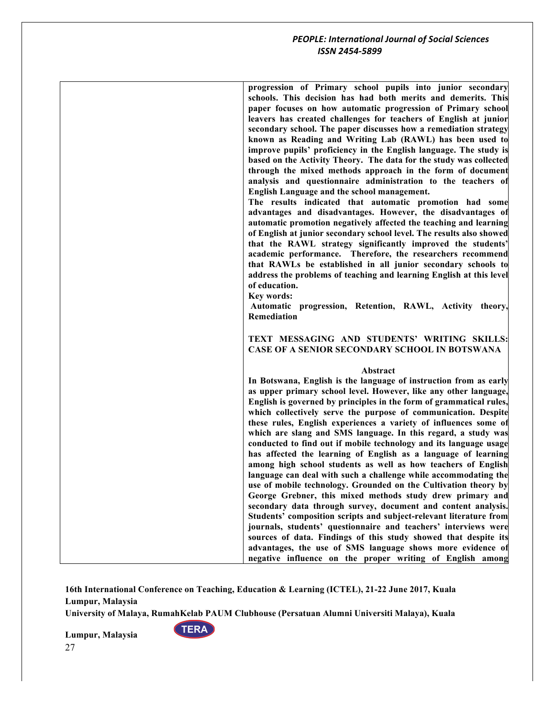| progression of Primary school pupils into junior secondary<br>schools. This decision has had both merits and demerits. This<br>paper focuses on how automatic progression of Primary school<br>leavers has created challenges for teachers of English at junior<br>secondary school. The paper discusses how a remediation strategy<br>known as Reading and Writing Lab (RAWL) has been used to<br>improve pupils' proficiency in the English language. The study is<br>based on the Activity Theory. The data for the study was collected<br>through the mixed methods approach in the form of document<br>analysis and questionnaire administration to the teachers of<br>English Language and the school management.<br>The results indicated that automatic promotion had some<br>advantages and disadvantages. However, the disadvantages of<br>automatic promotion negatively affected the teaching and learning<br>of English at junior secondary school level. The results also showed<br>that the RAWL strategy significantly improved the students'<br>academic performance. Therefore, the researchers recommend<br>that RAWLs be established in all junior secondary schools to<br>address the problems of teaching and learning English at this level<br>of education.<br>Key words:<br>Automatic progression, Retention, RAWL, Activity theory,<br><b>Remediation</b> |
|-------------------------------------------------------------------------------------------------------------------------------------------------------------------------------------------------------------------------------------------------------------------------------------------------------------------------------------------------------------------------------------------------------------------------------------------------------------------------------------------------------------------------------------------------------------------------------------------------------------------------------------------------------------------------------------------------------------------------------------------------------------------------------------------------------------------------------------------------------------------------------------------------------------------------------------------------------------------------------------------------------------------------------------------------------------------------------------------------------------------------------------------------------------------------------------------------------------------------------------------------------------------------------------------------------------------------------------------------------------------------------------|
| TEXT MESSAGING AND STUDENTS' WRITING SKILLS:<br><b>CASE OF A SENIOR SECONDARY SCHOOL IN BOTSWANA</b>                                                                                                                                                                                                                                                                                                                                                                                                                                                                                                                                                                                                                                                                                                                                                                                                                                                                                                                                                                                                                                                                                                                                                                                                                                                                                |
|                                                                                                                                                                                                                                                                                                                                                                                                                                                                                                                                                                                                                                                                                                                                                                                                                                                                                                                                                                                                                                                                                                                                                                                                                                                                                                                                                                                     |
| Abstract<br>In Botswana, English is the language of instruction from as early<br>as upper primary school level. However, like any other language,<br>English is governed by principles in the form of grammatical rules,<br>which collectively serve the purpose of communication. Despite<br>these rules, English experiences a variety of influences some of<br>which are slang and SMS language. In this regard, a study was<br>conducted to find out if mobile technology and its language usage<br>has affected the learning of English as a language of learning<br>among high school students as well as how teachers of English<br>language can deal with such a challenge while accommodating the<br>use of mobile technology. Grounded on the Cultivation theory by<br>George Grebner, this mixed methods study drew primary and<br>secondary data through survey, document and content analysis.<br>Students' composition scripts and subject-relevant literature from<br>journals, students' questionnaire and teachers' interviews were<br>sources of data. Findings of this study showed that despite its<br>advantages, the use of SMS language shows more evidence of<br>negative influence on the proper writing of English among                                                                                                                                  |

**16th International Conference on Teaching, Education & Learning (ICTEL), 21-22 June 2017, Kuala Lumpur, Malaysia**

**University of Malaya, RumahKelab PAUM Clubhouse (Persatuan Alumni Universiti Malaya), Kuala** 

**TERA**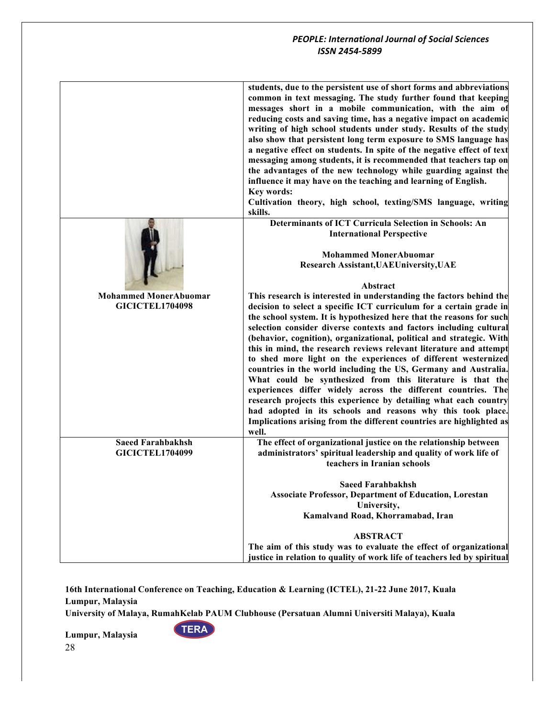|                              | students, due to the persistent use of short forms and abbreviations<br>common in text messaging. The study further found that keeping<br>messages short in a mobile communication, with the aim of<br>reducing costs and saving time, has a negative impact on academic<br>writing of high school students under study. Results of the study<br>also show that persistent long term exposure to SMS language has<br>a negative effect on students. In spite of the negative effect of text<br>messaging among students, it is recommended that teachers tap on<br>the advantages of the new technology while guarding against the<br>influence it may have on the teaching and learning of English.<br>Key words:<br>Cultivation theory, high school, texting/SMS language, writing<br>skills.                                                         |
|------------------------------|---------------------------------------------------------------------------------------------------------------------------------------------------------------------------------------------------------------------------------------------------------------------------------------------------------------------------------------------------------------------------------------------------------------------------------------------------------------------------------------------------------------------------------------------------------------------------------------------------------------------------------------------------------------------------------------------------------------------------------------------------------------------------------------------------------------------------------------------------------|
|                              | <b>Determinants of ICT Curricula Selection in Schools: An</b>                                                                                                                                                                                                                                                                                                                                                                                                                                                                                                                                                                                                                                                                                                                                                                                           |
|                              | <b>International Perspective</b>                                                                                                                                                                                                                                                                                                                                                                                                                                                                                                                                                                                                                                                                                                                                                                                                                        |
|                              | <b>Mohammed MonerAbuomar</b>                                                                                                                                                                                                                                                                                                                                                                                                                                                                                                                                                                                                                                                                                                                                                                                                                            |
|                              | Research Assistant, UAEUniversity, UAE                                                                                                                                                                                                                                                                                                                                                                                                                                                                                                                                                                                                                                                                                                                                                                                                                  |
|                              |                                                                                                                                                                                                                                                                                                                                                                                                                                                                                                                                                                                                                                                                                                                                                                                                                                                         |
|                              | Abstract                                                                                                                                                                                                                                                                                                                                                                                                                                                                                                                                                                                                                                                                                                                                                                                                                                                |
| <b>Mohammed MonerAbuomar</b> | This research is interested in understanding the factors behind the                                                                                                                                                                                                                                                                                                                                                                                                                                                                                                                                                                                                                                                                                                                                                                                     |
| <b>GICICTEL1704098</b>       | decision to select a specific ICT curriculum for a certain grade in<br>the school system. It is hypothesized here that the reasons for such<br>selection consider diverse contexts and factors including cultural<br>(behavior, cognition), organizational, political and strategic. With<br>this in mind, the research reviews relevant literature and attempt<br>to shed more light on the experiences of different westernized<br>countries in the world including the US, Germany and Australia.<br>What could be synthesized from this literature is that the<br>experiences differ widely across the different countries. The<br>research projects this experience by detailing what each country<br>had adopted in its schools and reasons why this took place.<br>Implications arising from the different countries are highlighted as<br>well. |
| <b>Saeed Farahbakhsh</b>     | The effect of organizational justice on the relationship between                                                                                                                                                                                                                                                                                                                                                                                                                                                                                                                                                                                                                                                                                                                                                                                        |
| <b>GICICTEL1704099</b>       | administrators' spiritual leadership and quality of work life of<br>teachers in Iranian schools                                                                                                                                                                                                                                                                                                                                                                                                                                                                                                                                                                                                                                                                                                                                                         |
|                              |                                                                                                                                                                                                                                                                                                                                                                                                                                                                                                                                                                                                                                                                                                                                                                                                                                                         |
|                              | <b>Saeed Farahbakhsh</b>                                                                                                                                                                                                                                                                                                                                                                                                                                                                                                                                                                                                                                                                                                                                                                                                                                |
|                              | <b>Associate Professor, Department of Education, Lorestan</b>                                                                                                                                                                                                                                                                                                                                                                                                                                                                                                                                                                                                                                                                                                                                                                                           |
|                              | University,                                                                                                                                                                                                                                                                                                                                                                                                                                                                                                                                                                                                                                                                                                                                                                                                                                             |
|                              | Kamalvand Road, Khorramabad, Iran                                                                                                                                                                                                                                                                                                                                                                                                                                                                                                                                                                                                                                                                                                                                                                                                                       |
|                              | <b>ABSTRACT</b>                                                                                                                                                                                                                                                                                                                                                                                                                                                                                                                                                                                                                                                                                                                                                                                                                                         |
|                              | The aim of this study was to evaluate the effect of organizational                                                                                                                                                                                                                                                                                                                                                                                                                                                                                                                                                                                                                                                                                                                                                                                      |
|                              | justice in relation to quality of work life of teachers led by spiritual                                                                                                                                                                                                                                                                                                                                                                                                                                                                                                                                                                                                                                                                                                                                                                                |

**16th International Conference on Teaching, Education & Learning (ICTEL), 21-22 June 2017, Kuala Lumpur, Malaysia**

**University of Malaya, RumahKelab PAUM Clubhouse (Persatuan Alumni Universiti Malaya), Kuala** 

**TERA**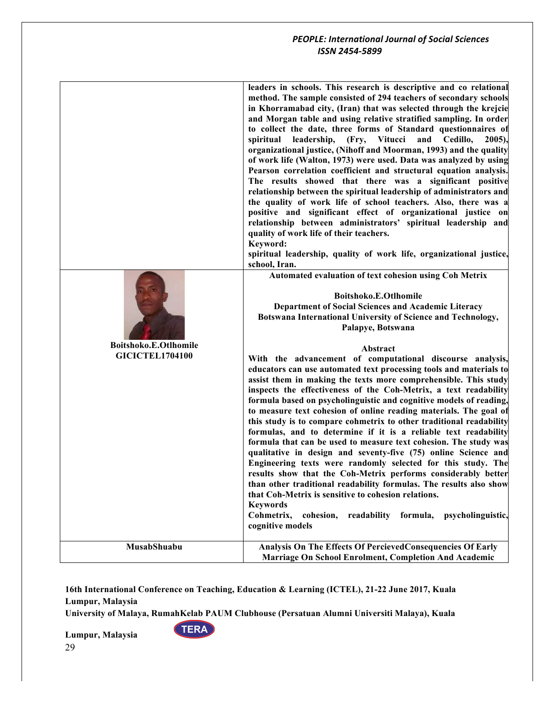| Boitshoko.E.Otlhomile<br><b>GICICTEL1704100</b> | leaders in schools. This research is descriptive and co relational<br>method. The sample consisted of 294 teachers of secondary schools<br>in Khorramabad city, (Iran) that was selected through the krejcie<br>and Morgan table and using relative stratified sampling. In order<br>to collect the date, three forms of Standard questionnaires of<br>leadership,<br>Vitucci<br>and Cedillo,<br>spiritual<br>(Fry,<br>$2005$ ,<br>organizational justice, (Nihoff and Moorman, 1993) and the quality<br>of work life (Walton, 1973) were used. Data was analyzed by using<br>Pearson correlation coefficient and structural equation analysis.<br>The results showed that there was a significant positive<br>relationship between the spiritual leadership of administrators and<br>the quality of work life of school teachers. Also, there was a<br>positive and significant effect of organizational justice on<br>relationship between administrators' spiritual leadership and<br>quality of work life of their teachers.<br>Keyword:<br>spiritual leadership, quality of work life, organizational justice,<br>school, Iran.<br>Automated evaluation of text cohesion using Coh Metrix<br>Boitshoko.E.Otlhomile<br>Department of Social Sciences and Academic Literacy<br>Botswana International University of Science and Technology,<br>Palapye, Botswana<br>Abstract<br>With the advancement of computational discourse analysis,<br>educators can use automated text processing tools and materials to<br>assist them in making the texts more comprehensible. This study<br>inspects the effectiveness of the Coh-Metrix, a text readability<br>formula based on psycholinguistic and cognitive models of reading,<br>to measure text cohesion of online reading materials. The goal of<br>this study is to compare cohmetrix to other traditional readability<br>formulas, and to determine if it is a reliable text readability<br>formula that can be used to measure text cohesion. The study was<br>qualitative in design and seventy-five (75) online Science and<br>Engineering texts were randomly selected for this study. The<br>results show that the Coh-Metrix performs considerably better<br>than other traditional readability formulas. The results also show<br>that Coh-Metrix is sensitive to cohesion relations.<br><b>Keywords</b><br>Cohmetrix,<br>readability formula,<br>cohesion,<br>psycholinguistic, |
|-------------------------------------------------|-----------------------------------------------------------------------------------------------------------------------------------------------------------------------------------------------------------------------------------------------------------------------------------------------------------------------------------------------------------------------------------------------------------------------------------------------------------------------------------------------------------------------------------------------------------------------------------------------------------------------------------------------------------------------------------------------------------------------------------------------------------------------------------------------------------------------------------------------------------------------------------------------------------------------------------------------------------------------------------------------------------------------------------------------------------------------------------------------------------------------------------------------------------------------------------------------------------------------------------------------------------------------------------------------------------------------------------------------------------------------------------------------------------------------------------------------------------------------------------------------------------------------------------------------------------------------------------------------------------------------------------------------------------------------------------------------------------------------------------------------------------------------------------------------------------------------------------------------------------------------------------------------------------------------------------------------------------------------------------------------------------------------------------------------------------------------------------------------------------------------------------------------------------------------------------------------------------------------------------------------------------------------------------------------------------------------------------------------------------------------------------------------------------------------------------------------|
| MusabShuabu                                     | cognitive models<br>Analysis On The Effects Of PercievedConsequencies Of Early<br><b>Marriage On School Enrolment, Completion And Academic</b>                                                                                                                                                                                                                                                                                                                                                                                                                                                                                                                                                                                                                                                                                                                                                                                                                                                                                                                                                                                                                                                                                                                                                                                                                                                                                                                                                                                                                                                                                                                                                                                                                                                                                                                                                                                                                                                                                                                                                                                                                                                                                                                                                                                                                                                                                                |

**University of Malaya, RumahKelab PAUM Clubhouse (Persatuan Alumni Universiti Malaya), Kuala** 

**TERA**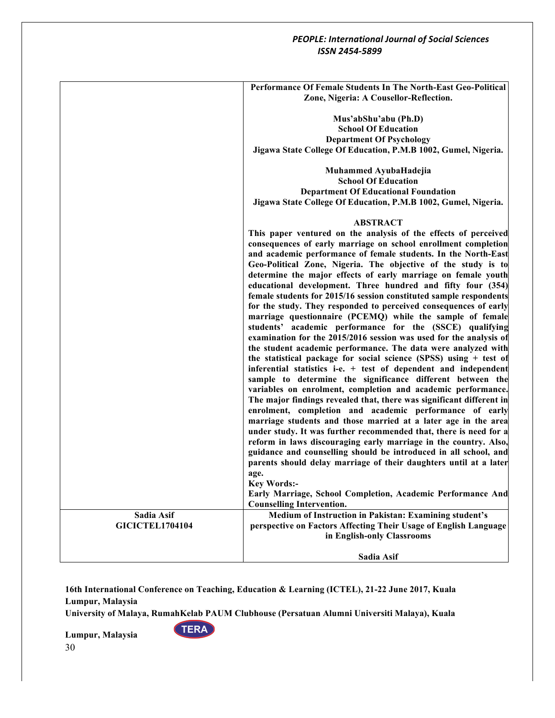|                        | Performance Of Female Students In The North-East Geo-Political       |
|------------------------|----------------------------------------------------------------------|
|                        | Zone, Nigeria: A Cousellor-Reflection.                               |
|                        |                                                                      |
|                        | Mus'abShu'abu (Ph.D)                                                 |
|                        | <b>School Of Education</b>                                           |
|                        | <b>Department Of Psychology</b>                                      |
|                        | Jigawa State College Of Education, P.M.B 1002, Gumel, Nigeria.       |
|                        |                                                                      |
|                        | Muhammed AyubaHadejia                                                |
|                        | <b>School Of Education</b>                                           |
|                        | <b>Department Of Educational Foundation</b>                          |
|                        |                                                                      |
|                        | Jigawa State College Of Education, P.M.B 1002, Gumel, Nigeria.       |
|                        | <b>ABSTRACT</b>                                                      |
|                        | This paper ventured on the analysis of the effects of perceived      |
|                        | consequences of early marriage on school enrollment completion       |
|                        | and academic performance of female students. In the North-East       |
|                        | Geo-Political Zone, Nigeria. The objective of the study is to        |
|                        | determine the major effects of early marriage on female youth        |
|                        | educational development. Three hundred and fifty four (354)          |
|                        | female students for 2015/16 session constituted sample respondents   |
|                        | for the study. They responded to perceived consequences of early     |
|                        | marriage questionnaire (PCEMQ) while the sample of female            |
|                        | students' academic performance for the (SSCE) qualifying             |
|                        | examination for the 2015/2016 session was used for the analysis of   |
|                        | the student academic performance. The data were analyzed with        |
|                        | the statistical package for social science (SPSS) using + test of    |
|                        | inferential statistics i-e. + test of dependent and independent      |
|                        | sample to determine the significance different between the           |
|                        | variables on enrolment, completion and academic performance.         |
|                        | The major findings revealed that, there was significant different in |
|                        | enrolment, completion and academic performance of early              |
|                        | marriage students and those married at a later age in the area       |
|                        | under study. It was further recommended that, there is need for a    |
|                        |                                                                      |
|                        | reform in laws discouraging early marriage in the country. Also,     |
|                        | guidance and counselling should be introduced in all school, and     |
|                        | parents should delay marriage of their daughters until at a later    |
|                        | age.                                                                 |
|                        | <b>Key Words:-</b>                                                   |
|                        | Early Marriage, School Completion, Academic Performance And          |
|                        | <b>Counselling Intervention.</b>                                     |
| Sadia Asif             | Medium of Instruction in Pakistan: Examining student's               |
| <b>GICICTEL1704104</b> | perspective on Factors Affecting Their Usage of English Language     |
|                        | in English-only Classrooms                                           |
|                        |                                                                      |
|                        | Sadia Asif                                                           |

**16th International Conference on Teaching, Education & Learning (ICTEL), 21-22 June 2017, Kuala Lumpur, Malaysia**

**University of Malaya, RumahKelab PAUM Clubhouse (Persatuan Alumni Universiti Malaya), Kuala** 

**TERA**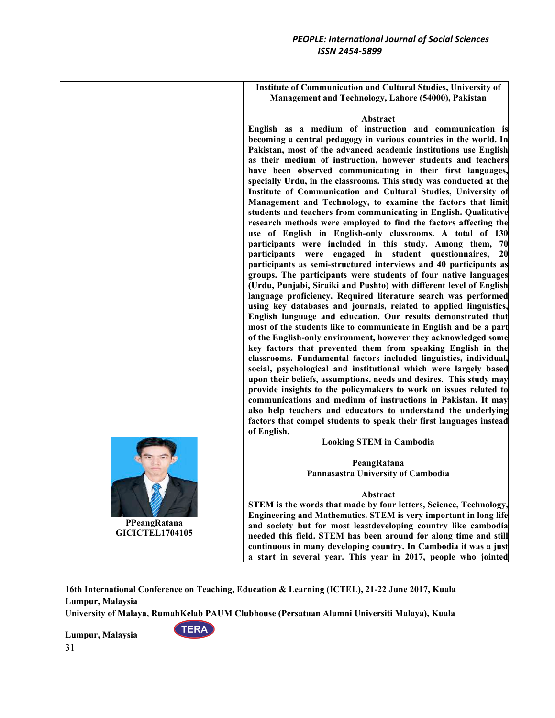**Institute of Communication and Cultural Studies, University of Management and Technology, Lahore (54000), Pakistan**

#### **Abstract**

**English as a medium of instruction and communication is becoming a central pedagogy in various countries in the world. In Pakistan, most of the advanced academic institutions use English as their medium of instruction, however students and teachers have been observed communicating in their first languages, specially Urdu, in the classrooms. This study was conducted at the Institute of Communication and Cultural Studies, University of Management and Technology, to examine the factors that limit students and teachers from communicating in English. Qualitative research methods were employed to find the factors affecting the use of English in English-only classrooms. A total of 130 participants were included in this study. Among them, 70 participants were engaged in student questionnaires, 20 participants as semi-structured interviews and 40 participants as groups. The participants were students of four native languages (Urdu, Punjabi, Siraiki and Pushto) with different level of English language proficiency. Required literature search was performed using key databases and journals, related to applied linguistics, English language and education. Our results demonstrated that most of the students like to communicate in English and be a part of the English-only environment, however they acknowledged some key factors that prevented them from speaking English in the classrooms. Fundamental factors included linguistics, individual, social, psychological and institutional which were largely based upon their beliefs, assumptions, needs and desires. This study may provide insights to the policymakers to work on issues related to communications and medium of instructions in Pakistan. It may also help teachers and educators to understand the underlying factors that compel students to speak their first languages instead of English. Looking STEM in Cambodia PeangRatana Pannasastra University of Cambodia**



**GICICTEL1704105**

**TERA** 

**Abstract STEM is the words that made by four letters, Science, Technology, Engineering and Mathematics. STEM is very important in long life and society but for most leastdeveloping country like cambodia needed this field. STEM has been around for along time and still continuous in many developing country. In Cambodia it was a just a start in several year. This year in 2017, people who jointed** 

**16th International Conference on Teaching, Education & Learning (ICTEL), 21-22 June 2017, Kuala Lumpur, Malaysia**

**University of Malaya, RumahKelab PAUM Clubhouse (Persatuan Alumni Universiti Malaya), Kuala**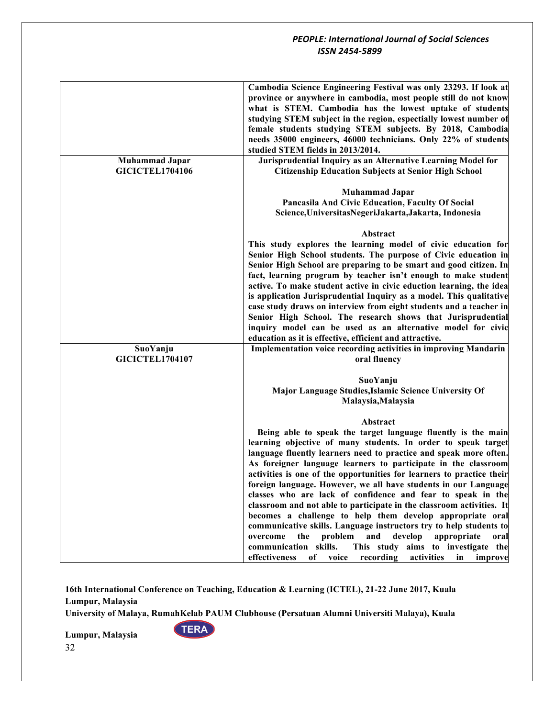|                                                 | Cambodia Science Engineering Festival was only 23293. If look at<br>province or anywhere in cambodia, most people still do not know<br>what is STEM. Cambodia has the lowest uptake of students<br>studying STEM subject in the region, espectially lowest number of<br>female students studying STEM subjects. By 2018, Cambodia<br>needs 35000 engineers, 46000 technicians. Only 22% of students<br>studied STEM fields in 2013/2014.                                                                                                                                                                                                                                                                                                                                                                                                                                                                                     |
|-------------------------------------------------|------------------------------------------------------------------------------------------------------------------------------------------------------------------------------------------------------------------------------------------------------------------------------------------------------------------------------------------------------------------------------------------------------------------------------------------------------------------------------------------------------------------------------------------------------------------------------------------------------------------------------------------------------------------------------------------------------------------------------------------------------------------------------------------------------------------------------------------------------------------------------------------------------------------------------|
| <b>Muhammad Japar</b><br><b>GICICTEL1704106</b> | Jurisprudential Inquiry as an Alternative Learning Model for<br><b>Citizenship Education Subjects at Senior High School</b>                                                                                                                                                                                                                                                                                                                                                                                                                                                                                                                                                                                                                                                                                                                                                                                                  |
|                                                 | <b>Muhammad Japar</b><br>Pancasila And Civic Education, Faculty Of Social<br>Science, Universitas Negeri Jakarta, Jakarta, Indonesia                                                                                                                                                                                                                                                                                                                                                                                                                                                                                                                                                                                                                                                                                                                                                                                         |
|                                                 | Abstract<br>This study explores the learning model of civic education for<br>Senior High School students. The purpose of Civic education in<br>Senior High School are preparing to be smart and good citizen. In<br>fact, learning program by teacher isn't enough to make student<br>active. To make student active in civic eduction learning, the idea<br>is application Jurisprudential Inquiry as a model. This qualitative<br>case study draws on interview from eight students and a teacher in<br>Senior High School. The research shows that Jurisprudential<br>inquiry model can be used as an alternative model for civic                                                                                                                                                                                                                                                                                         |
| SuoYanju<br><b>GICICTEL1704107</b>              | education as it is effective, efficient and attractive.<br>Implementation voice recording activities in improving Mandarin<br>oral fluency                                                                                                                                                                                                                                                                                                                                                                                                                                                                                                                                                                                                                                                                                                                                                                                   |
|                                                 | SuoYanju<br>Major Language Studies, Islamic Science University Of<br>Malaysia, Malaysia                                                                                                                                                                                                                                                                                                                                                                                                                                                                                                                                                                                                                                                                                                                                                                                                                                      |
|                                                 | Abstract<br>Being able to speak the target language fluently is the main<br>learning objective of many students. In order to speak target<br>language fluently learners need to practice and speak more often.<br>As foreigner language learners to participate in the classroom<br>activities is one of the opportunities for learners to practice their<br>foreign language. However, we all have students in our Language<br>classes who are lack of confidence and fear to speak in the<br>classroom and not able to participate in the classroom activities. It<br>becomes a challenge to help them develop appropriate oral<br>communicative skills. Language instructors try to help students to<br>the<br>problem<br>and<br>develop<br>appropriate<br>overcome<br>oral<br>communication skills.<br>This study<br>aims to investigate the<br>effectiveness<br>of<br>voice<br>recording<br>activities<br>in<br>improve |

**16th International Conference on Teaching, Education & Learning (ICTEL), 21-22 June 2017, Kuala Lumpur, Malaysia**

**University of Malaya, RumahKelab PAUM Clubhouse (Persatuan Alumni Universiti Malaya), Kuala** 

**TERA**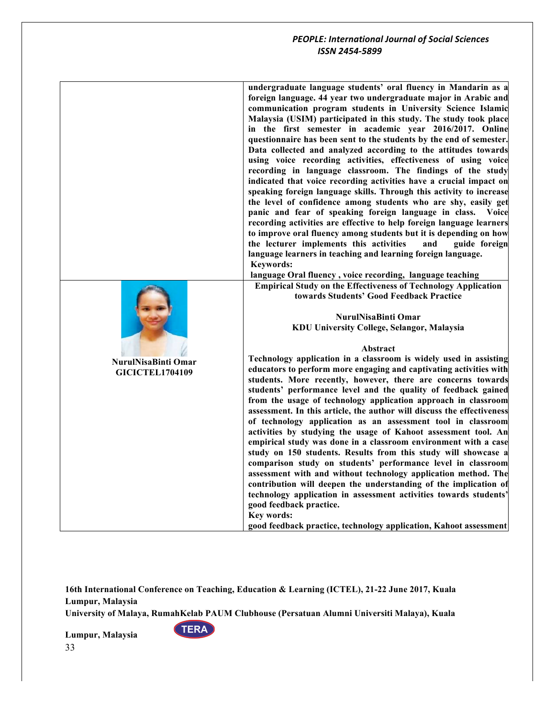|                            | undergraduate language students' oral fluency in Mandarin as a<br>foreign language. 44 year two undergraduate major in Arabic and<br>communication program students in University Science Islamic<br>Malaysia (USIM) participated in this study. The study took place<br>in the first semester in academic year 2016/2017. Online<br>questionnaire has been sent to the students by the end of semester.<br>Data collected and analyzed according to the attitudes towards<br>using voice recording activities, effectiveness of using voice<br>recording in language classroom. The findings of the study<br>indicated that voice recording activities have a crucial impact on<br>speaking foreign language skills. Through this activity to increase<br>the level of confidence among students who are shy, easily get<br>panic and fear of speaking foreign language in class.<br>Voice<br>recording activities are effective to help foreign language learners<br>to improve oral fluency among students but it is depending on how<br>the lecturer implements this activities<br>and<br>guide foreign<br>language learners in teaching and learning foreign language.<br><b>Keywords:</b><br>language Oral fluency, voice recording, language teaching<br><b>Empirical Study on the Effectiveness of Technology Application</b><br>towards Students' Good Feedback Practice |
|----------------------------|-----------------------------------------------------------------------------------------------------------------------------------------------------------------------------------------------------------------------------------------------------------------------------------------------------------------------------------------------------------------------------------------------------------------------------------------------------------------------------------------------------------------------------------------------------------------------------------------------------------------------------------------------------------------------------------------------------------------------------------------------------------------------------------------------------------------------------------------------------------------------------------------------------------------------------------------------------------------------------------------------------------------------------------------------------------------------------------------------------------------------------------------------------------------------------------------------------------------------------------------------------------------------------------------------------------------------------------------------------------------------------------|
|                            |                                                                                                                                                                                                                                                                                                                                                                                                                                                                                                                                                                                                                                                                                                                                                                                                                                                                                                                                                                                                                                                                                                                                                                                                                                                                                                                                                                                   |
|                            | NurulNisaBinti Omar                                                                                                                                                                                                                                                                                                                                                                                                                                                                                                                                                                                                                                                                                                                                                                                                                                                                                                                                                                                                                                                                                                                                                                                                                                                                                                                                                               |
|                            | KDU University College, Selangor, Malaysia                                                                                                                                                                                                                                                                                                                                                                                                                                                                                                                                                                                                                                                                                                                                                                                                                                                                                                                                                                                                                                                                                                                                                                                                                                                                                                                                        |
|                            | Abstract                                                                                                                                                                                                                                                                                                                                                                                                                                                                                                                                                                                                                                                                                                                                                                                                                                                                                                                                                                                                                                                                                                                                                                                                                                                                                                                                                                          |
| <b>NurulNisaBinti Omar</b> | Technology application in a classroom is widely used in assisting                                                                                                                                                                                                                                                                                                                                                                                                                                                                                                                                                                                                                                                                                                                                                                                                                                                                                                                                                                                                                                                                                                                                                                                                                                                                                                                 |
| <b>GICICTEL1704109</b>     | educators to perform more engaging and captivating activities with                                                                                                                                                                                                                                                                                                                                                                                                                                                                                                                                                                                                                                                                                                                                                                                                                                                                                                                                                                                                                                                                                                                                                                                                                                                                                                                |
|                            | students. More recently, however, there are concerns towards<br>students' performance level and the quality of feedback gained                                                                                                                                                                                                                                                                                                                                                                                                                                                                                                                                                                                                                                                                                                                                                                                                                                                                                                                                                                                                                                                                                                                                                                                                                                                    |
|                            | from the usage of technology application approach in classroom<br>assessment. In this article, the author will discuss the effectiveness<br>of technology application as an assessment tool in classroom<br>activities by studying the usage of Kahoot assessment tool. An<br>empirical study was done in a classroom environment with a case<br>study on 150 students. Results from this study will showcase a                                                                                                                                                                                                                                                                                                                                                                                                                                                                                                                                                                                                                                                                                                                                                                                                                                                                                                                                                                   |
|                            | comparison study on students' performance level in classroom<br>assessment with and without technology application method. The                                                                                                                                                                                                                                                                                                                                                                                                                                                                                                                                                                                                                                                                                                                                                                                                                                                                                                                                                                                                                                                                                                                                                                                                                                                    |
|                            | contribution will deepen the understanding of the implication of<br>technology application in assessment activities towards students'<br>good feedback practice.<br>Key words:                                                                                                                                                                                                                                                                                                                                                                                                                                                                                                                                                                                                                                                                                                                                                                                                                                                                                                                                                                                                                                                                                                                                                                                                    |
|                            | good feedback practice, technology application, Kahoot assessment                                                                                                                                                                                                                                                                                                                                                                                                                                                                                                                                                                                                                                                                                                                                                                                                                                                                                                                                                                                                                                                                                                                                                                                                                                                                                                                 |

**16th International Conference on Teaching, Education & Learning (ICTEL), 21-22 June 2017, Kuala Lumpur, Malaysia**

**University of Malaya, RumahKelab PAUM Clubhouse (Persatuan Alumni Universiti Malaya), Kuala** 

**TERA**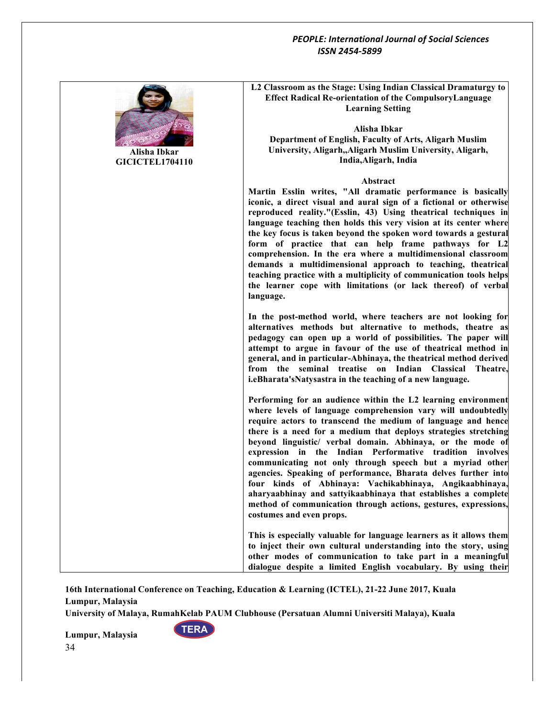

**Alisha Ibkar GICICTEL1704110** **L2 Classroom as the Stage: Using Indian Classical Dramaturgy to Effect Radical Re-orientation of the CompulsoryLanguage Learning Setting**

**Alisha Ibkar Department of English, Faculty of Arts, Aligarh Muslim University, Aligarh,,Aligarh Muslim University, Aligarh, India,Aligarh, India**

#### **Abstract**

**Martin Esslin writes, "All dramatic performance is basically iconic, a direct visual and aural sign of a fictional or otherwise reproduced reality."(Esslin, 43) Using theatrical techniques in language teaching then holds this very vision at its center where the key focus is taken beyond the spoken word towards a gestural form of practice that can help frame pathways for L2 comprehension. In the era where a multidimensional classroom demands a multidimensional approach to teaching, theatrical teaching practice with a multiplicity of communication tools helps the learner cope with limitations (or lack thereof) of verbal language.** 

In the post-method world, where teachers are not looking for **alternatives methods but alternative to methods, theatre as pedagogy can open up a world of possibilities. The paper will attempt to argue in favour of the use of theatrical method in general, and in particular-Abhinaya, the theatrical method derived from the seminal treatise on Indian Classical Theatre, i.eBharata'sNatysastra in the teaching of a new language.** 

**Performing for an audience within the L2 learning environment where levels of language comprehension vary will undoubtedly require actors to transcend the medium of language and hence there is a need for a medium that deploys strategies stretching beyond linguistic/ verbal domain. Abhinaya, or the mode of expression in the Indian Performative tradition involves communicating not only through speech but a myriad other agencies. Speaking of performance, Bharata delves further into four kinds of Abhinaya: Vachikabhinaya, Angikaabhinaya, aharyaabhinay and sattyikaabhinaya that establishes a complete method of communication through actions, gestures, expressions, costumes and even props.**

**This is especially valuable for language learners as it allows them to inject their own cultural understanding into the story, using other modes of communication to take part in a meaningful dialogue despite a limited English vocabulary. By using their** 

**16th International Conference on Teaching, Education & Learning (ICTEL), 21-22 June 2017, Kuala Lumpur, Malaysia**

**University of Malaya, RumahKelab PAUM Clubhouse (Persatuan Alumni Universiti Malaya), Kuala** 

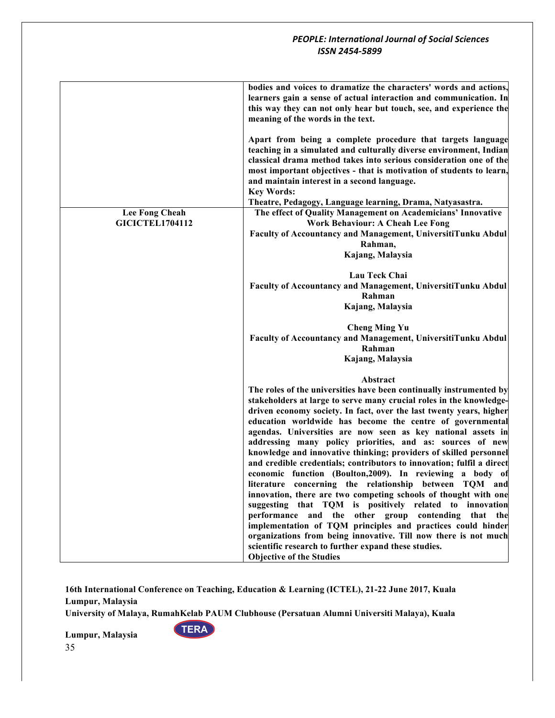|                                          | bodies and voices to dramatize the characters' words and actions,<br>learners gain a sense of actual interaction and communication. In<br>this way they can not only hear but touch, see, and experience the<br>meaning of the words in the text.                                                                                                                                                                                                                                                                                                                                                                                                                                                                                                                                                                                                                                                                                                                                                                                                                                                              |
|------------------------------------------|----------------------------------------------------------------------------------------------------------------------------------------------------------------------------------------------------------------------------------------------------------------------------------------------------------------------------------------------------------------------------------------------------------------------------------------------------------------------------------------------------------------------------------------------------------------------------------------------------------------------------------------------------------------------------------------------------------------------------------------------------------------------------------------------------------------------------------------------------------------------------------------------------------------------------------------------------------------------------------------------------------------------------------------------------------------------------------------------------------------|
| Lee Fong Cheah<br><b>GICICTEL1704112</b> | Apart from being a complete procedure that targets language<br>teaching in a simulated and culturally diverse environment, Indian<br>classical drama method takes into serious consideration one of the<br>most important objectives - that is motivation of students to learn,<br>and maintain interest in a second language.<br><b>Key Words:</b><br>Theatre, Pedagogy, Language learning, Drama, Natyasastra.<br>The effect of Quality Management on Academicians' Innovative<br><b>Work Behaviour: A Cheah Lee Fong</b><br>Faculty of Accountancy and Management, UniversitiTunku Abdul                                                                                                                                                                                                                                                                                                                                                                                                                                                                                                                    |
|                                          | Rahman,                                                                                                                                                                                                                                                                                                                                                                                                                                                                                                                                                                                                                                                                                                                                                                                                                                                                                                                                                                                                                                                                                                        |
|                                          | Kajang, Malaysia                                                                                                                                                                                                                                                                                                                                                                                                                                                                                                                                                                                                                                                                                                                                                                                                                                                                                                                                                                                                                                                                                               |
|                                          | Lau Teck Chai<br>Faculty of Accountancy and Management, UniversitiTunku Abdul<br>Rahman<br>Kajang, Malaysia                                                                                                                                                                                                                                                                                                                                                                                                                                                                                                                                                                                                                                                                                                                                                                                                                                                                                                                                                                                                    |
|                                          | <b>Cheng Ming Yu</b><br>Faculty of Accountancy and Management, UniversitiTunku Abdul<br>Rahman<br>Kajang, Malaysia                                                                                                                                                                                                                                                                                                                                                                                                                                                                                                                                                                                                                                                                                                                                                                                                                                                                                                                                                                                             |
|                                          | Abstract<br>The roles of the universities have been continually instrumented by<br>stakeholders at large to serve many crucial roles in the knowledge-<br>driven economy society. In fact, over the last twenty years, higher<br>education worldwide has become the centre of governmental<br>agendas. Universities are now seen as key national assets in<br>addressing many policy priorities, and as: sources of new<br>knowledge and innovative thinking; providers of skilled personnel<br>and credible credentials; contributors to innovation; fulfil a direct<br>economic function (Boulton, 2009). In reviewing a body of<br>literature concerning the relationship between TQM and<br>innovation, there are two competing schools of thought with one<br>suggesting that TQM is positively related to innovation<br>performance and the other group contending that the<br>implementation of TQM principles and practices could hinder<br>organizations from being innovative. Till now there is not much<br>scientific research to further expand these studies.<br><b>Objective of the Studies</b> |

**16th International Conference on Teaching, Education & Learning (ICTEL), 21-22 June 2017, Kuala Lumpur, Malaysia**

**University of Malaya, RumahKelab PAUM Clubhouse (Persatuan Alumni Universiti Malaya), Kuala** 

**TERA**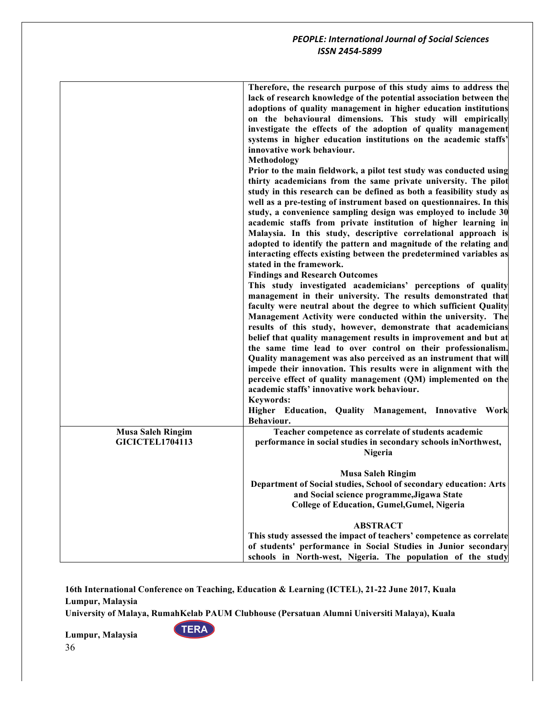|                                                    | Therefore, the research purpose of this study aims to address the<br>lack of research knowledge of the potential association between the<br>adoptions of quality management in higher education institutions<br>on the behavioural dimensions. This study will empirically<br>investigate the effects of the adoption of quality management<br>systems in higher education institutions on the academic staffs'<br>innovative work behaviour.<br>Methodology<br>Prior to the main fieldwork, a pilot test study was conducted using<br>thirty academicians from the same private university. The pilot<br>study in this research can be defined as both a feasibility study as<br>well as a pre-testing of instrument based on questionnaires. In this<br>study, a convenience sampling design was employed to include 30<br>academic staffs from private institution of higher learning in<br>Malaysia. In this study, descriptive correlational approach is<br>adopted to identify the pattern and magnitude of the relating and<br>interacting effects existing between the predetermined variables as<br>stated in the framework.<br><b>Findings and Research Outcomes</b><br>This study investigated academicians' perceptions of quality<br>management in their university. The results demonstrated that<br>faculty were neutral about the degree to which sufficient Quality<br>Management Activity were conducted within the university. The<br>results of this study, however, demonstrate that academicians<br>belief that quality management results in improvement and but at<br>the same time lead to over control on their professionalism.<br>Quality management was also perceived as an instrument that will<br>impede their innovation. This results were in alignment with the<br>perceive effect of quality management (QM) implemented on the<br>academic staffs' innovative work behaviour.<br><b>Keywords:</b><br>Higher Education, Quality Management, Innovative Work<br>Behaviour. |
|----------------------------------------------------|---------------------------------------------------------------------------------------------------------------------------------------------------------------------------------------------------------------------------------------------------------------------------------------------------------------------------------------------------------------------------------------------------------------------------------------------------------------------------------------------------------------------------------------------------------------------------------------------------------------------------------------------------------------------------------------------------------------------------------------------------------------------------------------------------------------------------------------------------------------------------------------------------------------------------------------------------------------------------------------------------------------------------------------------------------------------------------------------------------------------------------------------------------------------------------------------------------------------------------------------------------------------------------------------------------------------------------------------------------------------------------------------------------------------------------------------------------------------------------------------------------------------------------------------------------------------------------------------------------------------------------------------------------------------------------------------------------------------------------------------------------------------------------------------------------------------------------------------------------------------------------------------------------------------------------------------------------------------------------------------------------------|
| <b>Musa Saleh Ringim</b><br><b>GICICTEL1704113</b> | Teacher competence as correlate of students academic<br>performance in social studies in secondary schools inNorthwest,<br>Nigeria                                                                                                                                                                                                                                                                                                                                                                                                                                                                                                                                                                                                                                                                                                                                                                                                                                                                                                                                                                                                                                                                                                                                                                                                                                                                                                                                                                                                                                                                                                                                                                                                                                                                                                                                                                                                                                                                            |
|                                                    | <b>Musa Saleh Ringim</b><br>Department of Social studies, School of secondary education: Arts<br>and Social science programme, Jigawa State<br>College of Education, Gumel, Gumel, Nigeria                                                                                                                                                                                                                                                                                                                                                                                                                                                                                                                                                                                                                                                                                                                                                                                                                                                                                                                                                                                                                                                                                                                                                                                                                                                                                                                                                                                                                                                                                                                                                                                                                                                                                                                                                                                                                    |
|                                                    | <b>ABSTRACT</b><br>This study assessed the impact of teachers' competence as correlate                                                                                                                                                                                                                                                                                                                                                                                                                                                                                                                                                                                                                                                                                                                                                                                                                                                                                                                                                                                                                                                                                                                                                                                                                                                                                                                                                                                                                                                                                                                                                                                                                                                                                                                                                                                                                                                                                                                        |
|                                                    | of students' performance in Social Studies in Junior secondary<br>schools in North-west, Nigeria. The population of the study                                                                                                                                                                                                                                                                                                                                                                                                                                                                                                                                                                                                                                                                                                                                                                                                                                                                                                                                                                                                                                                                                                                                                                                                                                                                                                                                                                                                                                                                                                                                                                                                                                                                                                                                                                                                                                                                                 |

**University of Malaya, RumahKelab PAUM Clubhouse (Persatuan Alumni Universiti Malaya), Kuala** 

**TERA**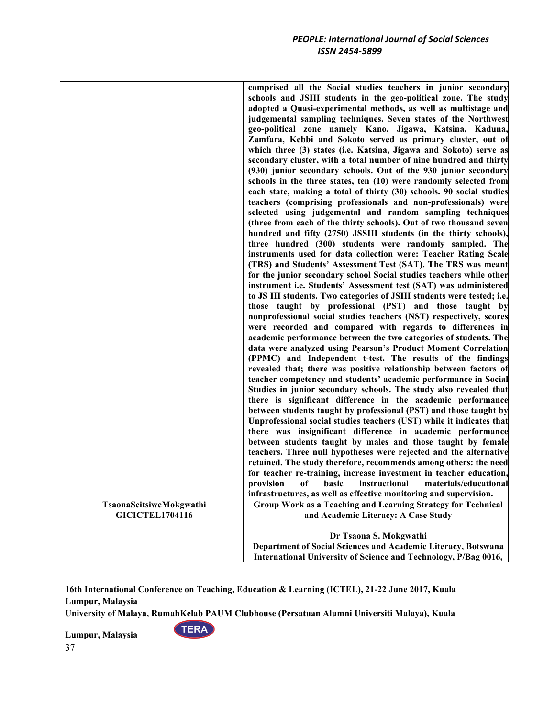|                         | comprised all the Social studies teachers in junior secondary<br>schools and JSIII students in the geo-political zone. The study<br>adopted a Quasi-experimental methods, as well as multistage and<br>judgemental sampling techniques. Seven states of the Northwest<br>geo-political zone namely Kano, Jigawa, Katsina, Kaduna,<br>Zamfara, Kebbi and Sokoto served as primary cluster, out of<br>which three (3) states (i.e. Katsina, Jigawa and Sokoto) serve as<br>secondary cluster, with a total number of nine hundred and thirty<br>(930) junior secondary schools. Out of the 930 junior secondary<br>schools in the three states, ten (10) were randomly selected from<br>each state, making a total of thirty (30) schools. 90 social studies<br>teachers (comprising professionals and non-professionals) were<br>selected using judgemental and random sampling techniques<br>(three from each of the thirty schools). Out of two thousand seven<br>hundred and fifty (2750) JSSIII students (in the thirty schools),<br>three hundred (300) students were randomly sampled. The<br>instruments used for data collection were: Teacher Rating Scale<br>(TRS) and Students' Assessment Test (SAT). The TRS was meant<br>for the junior secondary school Social studies teachers while other<br>instrument i.e. Students' Assessment test (SAT) was administered<br>to JS III students. Two categories of JSIII students were tested; i.e.<br>those taught by professional (PST) and those taught by<br>nonprofessional social studies teachers (NST) respectively, scores<br>were recorded and compared with regards to differences in<br>academic performance between the two categories of students. The<br>data were analyzed using Pearson's Product Moment Correlation<br>(PPMC) and Independent t-test. The results of the findings<br>revealed that; there was positive relationship between factors of<br>teacher competency and students' academic performance in Social<br>Studies in junior secondary schools. The study also revealed that<br>there is significant difference in the academic performance<br>between students taught by professional (PST) and those taught by<br>Unprofessional social studies teachers (UST) while it indicates that<br>there was insignificant difference in academic performance<br>between students taught by males and those taught by female<br>teachers. Three null hypotheses were rejected and the alternative<br>retained. The study therefore, recommends among others: the need<br>for teacher re-training, increase investment in teacher education, |
|-------------------------|------------------------------------------------------------------------------------------------------------------------------------------------------------------------------------------------------------------------------------------------------------------------------------------------------------------------------------------------------------------------------------------------------------------------------------------------------------------------------------------------------------------------------------------------------------------------------------------------------------------------------------------------------------------------------------------------------------------------------------------------------------------------------------------------------------------------------------------------------------------------------------------------------------------------------------------------------------------------------------------------------------------------------------------------------------------------------------------------------------------------------------------------------------------------------------------------------------------------------------------------------------------------------------------------------------------------------------------------------------------------------------------------------------------------------------------------------------------------------------------------------------------------------------------------------------------------------------------------------------------------------------------------------------------------------------------------------------------------------------------------------------------------------------------------------------------------------------------------------------------------------------------------------------------------------------------------------------------------------------------------------------------------------------------------------------------------------------------------------------------------------------------------------------------------------------------------------------------------------------------------------------------------------------------------------------------------------------------------------------------------------------------------------------------------------------------------------------------------------------------------------------------------------------------------------------------------------------------------------------------------------|
|                         |                                                                                                                                                                                                                                                                                                                                                                                                                                                                                                                                                                                                                                                                                                                                                                                                                                                                                                                                                                                                                                                                                                                                                                                                                                                                                                                                                                                                                                                                                                                                                                                                                                                                                                                                                                                                                                                                                                                                                                                                                                                                                                                                                                                                                                                                                                                                                                                                                                                                                                                                                                                                                              |
|                         |                                                                                                                                                                                                                                                                                                                                                                                                                                                                                                                                                                                                                                                                                                                                                                                                                                                                                                                                                                                                                                                                                                                                                                                                                                                                                                                                                                                                                                                                                                                                                                                                                                                                                                                                                                                                                                                                                                                                                                                                                                                                                                                                                                                                                                                                                                                                                                                                                                                                                                                                                                                                                              |
|                         | provision of basic instructional materials/educational                                                                                                                                                                                                                                                                                                                                                                                                                                                                                                                                                                                                                                                                                                                                                                                                                                                                                                                                                                                                                                                                                                                                                                                                                                                                                                                                                                                                                                                                                                                                                                                                                                                                                                                                                                                                                                                                                                                                                                                                                                                                                                                                                                                                                                                                                                                                                                                                                                                                                                                                                                       |
|                         | infrastructures, as well as effective monitoring and supervision.                                                                                                                                                                                                                                                                                                                                                                                                                                                                                                                                                                                                                                                                                                                                                                                                                                                                                                                                                                                                                                                                                                                                                                                                                                                                                                                                                                                                                                                                                                                                                                                                                                                                                                                                                                                                                                                                                                                                                                                                                                                                                                                                                                                                                                                                                                                                                                                                                                                                                                                                                            |
| TsaonaSeitsiweMokgwathi | Group Work as a Teaching and Learning Strategy for Technical                                                                                                                                                                                                                                                                                                                                                                                                                                                                                                                                                                                                                                                                                                                                                                                                                                                                                                                                                                                                                                                                                                                                                                                                                                                                                                                                                                                                                                                                                                                                                                                                                                                                                                                                                                                                                                                                                                                                                                                                                                                                                                                                                                                                                                                                                                                                                                                                                                                                                                                                                                 |
| <b>GICICTEL1704116</b>  | and Academic Literacy: A Case Study                                                                                                                                                                                                                                                                                                                                                                                                                                                                                                                                                                                                                                                                                                                                                                                                                                                                                                                                                                                                                                                                                                                                                                                                                                                                                                                                                                                                                                                                                                                                                                                                                                                                                                                                                                                                                                                                                                                                                                                                                                                                                                                                                                                                                                                                                                                                                                                                                                                                                                                                                                                          |
|                         |                                                                                                                                                                                                                                                                                                                                                                                                                                                                                                                                                                                                                                                                                                                                                                                                                                                                                                                                                                                                                                                                                                                                                                                                                                                                                                                                                                                                                                                                                                                                                                                                                                                                                                                                                                                                                                                                                                                                                                                                                                                                                                                                                                                                                                                                                                                                                                                                                                                                                                                                                                                                                              |
|                         | Dr Tsaona S. Mokgwathi                                                                                                                                                                                                                                                                                                                                                                                                                                                                                                                                                                                                                                                                                                                                                                                                                                                                                                                                                                                                                                                                                                                                                                                                                                                                                                                                                                                                                                                                                                                                                                                                                                                                                                                                                                                                                                                                                                                                                                                                                                                                                                                                                                                                                                                                                                                                                                                                                                                                                                                                                                                                       |
|                         | Department of Social Sciences and Academic Literacy, Botswana                                                                                                                                                                                                                                                                                                                                                                                                                                                                                                                                                                                                                                                                                                                                                                                                                                                                                                                                                                                                                                                                                                                                                                                                                                                                                                                                                                                                                                                                                                                                                                                                                                                                                                                                                                                                                                                                                                                                                                                                                                                                                                                                                                                                                                                                                                                                                                                                                                                                                                                                                                |
|                         |                                                                                                                                                                                                                                                                                                                                                                                                                                                                                                                                                                                                                                                                                                                                                                                                                                                                                                                                                                                                                                                                                                                                                                                                                                                                                                                                                                                                                                                                                                                                                                                                                                                                                                                                                                                                                                                                                                                                                                                                                                                                                                                                                                                                                                                                                                                                                                                                                                                                                                                                                                                                                              |
|                         | International University of Science and Technology, P/Bag 0016,                                                                                                                                                                                                                                                                                                                                                                                                                                                                                                                                                                                                                                                                                                                                                                                                                                                                                                                                                                                                                                                                                                                                                                                                                                                                                                                                                                                                                                                                                                                                                                                                                                                                                                                                                                                                                                                                                                                                                                                                                                                                                                                                                                                                                                                                                                                                                                                                                                                                                                                                                              |

**16th International Conference on Teaching, Education & Learning (ICTEL), 21-22 June 2017, Kuala Lumpur, Malaysia**

**University of Malaya, RumahKelab PAUM Clubhouse (Persatuan Alumni Universiti Malaya), Kuala** 

**TERA**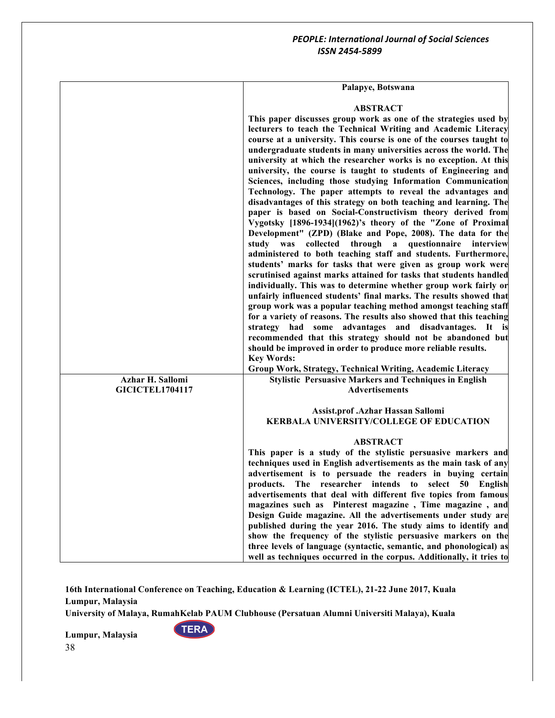|                                            | Palapye, Botswana                                                                                                                                                                                                                                                                                                                                                                                                                                                                                                                                                                                                                                                                                                                                                                                                                                                                                                                                                                                                                                                                                                                                                                                                                                                                                                                                                                                          |
|--------------------------------------------|------------------------------------------------------------------------------------------------------------------------------------------------------------------------------------------------------------------------------------------------------------------------------------------------------------------------------------------------------------------------------------------------------------------------------------------------------------------------------------------------------------------------------------------------------------------------------------------------------------------------------------------------------------------------------------------------------------------------------------------------------------------------------------------------------------------------------------------------------------------------------------------------------------------------------------------------------------------------------------------------------------------------------------------------------------------------------------------------------------------------------------------------------------------------------------------------------------------------------------------------------------------------------------------------------------------------------------------------------------------------------------------------------------|
|                                            | <b>ABSTRACT</b><br>This paper discusses group work as one of the strategies used by<br>lecturers to teach the Technical Writing and Academic Literacy<br>course at a university. This course is one of the courses taught to<br>undergraduate students in many universities across the world. The<br>university at which the researcher works is no exception. At this<br>university, the course is taught to students of Engineering and<br>Sciences, including those studying Information Communication<br>Technology. The paper attempts to reveal the advantages and<br>disadvantages of this strategy on both teaching and learning. The<br>paper is based on Social-Constructivism theory derived from<br>Vygotsky [1896-1934](1962)'s theory of the "Zone of Proximal<br>Development" (ZPD) (Blake and Pope, 2008). The data for the<br>study was<br>collected<br>through<br>a questionnaire interview<br>administered to both teaching staff and students. Furthermore,<br>students' marks for tasks that were given as group work were<br>scrutinised against marks attained for tasks that students handled<br>individually. This was to determine whether group work fairly or<br>unfairly influenced students' final marks. The results showed that<br>group work was a popular teaching method amongst teaching staff<br>for a variety of reasons. The results also showed that this teaching |
|                                            | strategy had some advantages and disadvantages. It is<br>recommended that this strategy should not be abandoned but                                                                                                                                                                                                                                                                                                                                                                                                                                                                                                                                                                                                                                                                                                                                                                                                                                                                                                                                                                                                                                                                                                                                                                                                                                                                                        |
|                                            | should be improved in order to produce more reliable results.<br><b>Key Words:</b>                                                                                                                                                                                                                                                                                                                                                                                                                                                                                                                                                                                                                                                                                                                                                                                                                                                                                                                                                                                                                                                                                                                                                                                                                                                                                                                         |
|                                            | Group Work, Strategy, Technical Writing, Academic Literacy                                                                                                                                                                                                                                                                                                                                                                                                                                                                                                                                                                                                                                                                                                                                                                                                                                                                                                                                                                                                                                                                                                                                                                                                                                                                                                                                                 |
| Azhar H. Sallomi<br><b>GICICTEL1704117</b> | <b>Stylistic Persuasive Markers and Techniques in English</b><br><b>Advertisements</b>                                                                                                                                                                                                                                                                                                                                                                                                                                                                                                                                                                                                                                                                                                                                                                                                                                                                                                                                                                                                                                                                                                                                                                                                                                                                                                                     |
|                                            | Assist.prof.Azhar Hassan Sallomi<br><b>KERBALA UNIVERSITY/COLLEGE OF EDUCATION</b>                                                                                                                                                                                                                                                                                                                                                                                                                                                                                                                                                                                                                                                                                                                                                                                                                                                                                                                                                                                                                                                                                                                                                                                                                                                                                                                         |
|                                            | <b>ABSTRACT</b>                                                                                                                                                                                                                                                                                                                                                                                                                                                                                                                                                                                                                                                                                                                                                                                                                                                                                                                                                                                                                                                                                                                                                                                                                                                                                                                                                                                            |
|                                            | This paper is a study of the stylistic persuasive markers and<br>techniques used in English advertisements as the main task of any<br>advertisement is to persuade the readers in buying certain<br>products. The researcher intends to select 50 English<br>advertisements that deal with different five topics from famous<br>magazines such as Pinterest magazine, Time magazine, and<br>Design Guide magazine. All the advertisements under study are<br>published during the year 2016. The study aims to identify and<br>show the frequency of the stylistic persuasive markers on the<br>three levels of language (syntactic, semantic, and phonological) as<br>well as techniques occurred in the corpus. Additionally, it tries to                                                                                                                                                                                                                                                                                                                                                                                                                                                                                                                                                                                                                                                                |

**16th International Conference on Teaching, Education & Learning (ICTEL), 21-22 June 2017, Kuala Lumpur, Malaysia**

**University of Malaya, RumahKelab PAUM Clubhouse (Persatuan Alumni Universiti Malaya), Kuala** 

**TERA**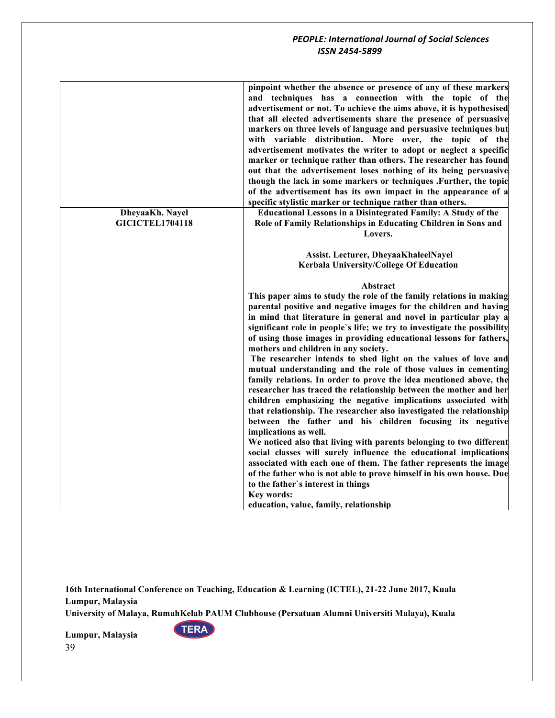|                        | pinpoint whether the absence or presence of any of these markers<br>and techniques has a connection with the topic of the<br>advertisement or not. To achieve the aims above, it is hypothesised<br>that all elected advertisements share the presence of persuasive<br>markers on three levels of language and persuasive techniques but<br>with variable distribution. More over, the topic of the<br>advertisement motivates the writer to adopt or neglect a specific<br>marker or technique rather than others. The researcher has found<br>out that the advertisement loses nothing of its being persuasive<br>though the lack in some markers or techniques .Further, the topic<br>of the advertisement has its own impact in the appearance of a<br>specific stylistic marker or technique rather than others.                                                                                                                                                                                                                                                                                                                                                                                                                                                                                                    |
|------------------------|---------------------------------------------------------------------------------------------------------------------------------------------------------------------------------------------------------------------------------------------------------------------------------------------------------------------------------------------------------------------------------------------------------------------------------------------------------------------------------------------------------------------------------------------------------------------------------------------------------------------------------------------------------------------------------------------------------------------------------------------------------------------------------------------------------------------------------------------------------------------------------------------------------------------------------------------------------------------------------------------------------------------------------------------------------------------------------------------------------------------------------------------------------------------------------------------------------------------------------------------------------------------------------------------------------------------------|
| DheyaaKh. Nayel        | <b>Educational Lessons in a Disintegrated Family: A Study of the</b>                                                                                                                                                                                                                                                                                                                                                                                                                                                                                                                                                                                                                                                                                                                                                                                                                                                                                                                                                                                                                                                                                                                                                                                                                                                      |
| <b>GICICTEL1704118</b> | Role of Family Relationships in Educating Children in Sons and<br>Lovers.                                                                                                                                                                                                                                                                                                                                                                                                                                                                                                                                                                                                                                                                                                                                                                                                                                                                                                                                                                                                                                                                                                                                                                                                                                                 |
|                        |                                                                                                                                                                                                                                                                                                                                                                                                                                                                                                                                                                                                                                                                                                                                                                                                                                                                                                                                                                                                                                                                                                                                                                                                                                                                                                                           |
|                        | Assist. Lecturer, DheyaaKhaleelNayel                                                                                                                                                                                                                                                                                                                                                                                                                                                                                                                                                                                                                                                                                                                                                                                                                                                                                                                                                                                                                                                                                                                                                                                                                                                                                      |
|                        | Kerbala University/College Of Education                                                                                                                                                                                                                                                                                                                                                                                                                                                                                                                                                                                                                                                                                                                                                                                                                                                                                                                                                                                                                                                                                                                                                                                                                                                                                   |
|                        | Abstract<br>This paper aims to study the role of the family relations in making<br>parental positive and negative images for the children and having<br>in mind that literature in general and novel in particular play a<br>significant role in people's life; we try to investigate the possibility<br>of using those images in providing educational lessons for fathers,<br>mothers and children in any society.<br>The researcher intends to shed light on the values of love and<br>mutual understanding and the role of those values in cementing<br>family relations. In order to prove the idea mentioned above, the<br>researcher has traced the relationship between the mother and her<br>children emphasizing the negative implications associated with<br>that relationship. The researcher also investigated the relationship<br>between the father and his children focusing its negative<br>implications as well.<br>We noticed also that living with parents belonging to two different<br>social classes will surely influence the educational implications<br>associated with each one of them. The father represents the image<br>of the father who is not able to prove himself in his own house. Due<br>to the father's interest in things<br>Key words:<br>education, value, family, relationship |

**16th International Conference on Teaching, Education & Learning (ICTEL), 21-22 June 2017, Kuala Lumpur, Malaysia**

**University of Malaya, RumahKelab PAUM Clubhouse (Persatuan Alumni Universiti Malaya), Kuala** 

**TERA**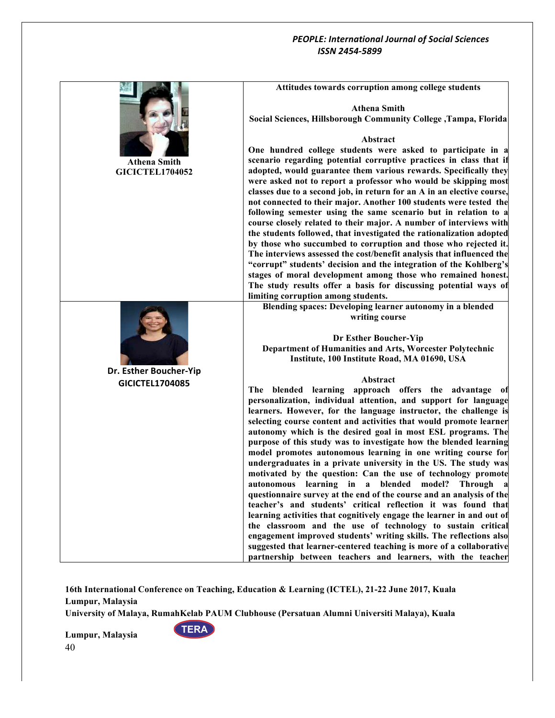|                        | Attitudes towards corruption among college students                                                                                          |
|------------------------|----------------------------------------------------------------------------------------------------------------------------------------------|
|                        | <b>Athena Smith</b>                                                                                                                          |
|                        | Social Sciences, Hillsborough Community College, Tampa, Florida                                                                              |
|                        |                                                                                                                                              |
|                        | Abstract                                                                                                                                     |
| Athena Smith           | One hundred college students were asked to participate in a<br>scenario regarding potential corruptive practices in class that if            |
| <b>GICICTEL1704052</b> | adopted, would guarantee them various rewards. Specifically they                                                                             |
|                        | were asked not to report a professor who would be skipping most                                                                              |
|                        | classes due to a second job, in return for an A in an elective course,<br>not connected to their major. Another 100 students were tested the |
|                        | following semester using the same scenario but in relation to a                                                                              |
|                        | course closely related to their major. A number of interviews with                                                                           |
|                        | the students followed, that investigated the rationalization adopted<br>by those who succumbed to corruption and those who rejected it.      |
|                        | The interviews assessed the cost/benefit analysis that influenced the                                                                        |
|                        | "corrupt" students' decision and the integration of the Kohlberg's                                                                           |
|                        | stages of moral development among those who remained honest.<br>The study results offer a basis for discussing potential ways of             |
|                        | limiting corruption among students.                                                                                                          |
|                        | Blending spaces: Developing learner autonomy in a blended                                                                                    |
|                        | writing course                                                                                                                               |
|                        | Dr Esther Boucher-Yip                                                                                                                        |
|                        | Department of Humanities and Arts, Worcester Polytechnic                                                                                     |
| Dr. Esther Boucher-Yip | Institute, 100 Institute Road, MA 01690, USA                                                                                                 |
| GICICTEL1704085        | Abstract                                                                                                                                     |
|                        | The blended learning approach offers the advantage of                                                                                        |
|                        | personalization, individual attention, and support for language<br>learners. However, for the language instructor, the challenge is          |
|                        | selecting course content and activities that would promote learner                                                                           |
|                        | autonomy which is the desired goal in most ESL programs. The                                                                                 |
|                        | purpose of this study was to investigate how the blended learning<br>model promotes autonomous learning in one writing course for            |
|                        | undergraduates in a private university in the US. The study was                                                                              |
|                        | motivated by the question: Can the use of technology promote                                                                                 |
|                        | autonomous learning in a blended model? Through a<br>questionnaire survey at the end of the course and an analysis of the                    |
|                        | teacher's and students' critical reflection it was found that                                                                                |
|                        | learning activities that cognitively engage the learner in and out of                                                                        |
|                        | the classroom and the use of technology to sustain critical<br>engagement improved students' writing skills. The reflections also            |
|                        | suggested that learner-centered teaching is more of a collaborative                                                                          |
|                        | partnership between teachers and learners, with the teacher                                                                                  |

**16th International Conference on Teaching, Education & Learning (ICTEL), 21-22 June 2017, Kuala Lumpur, Malaysia**

**University of Malaya, RumahKelab PAUM Clubhouse (Persatuan Alumni Universiti Malaya), Kuala** 

**TERA**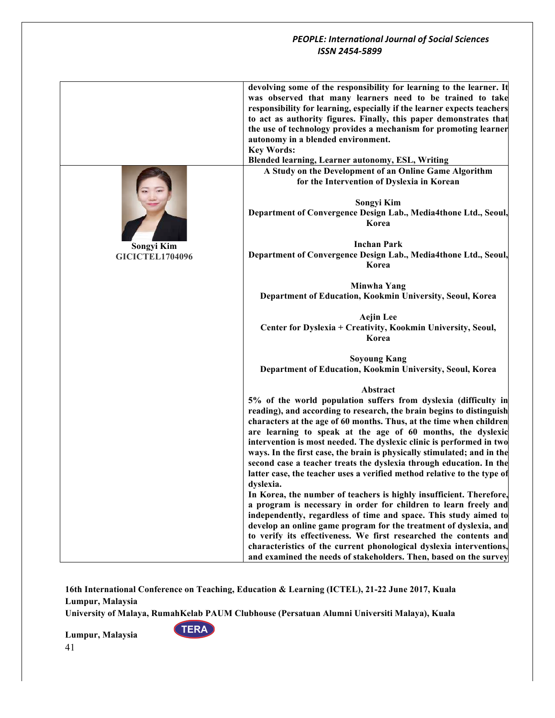|                        | devolving some of the responsibility for learning to the learner. It<br>was observed that many learners need to be trained to take<br>responsibility for learning, especially if the learner expects teachers<br>to act as authority figures. Finally, this paper demonstrates that<br>the use of technology provides a mechanism for promoting learner<br>autonomy in a blended environment.<br><b>Key Words:</b><br><b>Blended learning, Learner autonomy, ESL, Writing</b>                                                                                                                                                                                                                                                                                                                                                                                                                                                                                                                                                                                                                                    |
|------------------------|------------------------------------------------------------------------------------------------------------------------------------------------------------------------------------------------------------------------------------------------------------------------------------------------------------------------------------------------------------------------------------------------------------------------------------------------------------------------------------------------------------------------------------------------------------------------------------------------------------------------------------------------------------------------------------------------------------------------------------------------------------------------------------------------------------------------------------------------------------------------------------------------------------------------------------------------------------------------------------------------------------------------------------------------------------------------------------------------------------------|
|                        | A Study on the Development of an Online Game Algorithm                                                                                                                                                                                                                                                                                                                                                                                                                                                                                                                                                                                                                                                                                                                                                                                                                                                                                                                                                                                                                                                           |
|                        | for the Intervention of Dyslexia in Korean<br>Songyi Kim<br>Department of Convergence Design Lab., Media4thone Ltd., Seoul,<br>Korea                                                                                                                                                                                                                                                                                                                                                                                                                                                                                                                                                                                                                                                                                                                                                                                                                                                                                                                                                                             |
| Songyi Kim             | <b>Inchan Park</b>                                                                                                                                                                                                                                                                                                                                                                                                                                                                                                                                                                                                                                                                                                                                                                                                                                                                                                                                                                                                                                                                                               |
| <b>GICICTEL1704096</b> | Department of Convergence Design Lab., Media4thone Ltd., Seoul,<br>Korea                                                                                                                                                                                                                                                                                                                                                                                                                                                                                                                                                                                                                                                                                                                                                                                                                                                                                                                                                                                                                                         |
|                        | Minwha Yang                                                                                                                                                                                                                                                                                                                                                                                                                                                                                                                                                                                                                                                                                                                                                                                                                                                                                                                                                                                                                                                                                                      |
|                        | Department of Education, Kookmin University, Seoul, Korea                                                                                                                                                                                                                                                                                                                                                                                                                                                                                                                                                                                                                                                                                                                                                                                                                                                                                                                                                                                                                                                        |
|                        | <b>Aejin Lee</b><br>Center for Dyslexia + Creativity, Kookmin University, Seoul,<br>Korea                                                                                                                                                                                                                                                                                                                                                                                                                                                                                                                                                                                                                                                                                                                                                                                                                                                                                                                                                                                                                        |
|                        | <b>Soyoung Kang</b>                                                                                                                                                                                                                                                                                                                                                                                                                                                                                                                                                                                                                                                                                                                                                                                                                                                                                                                                                                                                                                                                                              |
|                        | Department of Education, Kookmin University, Seoul, Korea                                                                                                                                                                                                                                                                                                                                                                                                                                                                                                                                                                                                                                                                                                                                                                                                                                                                                                                                                                                                                                                        |
|                        | Abstract<br>5% of the world population suffers from dyslexia (difficulty in<br>reading), and according to research, the brain begins to distinguish<br>characters at the age of 60 months. Thus, at the time when children<br>are learning to speak at the age of 60 months, the dyslexic<br>intervention is most needed. The dyslexic clinic is performed in two<br>ways. In the first case, the brain is physically stimulated; and in the<br>second case a teacher treats the dyslexia through education. In the<br>latter case, the teacher uses a verified method relative to the type of<br>dyslexia.<br>In Korea, the number of teachers is highly insufficient. Therefore,<br>a program is necessary in order for children to learn freely and<br>independently, regardless of time and space. This study aimed to<br>develop an online game program for the treatment of dyslexia, and<br>to verify its effectiveness. We first researched the contents and<br>characteristics of the current phonological dyslexia interventions,<br>and examined the needs of stakeholders. Then, based on the survey |

**16th International Conference on Teaching, Education & Learning (ICTEL), 21-22 June 2017, Kuala Lumpur, Malaysia**

**University of Malaya, RumahKelab PAUM Clubhouse (Persatuan Alumni Universiti Malaya), Kuala** 

**TERA**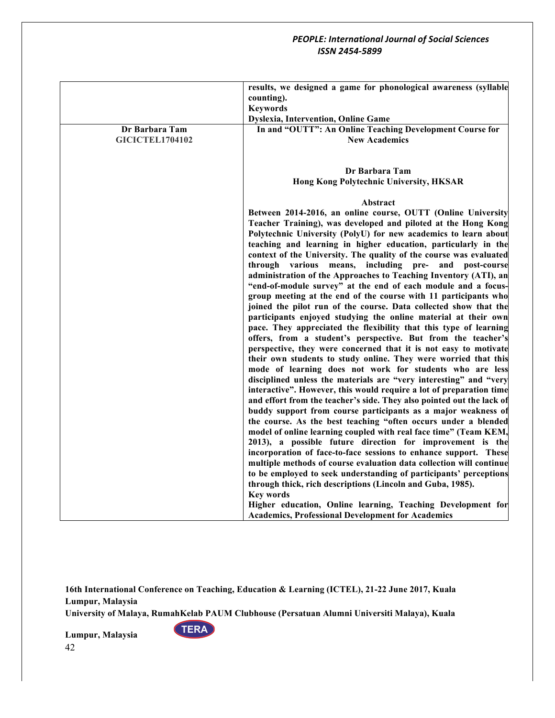|                        | results, we designed a game for phonological awareness (syllable<br>counting).<br><b>Keywords</b><br><b>Dyslexia, Intervention, Online Game</b>                                                                                                                                                                                                                                                                                                                                                                                                                                                                                                                                                                                                                                                                                                                                                                                                                                                                                                                                                                                                                                                                                                                                                                                                                                                                                                                                                                     |
|------------------------|---------------------------------------------------------------------------------------------------------------------------------------------------------------------------------------------------------------------------------------------------------------------------------------------------------------------------------------------------------------------------------------------------------------------------------------------------------------------------------------------------------------------------------------------------------------------------------------------------------------------------------------------------------------------------------------------------------------------------------------------------------------------------------------------------------------------------------------------------------------------------------------------------------------------------------------------------------------------------------------------------------------------------------------------------------------------------------------------------------------------------------------------------------------------------------------------------------------------------------------------------------------------------------------------------------------------------------------------------------------------------------------------------------------------------------------------------------------------------------------------------------------------|
| Dr Barbara Tam         | In and "OUTT": An Online Teaching Development Course for                                                                                                                                                                                                                                                                                                                                                                                                                                                                                                                                                                                                                                                                                                                                                                                                                                                                                                                                                                                                                                                                                                                                                                                                                                                                                                                                                                                                                                                            |
| <b>GICICTEL1704102</b> | <b>New Academics</b>                                                                                                                                                                                                                                                                                                                                                                                                                                                                                                                                                                                                                                                                                                                                                                                                                                                                                                                                                                                                                                                                                                                                                                                                                                                                                                                                                                                                                                                                                                |
|                        | Dr Barbara Tam                                                                                                                                                                                                                                                                                                                                                                                                                                                                                                                                                                                                                                                                                                                                                                                                                                                                                                                                                                                                                                                                                                                                                                                                                                                                                                                                                                                                                                                                                                      |
|                        | <b>Hong Kong Polytechnic University, HKSAR</b>                                                                                                                                                                                                                                                                                                                                                                                                                                                                                                                                                                                                                                                                                                                                                                                                                                                                                                                                                                                                                                                                                                                                                                                                                                                                                                                                                                                                                                                                      |
|                        | Abstract                                                                                                                                                                                                                                                                                                                                                                                                                                                                                                                                                                                                                                                                                                                                                                                                                                                                                                                                                                                                                                                                                                                                                                                                                                                                                                                                                                                                                                                                                                            |
|                        | Between 2014-2016, an online course, OUTT (Online University<br>Teacher Training), was developed and piloted at the Hong Kong<br>Polytechnic University (PolyU) for new academics to learn about<br>teaching and learning in higher education, particularly in the<br>context of the University. The quality of the course was evaluated<br>through various means, including pre- and post-course<br>administration of the Approaches to Teaching Inventory (ATI), an<br>"end-of-module survey" at the end of each module and a focus-<br>group meeting at the end of the course with 11 participants who<br>joined the pilot run of the course. Data collected show that the<br>participants enjoyed studying the online material at their own<br>pace. They appreciated the flexibility that this type of learning<br>offers, from a student's perspective. But from the teacher's<br>perspective, they were concerned that it is not easy to motivate<br>their own students to study online. They were worried that this<br>mode of learning does not work for students who are less<br>disciplined unless the materials are "very interesting" and "very<br>interactive". However, this would require a lot of preparation time<br>and effort from the teacher's side. They also pointed out the lack of<br>buddy support from course participants as a major weakness of<br>the course. As the best teaching "often occurs under a blended<br>model of online learning coupled with real face time" (Team KEM, |
|                        | 2013), a possible future direction for improvement is the<br>incorporation of face-to-face sessions to enhance support. These                                                                                                                                                                                                                                                                                                                                                                                                                                                                                                                                                                                                                                                                                                                                                                                                                                                                                                                                                                                                                                                                                                                                                                                                                                                                                                                                                                                       |
|                        | multiple methods of course evaluation data collection will continue<br>to be employed to seek understanding of participants' perceptions                                                                                                                                                                                                                                                                                                                                                                                                                                                                                                                                                                                                                                                                                                                                                                                                                                                                                                                                                                                                                                                                                                                                                                                                                                                                                                                                                                            |
|                        | through thick, rich descriptions (Lincoln and Guba, 1985).<br><b>Key words</b>                                                                                                                                                                                                                                                                                                                                                                                                                                                                                                                                                                                                                                                                                                                                                                                                                                                                                                                                                                                                                                                                                                                                                                                                                                                                                                                                                                                                                                      |
|                        |                                                                                                                                                                                                                                                                                                                                                                                                                                                                                                                                                                                                                                                                                                                                                                                                                                                                                                                                                                                                                                                                                                                                                                                                                                                                                                                                                                                                                                                                                                                     |
|                        | Higher education, Online learning, Teaching Development for<br><b>Academics, Professional Development for Academics</b>                                                                                                                                                                                                                                                                                                                                                                                                                                                                                                                                                                                                                                                                                                                                                                                                                                                                                                                                                                                                                                                                                                                                                                                                                                                                                                                                                                                             |

**16th International Conference on Teaching, Education & Learning (ICTEL), 21-22 June 2017, Kuala Lumpur, Malaysia**

**University of Malaya, RumahKelab PAUM Clubhouse (Persatuan Alumni Universiti Malaya), Kuala** 

**TERA**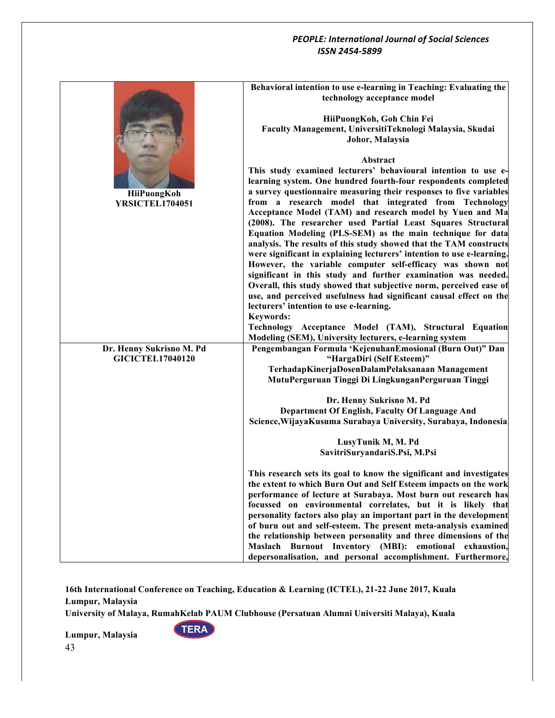|                                                     | Behavioral intention to use e-learning in Teaching: Evaluating the<br>technology acceptance model                                        |
|-----------------------------------------------------|------------------------------------------------------------------------------------------------------------------------------------------|
|                                                     | HiiPuongKoh, Goh Chin Fei<br>Faculty Management, UniversitiTeknologi Malaysia, Skudai                                                    |
|                                                     | Johor, Malaysia                                                                                                                          |
|                                                     | Abstract                                                                                                                                 |
|                                                     | This study examined lecturers' behavioural intention to use e-                                                                           |
|                                                     | learning system. One hundred fourth-four respondents completed                                                                           |
| HiiPuongKoh                                         | a survey questionnaire measuring their responses to five variables                                                                       |
| YRSICTEL1704051                                     | from a research model that integrated from Technology                                                                                    |
|                                                     | Acceptance Model (TAM) and research model by Yuen and Ma<br>(2008). The researcher used Partial Least Squares Structural                 |
|                                                     | Equation Modeling (PLS-SEM) as the main technique for data                                                                               |
|                                                     | analysis. The results of this study showed that the TAM constructs                                                                       |
|                                                     | were significant in explaining lecturers' intention to use e-learning.                                                                   |
|                                                     | However, the variable computer self-efficacy was shown not                                                                               |
|                                                     | significant in this study and further examination was needed.                                                                            |
|                                                     | Overall, this study showed that subjective norm, perceived ease of<br>use, and perceived usefulness had significant causal effect on the |
|                                                     | lecturers' intention to use e-learning.                                                                                                  |
|                                                     | <b>Keywords:</b>                                                                                                                         |
|                                                     | Technology Acceptance Model (TAM), Structural Equation                                                                                   |
|                                                     | Modeling (SEM), University lecturers, e-learning system                                                                                  |
| Dr. Henny Sukrisno M. Pd<br><b>GICICTEL17040120</b> | Pengembangan Formula 'KejenuhanEmosional (Burn Out)" Dan<br>"HargaDiri (Self Esteem)"                                                    |
|                                                     | TerhadapKinerjaDosenDalamPelaksanaan Management                                                                                          |
|                                                     | MutuPerguruan Tinggi Di LingkunganPerguruan Tinggi                                                                                       |
|                                                     |                                                                                                                                          |
|                                                     | Dr. Henny Sukrisno M. Pd                                                                                                                 |
|                                                     | Department Of English, Faculty Of Language And<br>Science, Wijaya Kusuma Surabaya University, Surabaya, Indonesia                        |
|                                                     |                                                                                                                                          |
|                                                     | LusyTunik M, M. Pd                                                                                                                       |
|                                                     | SavitriSuryandariS.Psi, M.Psi                                                                                                            |
|                                                     | This research sets its goal to know the significant and investigates                                                                     |
|                                                     | the extent to which Burn Out and Self Esteem impacts on the work                                                                         |
|                                                     | performance of lecture at Surabaya. Most burn out research has                                                                           |
|                                                     | focussed on environmental correlates, but it is likely that                                                                              |
|                                                     | personality factors also play an important part in the development                                                                       |
|                                                     | of burn out and self-esteem. The present meta-analysis examined<br>the relationship between personality and three dimensions of the      |
|                                                     | Maslach Burnout Inventory (MBI): emotional exhaustion,                                                                                   |
|                                                     | depersonalisation, and personal accomplishment. Furthermore,                                                                             |

**16th International Conference on Teaching, Education & Learning (ICTEL), 21-22 June 2017, Kuala Lumpur, Malaysia**

**University of Malaya, RumahKelab PAUM Clubhouse (Persatuan Alumni Universiti Malaya), Kuala** 

**TERA**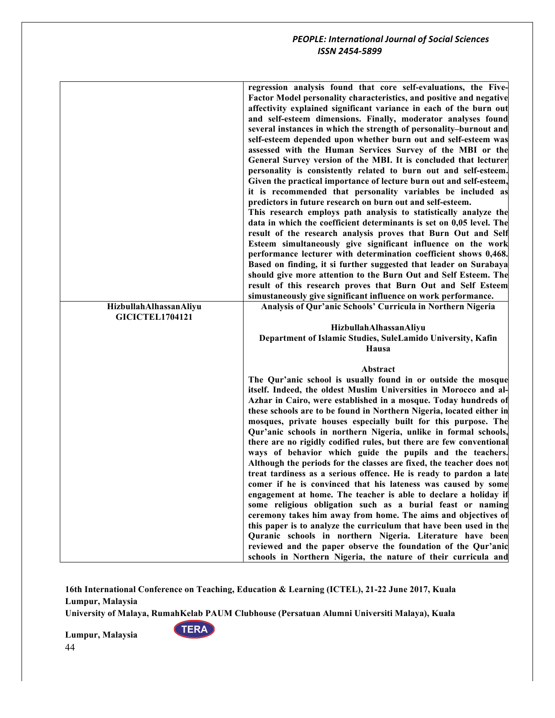| HizbullahAlhassanAliyu | regression analysis found that core self-evaluations, the Five-<br>Factor Model personality characteristics, and positive and negative<br>affectivity explained significant variance in each of the burn out<br>and self-esteem dimensions. Finally, moderator analyses found<br>several instances in which the strength of personality-burnout and<br>self-esteem depended upon whether burn out and self-esteem was<br>assessed with the Human Services Survey of the MBI or the<br>General Survey version of the MBI. It is concluded that lecturer<br>personality is consistently related to burn out and self-esteem.<br>Given the practical importance of lecture burn out and self-esteem,<br>it is recommended that personality variables be included as<br>predictors in future research on burn out and self-esteem.<br>This research employs path analysis to statistically analyze the<br>data in which the coefficient determinants is set on 0,05 level. The<br>result of the research analysis proves that Burn Out and Self<br>Esteem simultaneously give significant influence on the work<br>performance lecturer with determination coefficient shows 0,468.<br>Based on finding, it si further suggested that leader on Surabaya<br>should give more attention to the Burn Out and Self Esteem. The<br>result of this research proves that Burn Out and Self Esteem<br>simustaneously give significant influence on work performance.<br>Analysis of Qur'anic Schools' Curricula in Northern Nigeria |
|------------------------|--------------------------------------------------------------------------------------------------------------------------------------------------------------------------------------------------------------------------------------------------------------------------------------------------------------------------------------------------------------------------------------------------------------------------------------------------------------------------------------------------------------------------------------------------------------------------------------------------------------------------------------------------------------------------------------------------------------------------------------------------------------------------------------------------------------------------------------------------------------------------------------------------------------------------------------------------------------------------------------------------------------------------------------------------------------------------------------------------------------------------------------------------------------------------------------------------------------------------------------------------------------------------------------------------------------------------------------------------------------------------------------------------------------------------------------------------------------------------------------------------------------------------|
| <b>GICICTEL1704121</b> |                                                                                                                                                                                                                                                                                                                                                                                                                                                                                                                                                                                                                                                                                                                                                                                                                                                                                                                                                                                                                                                                                                                                                                                                                                                                                                                                                                                                                                                                                                                          |
|                        | HizbullahAlhassanAliyu                                                                                                                                                                                                                                                                                                                                                                                                                                                                                                                                                                                                                                                                                                                                                                                                                                                                                                                                                                                                                                                                                                                                                                                                                                                                                                                                                                                                                                                                                                   |
|                        | Department of Islamic Studies, SuleLamido University, Kafin                                                                                                                                                                                                                                                                                                                                                                                                                                                                                                                                                                                                                                                                                                                                                                                                                                                                                                                                                                                                                                                                                                                                                                                                                                                                                                                                                                                                                                                              |
|                        | Hausa                                                                                                                                                                                                                                                                                                                                                                                                                                                                                                                                                                                                                                                                                                                                                                                                                                                                                                                                                                                                                                                                                                                                                                                                                                                                                                                                                                                                                                                                                                                    |
|                        | Abstract                                                                                                                                                                                                                                                                                                                                                                                                                                                                                                                                                                                                                                                                                                                                                                                                                                                                                                                                                                                                                                                                                                                                                                                                                                                                                                                                                                                                                                                                                                                 |
|                        | The Qur'anic school is usually found in or outside the mosque                                                                                                                                                                                                                                                                                                                                                                                                                                                                                                                                                                                                                                                                                                                                                                                                                                                                                                                                                                                                                                                                                                                                                                                                                                                                                                                                                                                                                                                            |
|                        | itself. Indeed, the oldest Muslim Universities in Morocco and al-                                                                                                                                                                                                                                                                                                                                                                                                                                                                                                                                                                                                                                                                                                                                                                                                                                                                                                                                                                                                                                                                                                                                                                                                                                                                                                                                                                                                                                                        |
|                        | Azhar in Cairo, were established in a mosque. Today hundreds of                                                                                                                                                                                                                                                                                                                                                                                                                                                                                                                                                                                                                                                                                                                                                                                                                                                                                                                                                                                                                                                                                                                                                                                                                                                                                                                                                                                                                                                          |
|                        | these schools are to be found in Northern Nigeria, located either in                                                                                                                                                                                                                                                                                                                                                                                                                                                                                                                                                                                                                                                                                                                                                                                                                                                                                                                                                                                                                                                                                                                                                                                                                                                                                                                                                                                                                                                     |
|                        | mosques, private houses especially built for this purpose. The<br>Qur'anic schools in northern Nigeria, unlike in formal schools,                                                                                                                                                                                                                                                                                                                                                                                                                                                                                                                                                                                                                                                                                                                                                                                                                                                                                                                                                                                                                                                                                                                                                                                                                                                                                                                                                                                        |
|                        | there are no rigidly codified rules, but there are few conventional                                                                                                                                                                                                                                                                                                                                                                                                                                                                                                                                                                                                                                                                                                                                                                                                                                                                                                                                                                                                                                                                                                                                                                                                                                                                                                                                                                                                                                                      |
|                        | ways of behavior which guide the pupils and the teachers.                                                                                                                                                                                                                                                                                                                                                                                                                                                                                                                                                                                                                                                                                                                                                                                                                                                                                                                                                                                                                                                                                                                                                                                                                                                                                                                                                                                                                                                                |
|                        | Although the periods for the classes are fixed, the teacher does not                                                                                                                                                                                                                                                                                                                                                                                                                                                                                                                                                                                                                                                                                                                                                                                                                                                                                                                                                                                                                                                                                                                                                                                                                                                                                                                                                                                                                                                     |
|                        | treat tardiness as a serious offence. He is ready to pardon a late                                                                                                                                                                                                                                                                                                                                                                                                                                                                                                                                                                                                                                                                                                                                                                                                                                                                                                                                                                                                                                                                                                                                                                                                                                                                                                                                                                                                                                                       |
|                        | comer if he is convinced that his lateness was caused by some<br>engagement at home. The teacher is able to declare a holiday if                                                                                                                                                                                                                                                                                                                                                                                                                                                                                                                                                                                                                                                                                                                                                                                                                                                                                                                                                                                                                                                                                                                                                                                                                                                                                                                                                                                         |
|                        | some religious obligation such as a burial feast or naming                                                                                                                                                                                                                                                                                                                                                                                                                                                                                                                                                                                                                                                                                                                                                                                                                                                                                                                                                                                                                                                                                                                                                                                                                                                                                                                                                                                                                                                               |
|                        | ceremony takes him away from home. The aims and objectives of                                                                                                                                                                                                                                                                                                                                                                                                                                                                                                                                                                                                                                                                                                                                                                                                                                                                                                                                                                                                                                                                                                                                                                                                                                                                                                                                                                                                                                                            |
|                        | this paper is to analyze the curriculum that have been used in the                                                                                                                                                                                                                                                                                                                                                                                                                                                                                                                                                                                                                                                                                                                                                                                                                                                                                                                                                                                                                                                                                                                                                                                                                                                                                                                                                                                                                                                       |
|                        | Quranic schools in northern Nigeria. Literature have been                                                                                                                                                                                                                                                                                                                                                                                                                                                                                                                                                                                                                                                                                                                                                                                                                                                                                                                                                                                                                                                                                                                                                                                                                                                                                                                                                                                                                                                                |
|                        | reviewed and the paper observe the foundation of the Qur'anic                                                                                                                                                                                                                                                                                                                                                                                                                                                                                                                                                                                                                                                                                                                                                                                                                                                                                                                                                                                                                                                                                                                                                                                                                                                                                                                                                                                                                                                            |
|                        | schools in Northern Nigeria, the nature of their curricula and                                                                                                                                                                                                                                                                                                                                                                                                                                                                                                                                                                                                                                                                                                                                                                                                                                                                                                                                                                                                                                                                                                                                                                                                                                                                                                                                                                                                                                                           |

**16th International Conference on Teaching, Education & Learning (ICTEL), 21-22 June 2017, Kuala Lumpur, Malaysia**

**University of Malaya, RumahKelab PAUM Clubhouse (Persatuan Alumni Universiti Malaya), Kuala** 

**TERA**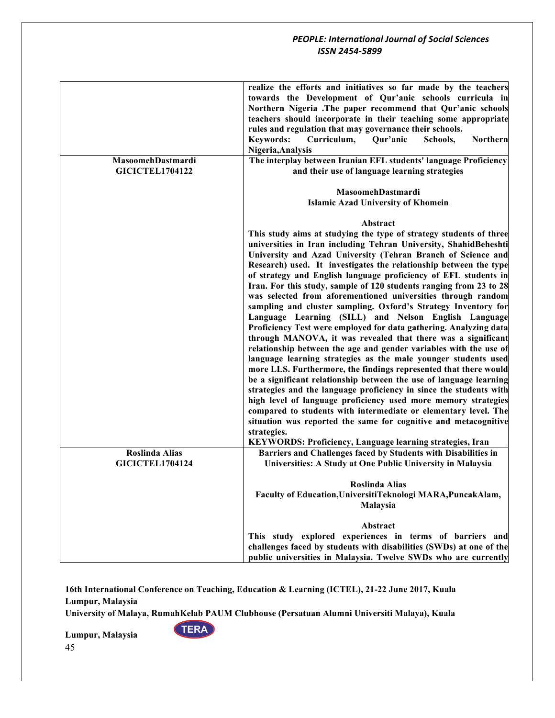| MasoomehDastmardi<br><b>GICICTEL1704122</b> | realize the efforts and initiatives so far made by the teachers<br>towards the Development of Qur'anic schools curricula in<br>Northern Nigeria .The paper recommend that Qur'anic schools<br>teachers should incorporate in their teaching some appropriate<br>rules and regulation that may governance their schools.<br><b>Keywords:</b><br>Curriculum,<br>Qur'anic<br>Schools,<br><b>Northern</b><br>Nigeria, Analysis<br>The interplay between Iranian EFL students' language Proficiency<br>and their use of language learning strategies                                                                                                                                                                                                                                                                                                                                                                                                                                                                                                                                                                                                                                                                                                                                                                                                                                                |
|---------------------------------------------|------------------------------------------------------------------------------------------------------------------------------------------------------------------------------------------------------------------------------------------------------------------------------------------------------------------------------------------------------------------------------------------------------------------------------------------------------------------------------------------------------------------------------------------------------------------------------------------------------------------------------------------------------------------------------------------------------------------------------------------------------------------------------------------------------------------------------------------------------------------------------------------------------------------------------------------------------------------------------------------------------------------------------------------------------------------------------------------------------------------------------------------------------------------------------------------------------------------------------------------------------------------------------------------------------------------------------------------------------------------------------------------------|
|                                             |                                                                                                                                                                                                                                                                                                                                                                                                                                                                                                                                                                                                                                                                                                                                                                                                                                                                                                                                                                                                                                                                                                                                                                                                                                                                                                                                                                                                |
|                                             | MasoomehDastmardi<br><b>Islamic Azad University of Khomein</b>                                                                                                                                                                                                                                                                                                                                                                                                                                                                                                                                                                                                                                                                                                                                                                                                                                                                                                                                                                                                                                                                                                                                                                                                                                                                                                                                 |
|                                             | Abstract                                                                                                                                                                                                                                                                                                                                                                                                                                                                                                                                                                                                                                                                                                                                                                                                                                                                                                                                                                                                                                                                                                                                                                                                                                                                                                                                                                                       |
|                                             | This study aims at studying the type of strategy students of three<br>universities in Iran including Tehran University, ShahidBeheshti<br>University and Azad University (Tehran Branch of Science and<br>Research) used. It investigates the relationship between the type<br>of strategy and English language proficiency of EFL students in<br>Iran. For this study, sample of 120 students ranging from 23 to 28<br>was selected from aforementioned universities through random<br>sampling and cluster sampling. Oxford's Strategy Inventory for<br>Language Learning (SILL) and Nelson English Language<br>Proficiency Test were employed for data gathering. Analyzing data<br>through MANOVA, it was revealed that there was a significant<br>relationship between the age and gender variables with the use of<br>language learning strategies as the male younger students used<br>more LLS. Furthermore, the findings represented that there would<br>be a significant relationship between the use of language learning<br>strategies and the language proficiency in since the students with<br>high level of language proficiency used more memory strategies<br>compared to students with intermediate or elementary level. The<br>situation was reported the same for cognitive and metacognitive<br>strategies.<br>KEYWORDS: Proficiency, Language learning strategies, Iran |
| <b>Roslinda Alias</b>                       | Barriers and Challenges faced by Students with Disabilities in                                                                                                                                                                                                                                                                                                                                                                                                                                                                                                                                                                                                                                                                                                                                                                                                                                                                                                                                                                                                                                                                                                                                                                                                                                                                                                                                 |
| <b>GICICTEL1704124</b>                      | Universities: A Study at One Public University in Malaysia                                                                                                                                                                                                                                                                                                                                                                                                                                                                                                                                                                                                                                                                                                                                                                                                                                                                                                                                                                                                                                                                                                                                                                                                                                                                                                                                     |
|                                             | <b>Roslinda Alias</b><br>Faculty of Education, UniversitiTeknologi MARA, PuncakAlam,<br>Malaysia                                                                                                                                                                                                                                                                                                                                                                                                                                                                                                                                                                                                                                                                                                                                                                                                                                                                                                                                                                                                                                                                                                                                                                                                                                                                                               |
|                                             | Abstract<br>This study explored experiences in terms of barriers and                                                                                                                                                                                                                                                                                                                                                                                                                                                                                                                                                                                                                                                                                                                                                                                                                                                                                                                                                                                                                                                                                                                                                                                                                                                                                                                           |
|                                             | challenges faced by students with disabilities (SWDs) at one of the                                                                                                                                                                                                                                                                                                                                                                                                                                                                                                                                                                                                                                                                                                                                                                                                                                                                                                                                                                                                                                                                                                                                                                                                                                                                                                                            |
|                                             | public universities in Malaysia. Twelve SWDs who are currently                                                                                                                                                                                                                                                                                                                                                                                                                                                                                                                                                                                                                                                                                                                                                                                                                                                                                                                                                                                                                                                                                                                                                                                                                                                                                                                                 |

**16th International Conference on Teaching, Education & Learning (ICTEL), 21-22 June 2017, Kuala Lumpur, Malaysia**

**University of Malaya, RumahKelab PAUM Clubhouse (Persatuan Alumni Universiti Malaya), Kuala** 

**TERA**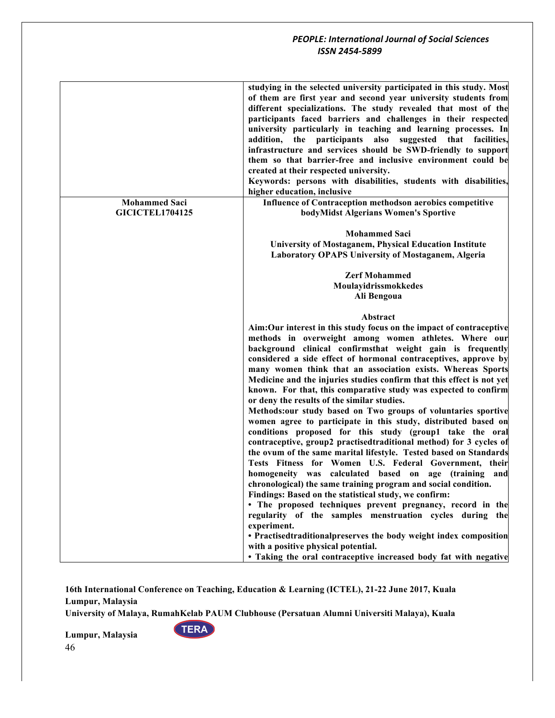|                        | studying in the selected university participated in this study. Most<br>of them are first year and second year university students from<br>different specializations. The study revealed that most of the<br>participants faced barriers and challenges in their respected<br>university particularly in teaching and learning processes. In<br>addition, the participants also suggested that facilities,<br>infrastructure and services should be SWD-friendly to support<br>them so that barrier-free and inclusive environment could be<br>created at their respected university.<br>Keywords: persons with disabilities, students with disabilities,<br>higher education, inclusive                                                                                                                                                                                                                                                                                                                                                                                                                                                                                                                                                                                                                                                                             |
|------------------------|----------------------------------------------------------------------------------------------------------------------------------------------------------------------------------------------------------------------------------------------------------------------------------------------------------------------------------------------------------------------------------------------------------------------------------------------------------------------------------------------------------------------------------------------------------------------------------------------------------------------------------------------------------------------------------------------------------------------------------------------------------------------------------------------------------------------------------------------------------------------------------------------------------------------------------------------------------------------------------------------------------------------------------------------------------------------------------------------------------------------------------------------------------------------------------------------------------------------------------------------------------------------------------------------------------------------------------------------------------------------|
| <b>Mohammed Saci</b>   | Influence of Contraception methodson aerobics competitive                                                                                                                                                                                                                                                                                                                                                                                                                                                                                                                                                                                                                                                                                                                                                                                                                                                                                                                                                                                                                                                                                                                                                                                                                                                                                                            |
| <b>GICICTEL1704125</b> | bodyMidst Algerians Women's Sportive                                                                                                                                                                                                                                                                                                                                                                                                                                                                                                                                                                                                                                                                                                                                                                                                                                                                                                                                                                                                                                                                                                                                                                                                                                                                                                                                 |
|                        | <b>Mohammed Saci</b><br>University of Mostaganem, Physical Education Institute<br><b>Laboratory OPAPS University of Mostaganem, Algeria</b>                                                                                                                                                                                                                                                                                                                                                                                                                                                                                                                                                                                                                                                                                                                                                                                                                                                                                                                                                                                                                                                                                                                                                                                                                          |
|                        | <b>Zerf Mohammed</b>                                                                                                                                                                                                                                                                                                                                                                                                                                                                                                                                                                                                                                                                                                                                                                                                                                                                                                                                                                                                                                                                                                                                                                                                                                                                                                                                                 |
|                        | Moulayidrissmokkedes                                                                                                                                                                                                                                                                                                                                                                                                                                                                                                                                                                                                                                                                                                                                                                                                                                                                                                                                                                                                                                                                                                                                                                                                                                                                                                                                                 |
|                        | Ali Bengoua                                                                                                                                                                                                                                                                                                                                                                                                                                                                                                                                                                                                                                                                                                                                                                                                                                                                                                                                                                                                                                                                                                                                                                                                                                                                                                                                                          |
|                        | Abstract                                                                                                                                                                                                                                                                                                                                                                                                                                                                                                                                                                                                                                                                                                                                                                                                                                                                                                                                                                                                                                                                                                                                                                                                                                                                                                                                                             |
|                        | Aim:Our interest in this study focus on the impact of contraceptive<br>methods in overweight among women athletes. Where our<br>background clinical confirmsthat weight gain is frequently<br>considered a side effect of hormonal contraceptives, approve by<br>many women think that an association exists. Whereas Sports<br>Medicine and the injuries studies confirm that this effect is not yet<br>known. For that, this comparative study was expected to confirm<br>or deny the results of the similar studies.<br>Methods:our study based on Two groups of voluntaries sportive<br>women agree to participate in this study, distributed based on<br>conditions proposed for this study (group1 take the oral<br>contraceptive, group2 practisedtraditional method) for 3 cycles of<br>the ovum of the same marital lifestyle. Tested based on Standards<br>Tests Fitness for Women U.S. Federal Government, their<br>homogeneity was calculated based on age (training and<br>chronological) the same training program and social condition.<br>Findings: Based on the statistical study, we confirm:<br>• The proposed techniques prevent pregnancy, record in the<br>regularity of the samples menstruation cycles during the<br>experiment.<br>• Practisedtraditionalpreserves the body weight index composition<br>with a positive physical potential. |
|                        | • Taking the oral contraceptive increased body fat with negative                                                                                                                                                                                                                                                                                                                                                                                                                                                                                                                                                                                                                                                                                                                                                                                                                                                                                                                                                                                                                                                                                                                                                                                                                                                                                                     |
|                        |                                                                                                                                                                                                                                                                                                                                                                                                                                                                                                                                                                                                                                                                                                                                                                                                                                                                                                                                                                                                                                                                                                                                                                                                                                                                                                                                                                      |

**16th International Conference on Teaching, Education & Learning (ICTEL), 21-22 June 2017, Kuala Lumpur, Malaysia**

**University of Malaya, RumahKelab PAUM Clubhouse (Persatuan Alumni Universiti Malaya), Kuala** 

**TERA**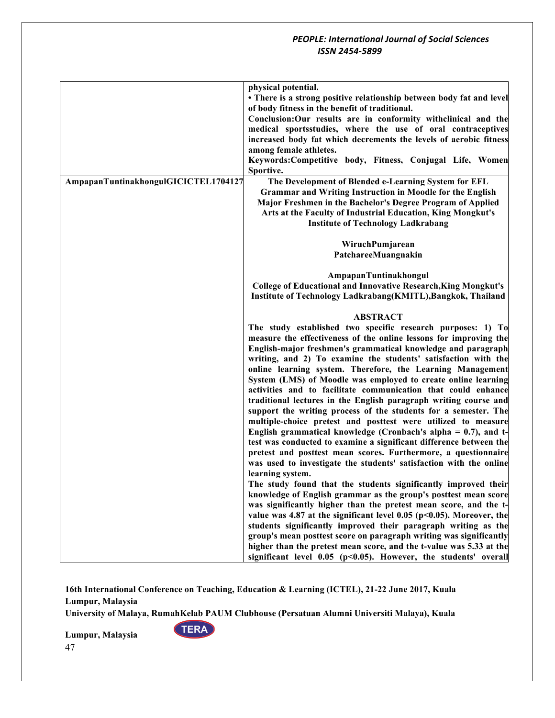|                                      | physical potential.                                                                                                               |
|--------------------------------------|-----------------------------------------------------------------------------------------------------------------------------------|
|                                      | • There is a strong positive relationship between body fat and level                                                              |
|                                      | of body fitness in the benefit of traditional.                                                                                    |
|                                      | Conclusion: Our results are in conformity withclinical and the                                                                    |
|                                      | medical sportsstudies, where the use of oral contraceptives                                                                       |
|                                      | increased body fat which decrements the levels of aerobic fitness                                                                 |
|                                      | among female athletes.                                                                                                            |
|                                      | Keywords:Competitive body, Fitness, Conjugal Life, Women                                                                          |
|                                      | Sportive.                                                                                                                         |
| AmpapanTuntinakhongulGICICTEL1704127 | The Development of Blended e-Learning System for EFL                                                                              |
|                                      | <b>Grammar and Writing Instruction in Moodle for the English</b>                                                                  |
|                                      | Major Freshmen in the Bachelor's Degree Program of Applied                                                                        |
|                                      | Arts at the Faculty of Industrial Education, King Mongkut's                                                                       |
|                                      | <b>Institute of Technology Ladkrabang</b>                                                                                         |
|                                      | WiruchPumjarean                                                                                                                   |
|                                      | PatchareeMuangnakin                                                                                                               |
|                                      |                                                                                                                                   |
|                                      | AmpapanTuntinakhongul                                                                                                             |
|                                      | <b>College of Educational and Innovative Research, King Mongkut's</b>                                                             |
|                                      | Institute of Technology Ladkrabang(KMITL), Bangkok, Thailand                                                                      |
|                                      |                                                                                                                                   |
|                                      | <b>ABSTRACT</b>                                                                                                                   |
|                                      | The study established two specific research purposes: 1) To                                                                       |
|                                      | measure the effectiveness of the online lessons for improving the<br>English-major freshmen's grammatical knowledge and paragraph |
|                                      | writing, and 2) To examine the students' satisfaction with the                                                                    |
|                                      | online learning system. Therefore, the Learning Management                                                                        |
|                                      | System (LMS) of Moodle was employed to create online learning                                                                     |
|                                      | activities and to facilitate communication that could enhance                                                                     |
|                                      | traditional lectures in the English paragraph writing course and                                                                  |
|                                      | support the writing process of the students for a semester. The                                                                   |
|                                      | multiple-choice pretest and posttest were utilized to measure                                                                     |
|                                      | English grammatical knowledge (Cronbach's alpha $= 0.7$ ), and t-                                                                 |
|                                      | test was conducted to examine a significant difference between the                                                                |
|                                      | pretest and posttest mean scores. Furthermore, a questionnaire                                                                    |
|                                      | was used to investigate the students' satisfaction with the online                                                                |
|                                      | learning system.                                                                                                                  |
|                                      | The study found that the students significantly improved their                                                                    |
|                                      | knowledge of English grammar as the group's posttest mean score                                                                   |
|                                      | was significantly higher than the pretest mean score, and the t-                                                                  |
|                                      | value was 4.87 at the significant level 0.05 ( $p$ <0.05). Moreover, the                                                          |
|                                      | students significantly improved their paragraph writing as the                                                                    |
|                                      | group's mean posttest score on paragraph writing was significantly                                                                |
|                                      | higher than the pretest mean score, and the t-value was 5.33 at the                                                               |
|                                      | significant level 0.05 (p<0.05). However, the students' overall                                                                   |

**16th International Conference on Teaching, Education & Learning (ICTEL), 21-22 June 2017, Kuala Lumpur, Malaysia**

**University of Malaya, RumahKelab PAUM Clubhouse (Persatuan Alumni Universiti Malaya), Kuala** 

**TERA**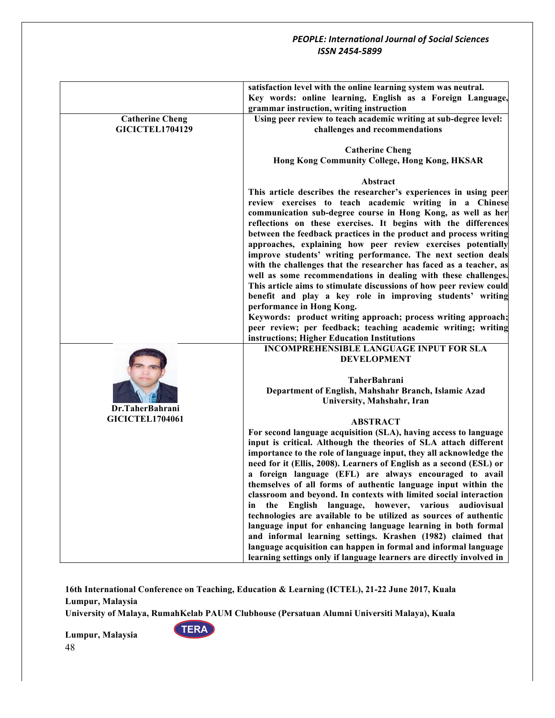|                        | satisfaction level with the online learning system was neutral.      |
|------------------------|----------------------------------------------------------------------|
|                        | Key words: online learning, English as a Foreign Language,           |
|                        | grammar instruction, writing instruction                             |
| <b>Catherine Cheng</b> | Using peer review to teach academic writing at sub-degree level:     |
| <b>GICICTEL1704129</b> | challenges and recommendations                                       |
|                        | <b>Catherine Cheng</b>                                               |
|                        | Hong Kong Community College, Hong Kong, HKSAR                        |
|                        | Abstract                                                             |
|                        | This article describes the researcher's experiences in using peer    |
|                        | review exercises to teach academic writing in a Chinese              |
|                        | communication sub-degree course in Hong Kong, as well as her         |
|                        | reflections on these exercises. It begins with the differences       |
|                        | between the feedback practices in the product and process writing    |
|                        |                                                                      |
|                        | approaches, explaining how peer review exercises potentially         |
|                        | improve students' writing performance. The next section deals        |
|                        | with the challenges that the researcher has faced as a teacher, as   |
|                        | well as some recommendations in dealing with these challenges.       |
|                        | This article aims to stimulate discussions of how peer review could  |
|                        | benefit and play a key role in improving students' writing           |
|                        | performance in Hong Kong.                                            |
|                        | Keywords: product writing approach; process writing approach;        |
|                        | peer review; per feedback; teaching academic writing; writing        |
|                        | instructions; Higher Education Institutions                          |
|                        | <b>INCOMPREHENSIBLE LANGUAGE INPUT FOR SLA</b>                       |
|                        | <b>DEVELOPMENT</b>                                                   |
|                        |                                                                      |
|                        | <b>TaherBahrani</b>                                                  |
|                        | Department of English, Mahshahr Branch, Islamic Azad                 |
|                        | University, Mahshahr, Iran                                           |
| Dr.TaherBahrani        |                                                                      |
| <b>GICICTEL1704061</b> | <b>ABSTRACT</b>                                                      |
|                        | For second language acquisition (SLA), having access to language     |
|                        | input is critical. Although the theories of SLA attach different     |
|                        | importance to the role of language input, they all acknowledge the   |
|                        | need for it (Ellis, 2008). Learners of English as a second (ESL) or  |
|                        | a foreign language (EFL) are always encouraged to avail              |
|                        | themselves of all forms of authentic language input within the       |
|                        | classroom and beyond. In contexts with limited social interaction    |
|                        | in the English language, however, various<br>audiovisual             |
|                        | technologies are available to be utilized as sources of authentic    |
|                        |                                                                      |
|                        | language input for enhancing language learning in both formal        |
|                        | and informal learning settings. Krashen (1982) claimed that          |
|                        | language acquisition can happen in formal and informal language      |
|                        | learning settings only if language learners are directly involved in |

**16th International Conference on Teaching, Education & Learning (ICTEL), 21-22 June 2017, Kuala Lumpur, Malaysia**

**University of Malaya, RumahKelab PAUM Clubhouse (Persatuan Alumni Universiti Malaya), Kuala** 

**TERA**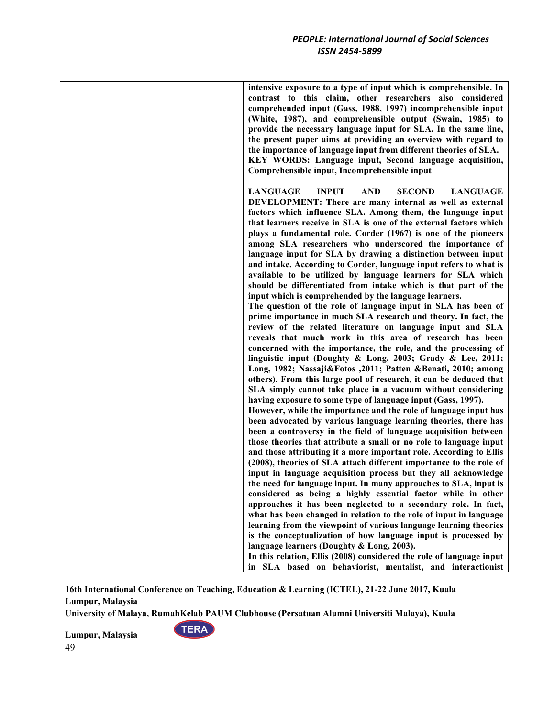| intensive exposure to a type of input which is comprehensible. In<br>contrast to this claim, other researchers also considered<br>comprehended input (Gass, 1988, 1997) incomprehensible input<br>(White, 1987), and comprehensible output (Swain, 1985) to<br>provide the necessary language input for SLA. In the same line,<br>the present paper aims at providing an overview with regard to<br>the importance of language input from different theories of SLA.<br>KEY WORDS: Language input, Second language acquisition,<br>Comprehensible input, Incomprehensible input                                                                                                                                                                                                                                                                                                                                                                                                                                                                                                                                                                                                                                                                                                                                                                                                                                                                                                                                                                                                                                                                                                                                                                                                                                                                                                                                                                                                    |
|------------------------------------------------------------------------------------------------------------------------------------------------------------------------------------------------------------------------------------------------------------------------------------------------------------------------------------------------------------------------------------------------------------------------------------------------------------------------------------------------------------------------------------------------------------------------------------------------------------------------------------------------------------------------------------------------------------------------------------------------------------------------------------------------------------------------------------------------------------------------------------------------------------------------------------------------------------------------------------------------------------------------------------------------------------------------------------------------------------------------------------------------------------------------------------------------------------------------------------------------------------------------------------------------------------------------------------------------------------------------------------------------------------------------------------------------------------------------------------------------------------------------------------------------------------------------------------------------------------------------------------------------------------------------------------------------------------------------------------------------------------------------------------------------------------------------------------------------------------------------------------------------------------------------------------------------------------------------------------|
| <b>LANGUAGE</b><br><b>INPUT</b><br><b>AND</b><br><b>SECOND</b><br><b>LANGUAGE</b><br>DEVELOPMENT: There are many internal as well as external<br>factors which influence SLA. Among them, the language input<br>that learners receive in SLA is one of the external factors which<br>plays a fundamental role. Corder (1967) is one of the pioneers<br>among SLA researchers who underscored the importance of<br>language input for SLA by drawing a distinction between input<br>and intake. According to Corder, language input refers to what is<br>available to be utilized by language learners for SLA which<br>should be differentiated from intake which is that part of the<br>input which is comprehended by the language learners.<br>The question of the role of language input in SLA has been of<br>prime importance in much SLA research and theory. In fact, the<br>review of the related literature on language input and SLA<br>reveals that much work in this area of research has been<br>concerned with the importance, the role, and the processing of<br>linguistic input (Doughty & Long, 2003; Grady & Lee, 2011;<br>Long, 1982; Nassaji&Fotos ,2011; Patten &Benati, 2010; among<br>others). From this large pool of research, it can be deduced that<br>SLA simply cannot take place in a vacuum without considering<br>having exposure to some type of language input (Gass, 1997).<br>However, while the importance and the role of language input has<br>been advocated by various language learning theories, there has<br>been a controversy in the field of language acquisition between<br>those theories that attribute a small or no role to language input<br>and those attributing it a more important role. According to Ellis<br>(2008), theories of SLA attach different importance to the role of<br>input in language acquisition process but they all acknowledge<br>the need for language input. In many approaches to SLA, input is |
| considered as being a highly essential factor while in other<br>approaches it has been neglected to a secondary role. In fact,<br>what has been changed in relation to the role of input in language<br>learning from the viewpoint of various language learning theories<br>is the conceptualization of how language input is processed by                                                                                                                                                                                                                                                                                                                                                                                                                                                                                                                                                                                                                                                                                                                                                                                                                                                                                                                                                                                                                                                                                                                                                                                                                                                                                                                                                                                                                                                                                                                                                                                                                                        |
| language learners (Doughty & Long, 2003).<br>In this relation, Ellis (2008) considered the role of language input<br>in SLA based on behaviorist, mentalist, and interactionist                                                                                                                                                                                                                                                                                                                                                                                                                                                                                                                                                                                                                                                                                                                                                                                                                                                                                                                                                                                                                                                                                                                                                                                                                                                                                                                                                                                                                                                                                                                                                                                                                                                                                                                                                                                                    |

**University of Malaya, RumahKelab PAUM Clubhouse (Persatuan Alumni Universiti Malaya), Kuala** 

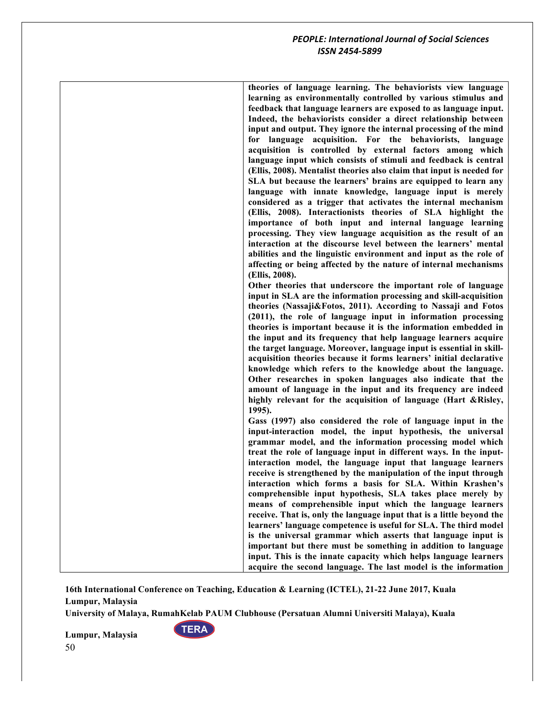| theories of language learning. The behaviorists view language<br>learning as environmentally controlled by various stimulus and |
|---------------------------------------------------------------------------------------------------------------------------------|
| feedback that language learners are exposed to as language input.                                                               |
| Indeed, the behaviorists consider a direct relationship between                                                                 |
| input and output. They ignore the internal processing of the mind                                                               |
| for language acquisition. For the behaviorists, language                                                                        |
| acquisition is controlled by external factors among which                                                                       |
| language input which consists of stimuli and feedback is central                                                                |
| (Ellis, 2008). Mentalist theories also claim that input is needed for                                                           |
| SLA but because the learners' brains are equipped to learn any                                                                  |
| language with innate knowledge, language input is merely                                                                        |
| considered as a trigger that activates the internal mechanism                                                                   |
| (Ellis, 2008). Interactionists theories of SLA highlight the                                                                    |
| importance of both input and internal language learning                                                                         |
| processing. They view language acquisition as the result of an                                                                  |
| interaction at the discourse level between the learners' mental                                                                 |
| abilities and the linguistic environment and input as the role of                                                               |
| affecting or being affected by the nature of internal mechanisms                                                                |
| (Ellis, 2008).                                                                                                                  |
| Other theories that underscore the important role of language                                                                   |
| input in SLA are the information processing and skill-acquisition                                                               |
| theories (Nassaji&Fotos, 2011). According to Nassaji and Fotos                                                                  |
| (2011), the role of language input in information processing                                                                    |
| theories is important because it is the information embedded in                                                                 |
| the input and its frequency that help language learners acquire                                                                 |
| the target language. Moreover, language input is essential in skill-                                                            |
| acquisition theories because it forms learners' initial declarative                                                             |
| knowledge which refers to the knowledge about the language.                                                                     |
| Other researches in spoken languages also indicate that the                                                                     |
| amount of language in the input and its frequency are indeed                                                                    |
| highly relevant for the acquisition of language (Hart &Risley,                                                                  |
| 1995).                                                                                                                          |
| Gass (1997) also considered the role of language input in the                                                                   |
| input-interaction model, the input hypothesis, the universal                                                                    |
| grammar model, and the information processing model which                                                                       |
| treat the role of language input in different ways. In the input-                                                               |
| interaction model, the language input that language learners                                                                    |
| receive is strengthened by the manipulation of the input through                                                                |
| interaction which forms a basis for SLA. Within Krashen's                                                                       |
| comprehensible input hypothesis, SLA takes place merely by                                                                      |
| means of comprehensible input which the language learners                                                                       |
| receive. That is, only the language input that is a little beyond the                                                           |
| learners' language competence is useful for SLA. The third model                                                                |
| is the universal grammar which asserts that language input is                                                                   |
| important but there must be something in addition to language                                                                   |
| input. This is the innate capacity which helps language learners                                                                |
| acquire the second language. The last model is the information                                                                  |

**16th International Conference on Teaching, Education & Learning (ICTEL), 21-22 June 2017, Kuala Lumpur, Malaysia**

**University of Malaya, RumahKelab PAUM Clubhouse (Persatuan Alumni Universiti Malaya), Kuala** 

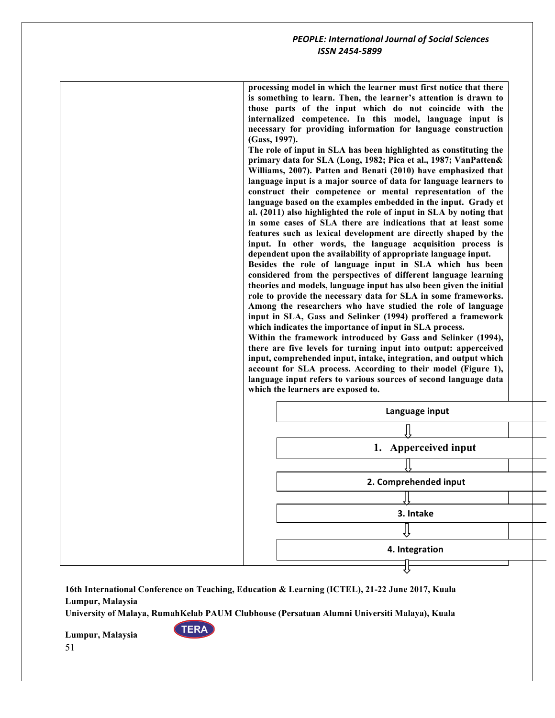**processing model in which the learner must first notice that there is something to learn. Then, the learner's attention is drawn to those parts of the input which do not coincide with the internalized competence. In this model, language input is necessary for providing information for language construction (Gass, 1997). The role of input in SLA has been highlighted as constituting the primary data for SLA (Long, 1982; Pica et al., 1987; VanPatten& Williams, 2007). Patten and Benati (2010) have emphasized that language input is a major source of data for language learners to construct their competence or mental representation of the language based on the examples embedded in the input. Grady et al. (2011) also highlighted the role of input in SLA by noting that in some cases of SLA there are indications that at least some features such as lexical development are directly shaped by the input. In other words, the language acquisition process is dependent upon the availability of appropriate language input. Besides the role of language input in SLA which has been considered from the perspectives of different language learning theories and models, language input has also been given the initial role to provide the necessary data for SLA in some frameworks. Among the researchers who have studied the role of language input in SLA, Gass and Selinker (1994) proffered a framework which indicates the importance of input in SLA process. Within the framework introduced by Gass and Selinker (1994), there are five levels for turning input into output: apperceived input, comprehended input, intake, integration, and output which account for SLA process. According to their model (Figure 1), language input refers to various sources of second language data which the learners are exposed to.** 



**16th International Conference on Teaching, Education & Learning (ICTEL), 21-22 June 2017, Kuala Lumpur, Malaysia**

**University of Malaya, RumahKelab PAUM Clubhouse (Persatuan Alumni Universiti Malaya), Kuala** 

**TERA**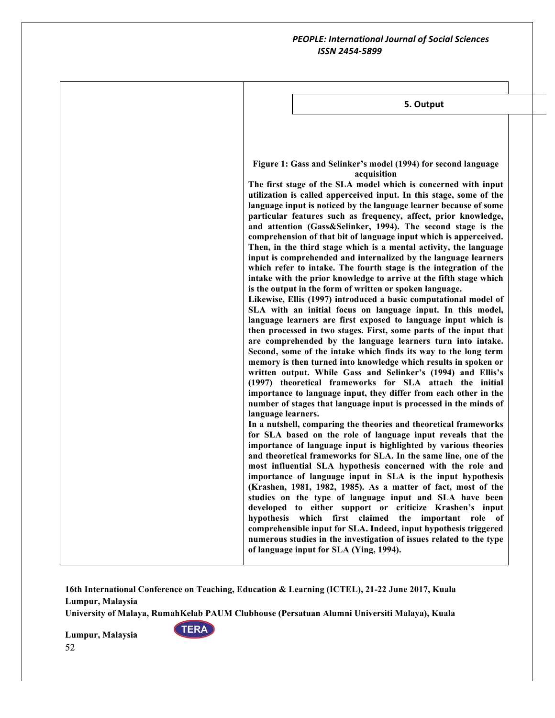| 5. Output                                                                                                                                                                                                                                                                                                                                                                                                                                                                                                                                                                                                                                                                                                                                                                                                                                                                                                                                                                                                                                                                                                                                                                                                                                                                                                                                                                                                                                                                                                                                                                                                                                                                                                                                                                                                                                                                                                                                                                                                                                                                                                                                                                                                                                                                                                                                                                                                                                                                      |
|--------------------------------------------------------------------------------------------------------------------------------------------------------------------------------------------------------------------------------------------------------------------------------------------------------------------------------------------------------------------------------------------------------------------------------------------------------------------------------------------------------------------------------------------------------------------------------------------------------------------------------------------------------------------------------------------------------------------------------------------------------------------------------------------------------------------------------------------------------------------------------------------------------------------------------------------------------------------------------------------------------------------------------------------------------------------------------------------------------------------------------------------------------------------------------------------------------------------------------------------------------------------------------------------------------------------------------------------------------------------------------------------------------------------------------------------------------------------------------------------------------------------------------------------------------------------------------------------------------------------------------------------------------------------------------------------------------------------------------------------------------------------------------------------------------------------------------------------------------------------------------------------------------------------------------------------------------------------------------------------------------------------------------------------------------------------------------------------------------------------------------------------------------------------------------------------------------------------------------------------------------------------------------------------------------------------------------------------------------------------------------------------------------------------------------------------------------------------------------|
| Figure 1: Gass and Selinker's model (1994) for second language<br>acquisition<br>The first stage of the SLA model which is concerned with input<br>utilization is called apperceived input. In this stage, some of the<br>language input is noticed by the language learner because of some<br>particular features such as frequency, affect, prior knowledge,<br>and attention (Gass&Selinker, 1994). The second stage is the<br>comprehension of that bit of language input which is apperceived.<br>Then, in the third stage which is a mental activity, the language<br>input is comprehended and internalized by the language learners<br>which refer to intake. The fourth stage is the integration of the<br>intake with the prior knowledge to arrive at the fifth stage which<br>is the output in the form of written or spoken language.<br>Likewise, Ellis (1997) introduced a basic computational model of<br>SLA with an initial focus on language input. In this model,<br>language learners are first exposed to language input which is<br>then processed in two stages. First, some parts of the input that<br>are comprehended by the language learners turn into intake.<br>Second, some of the intake which finds its way to the long term<br>memory is then turned into knowledge which results in spoken or<br>written output. While Gass and Selinker's (1994) and Ellis's<br>(1997) theoretical frameworks for SLA attach the initial<br>importance to language input, they differ from each other in the<br>number of stages that language input is processed in the minds of<br>language learners.<br>In a nutshell, comparing the theories and theoretical frameworks<br>for SLA based on the role of language input reveals that the<br>importance of language input is highlighted by various theories<br>and theoretical frameworks for SLA. In the same line, one of the<br>most influential SLA hypothesis concerned with the role and<br>importance of language input in SLA is the input hypothesis<br>(Krashen, 1981, 1982, 1985). As a matter of fact, most of the<br>studies on the type of language input and SLA have been<br>developed to either support or criticize Krashen's input<br>hypothesis which first claimed<br>the important role of<br>comprehensible input for SLA. Indeed, input hypothesis triggered<br>numerous studies in the investigation of issues related to the type<br>of language input for SLA (Ying, 1994). |
|                                                                                                                                                                                                                                                                                                                                                                                                                                                                                                                                                                                                                                                                                                                                                                                                                                                                                                                                                                                                                                                                                                                                                                                                                                                                                                                                                                                                                                                                                                                                                                                                                                                                                                                                                                                                                                                                                                                                                                                                                                                                                                                                                                                                                                                                                                                                                                                                                                                                                |

**16th International Conference on Teaching, Education & Learning (ICTEL), 21-22 June 2017, Kuala Lumpur, Malaysia**

**University of Malaya, RumahKelab PAUM Clubhouse (Persatuan Alumni Universiti Malaya), Kuala** 

**TERA**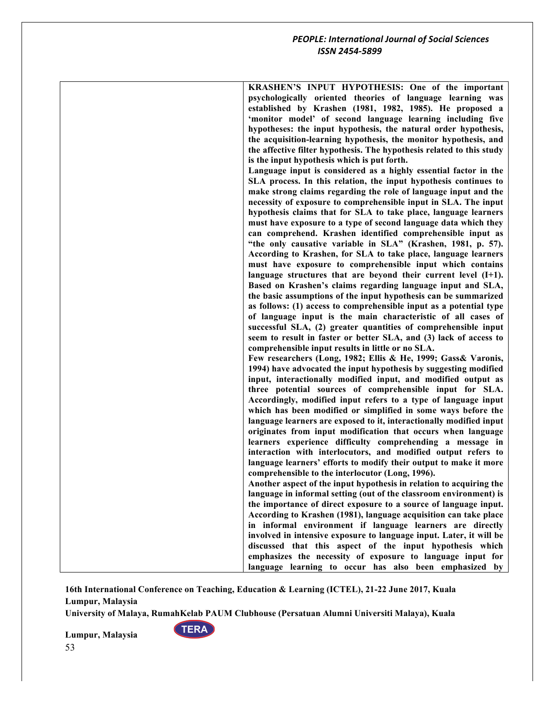| KRASHEN'S INPUT HYPOTHESIS: One of the important                      |
|-----------------------------------------------------------------------|
| psychologically oriented theories of language learning was            |
| established by Krashen (1981, 1982, 1985). He proposed a              |
| 'monitor model' of second language learning including five            |
| hypotheses: the input hypothesis, the natural order hypothesis,       |
| the acquisition-learning hypothesis, the monitor hypothesis, and      |
| the affective filter hypothesis. The hypothesis related to this study |
| is the input hypothesis which is put forth.                           |
| Language input is considered as a highly essential factor in the      |
| SLA process. In this relation, the input hypothesis continues to      |
|                                                                       |
| make strong claims regarding the role of language input and the       |
| necessity of exposure to comprehensible input in SLA. The input       |
| hypothesis claims that for SLA to take place, language learners       |
| must have exposure to a type of second language data which they       |
| can comprehend. Krashen identified comprehensible input as            |
| "the only causative variable in SLA" (Krashen, 1981, p. 57).          |
| According to Krashen, for SLA to take place, language learners        |
| must have exposure to comprehensible input which contains             |
| language structures that are beyond their current level $(I+1)$ .     |
| Based on Krashen's claims regarding language input and SLA,           |
| the basic assumptions of the input hypothesis can be summarized       |
| as follows: (1) access to comprehensible input as a potential type    |
| of language input is the main characteristic of all cases of          |
| successful SLA, (2) greater quantities of comprehensible input        |
| seem to result in faster or better SLA, and (3) lack of access to     |
| comprehensible input results in little or no SLA.                     |
| Few researchers (Long, 1982; Ellis & He, 1999; Gass& Varonis,         |
| 1994) have advocated the input hypothesis by suggesting modified      |
| input, interactionally modified input, and modified output as         |
| three potential sources of comprehensible input for SLA.              |
|                                                                       |
| Accordingly, modified input refers to a type of language input        |
| which has been modified or simplified in some ways before the         |
| language learners are exposed to it, interactionally modified input   |
| originates from input modification that occurs when language          |
| learners experience difficulty comprehending a message in             |
| interaction with interlocutors, and modified output refers to         |
| language learners' efforts to modify their output to make it more     |
| comprehensible to the interlocutor (Long, 1996).                      |
| Another aspect of the input hypothesis in relation to acquiring the   |
| language in informal setting (out of the classroom environment) is    |
| the importance of direct exposure to a source of language input.      |
| According to Krashen (1981), language acquisition can take place      |
| in informal environment if language learners are directly             |
| involved in intensive exposure to language input. Later, it will be   |
| discussed that this aspect of the input hypothesis which              |
| emphasizes the necessity of exposure to language input for            |
| language learning to occur has also been emphasized by                |
|                                                                       |

**University of Malaya, RumahKelab PAUM Clubhouse (Persatuan Alumni Universiti Malaya), Kuala** 

**TERA**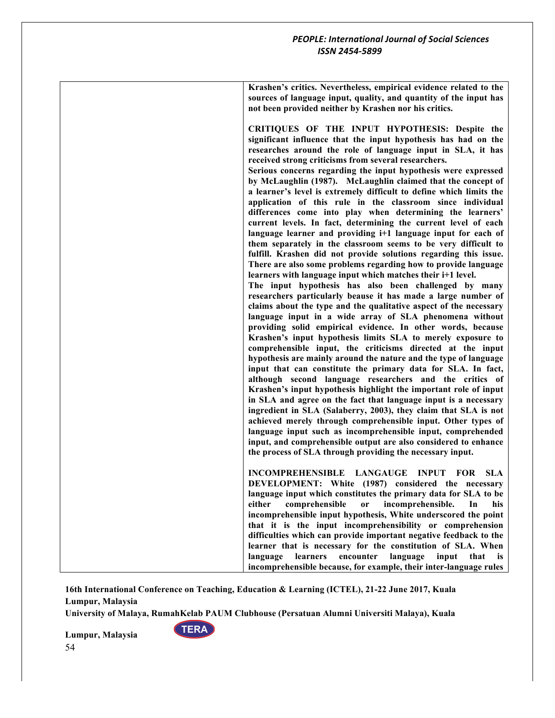**Krashen's critics. Nevertheless, empirical evidence related to the sources of language input, quality, and quantity of the input has not been provided neither by Krashen nor his critics.**

**CRITIQUES OF THE INPUT HYPOTHESIS: Despite the significant influence that the input hypothesis has had on the researches around the role of language input in SLA, it has received strong criticisms from several researchers.** 

**Serious concerns regarding the input hypothesis were expressed by McLaughlin (1987). McLaughlin claimed that the concept of a learner's level is extremely difficult to define which limits the application of this rule in the classroom since individual differences come into play when determining the learners' current levels. In fact, determining the current level of each language learner and providing i+1 language input for each of them separately in the classroom seems to be very difficult to fulfill. Krashen did not provide solutions regarding this issue. There are also some problems regarding how to provide language learners with language input which matches their i+1 level.**

**The input hypothesis has also been challenged by many researchers particularly beause it has made a large number of claims about the type and the qualitative aspect of the necessary language input in a wide array of SLA phenomena without providing solid empirical evidence. In other words, because Krashen's input hypothesis limits SLA to merely exposure to comprehensible input, the criticisms directed at the input hypothesis are mainly around the nature and the type of language input that can constitute the primary data for SLA. In fact, although second language researchers and the critics of Krashen's input hypothesis highlight the important role of input in SLA and agree on the fact that language input is a necessary ingredient in SLA (Salaberry, 2003), they claim that SLA is not achieved merely through comprehensible input. Other types of language input such as incomprehensible input, comprehended input, and comprehensible output are also considered to enhance the process of SLA through providing the necessary input.**

**INCOMPREHENSIBLE LANGAUGE INPUT FOR SLA DEVELOPMENT: White (1987) considered the necessary language input which constitutes the primary data for SLA to be either comprehensible or incomprehensible. In his incomprehensible input hypothesis, White underscored the point that it is the input incomprehensibility or comprehension difficulties which can provide important negative feedback to the learner that is necessary for the constitution of SLA. When language learners encounter language input that is incomprehensible because, for example, their inter-language rules** 

**16th International Conference on Teaching, Education & Learning (ICTEL), 21-22 June 2017, Kuala Lumpur, Malaysia**

**University of Malaya, RumahKelab PAUM Clubhouse (Persatuan Alumni Universiti Malaya), Kuala** 

**TERA**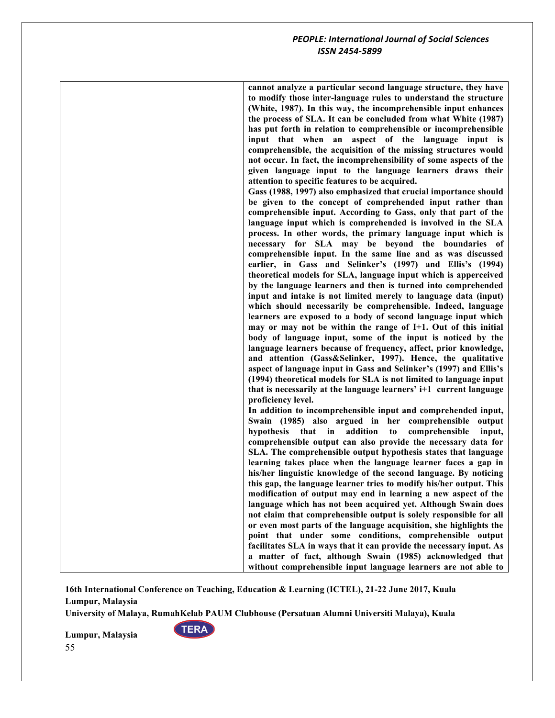| cannot analyze a particular second language structure, they have<br>to modify those inter-language rules to understand the structure<br>(White, 1987). In this way, the incomprehensible input enhances<br>the process of SLA. It can be concluded from what White (1987)<br>has put forth in relation to comprehensible or incomprehensible<br>input that when an aspect of the language input is<br>comprehensible, the acquisition of the missing structures would<br>not occur. In fact, the incomprehensibility of some aspects of the<br>given language input to the language learners draws their<br>attention to specific features to be acquired.<br>Gass (1988, 1997) also emphasized that crucial importance should<br>be given to the concept of comprehended input rather than<br>comprehensible input. According to Gass, only that part of the<br>language input which is comprehended is involved in the SLA |
|------------------------------------------------------------------------------------------------------------------------------------------------------------------------------------------------------------------------------------------------------------------------------------------------------------------------------------------------------------------------------------------------------------------------------------------------------------------------------------------------------------------------------------------------------------------------------------------------------------------------------------------------------------------------------------------------------------------------------------------------------------------------------------------------------------------------------------------------------------------------------------------------------------------------------|
| process. In other words, the primary language input which is<br>necessary for SLA may be beyond the boundaries of<br>comprehensible input. In the same line and as was discussed<br>earlier, in Gass and Selinker's (1997) and Ellis's (1994)<br>theoretical models for SLA, language input which is apperceived<br>by the language learners and then is turned into comprehended<br>input and intake is not limited merely to language data (input)                                                                                                                                                                                                                                                                                                                                                                                                                                                                         |
| which should necessarily be comprehensible. Indeed, language<br>learners are exposed to a body of second language input which<br>may or may not be within the range of I+1. Out of this initial<br>body of language input, some of the input is noticed by the<br>language learners because of frequency, affect, prior knowledge,<br>and attention (Gass&Selinker, 1997). Hence, the qualitative<br>aspect of language input in Gass and Selinker's (1997) and Ellis's                                                                                                                                                                                                                                                                                                                                                                                                                                                      |
| (1994) theoretical models for SLA is not limited to language input<br>that is necessarily at the language learners' i+1 current language<br>proficiency level.<br>In addition to incomprehensible input and comprehended input,                                                                                                                                                                                                                                                                                                                                                                                                                                                                                                                                                                                                                                                                                              |
| Swain (1985) also argued in her<br>comprehensible<br>output<br>hypothesis that<br>addition<br>in<br>to<br>comprehensible<br>input,<br>comprehensible output can also provide the necessary data for<br>SLA. The comprehensible output hypothesis states that language<br>learning takes place when the language learner faces a gap in                                                                                                                                                                                                                                                                                                                                                                                                                                                                                                                                                                                       |
| his/her linguistic knowledge of the second language. By noticing<br>this gap, the language learner tries to modify his/her output. This<br>modification of output may end in learning a new aspect of the<br>language which has not been acquired yet. Although Swain does<br>not claim that comprehensible output is solely responsible for all                                                                                                                                                                                                                                                                                                                                                                                                                                                                                                                                                                             |
| or even most parts of the language acquisition, she highlights the<br>point that under some conditions, comprehensible output<br>facilitates SLA in ways that it can provide the necessary input. As<br>a matter of fact, although Swain (1985) acknowledged that                                                                                                                                                                                                                                                                                                                                                                                                                                                                                                                                                                                                                                                            |
| without comprehensible input language learners are not able to                                                                                                                                                                                                                                                                                                                                                                                                                                                                                                                                                                                                                                                                                                                                                                                                                                                               |

**16th International Conference on Teaching, Education & Learning (ICTEL), 21-22 June 2017, Kuala Lumpur, Malaysia**

**University of Malaya, RumahKelab PAUM Clubhouse (Persatuan Alumni Universiti Malaya), Kuala** 

**TERA**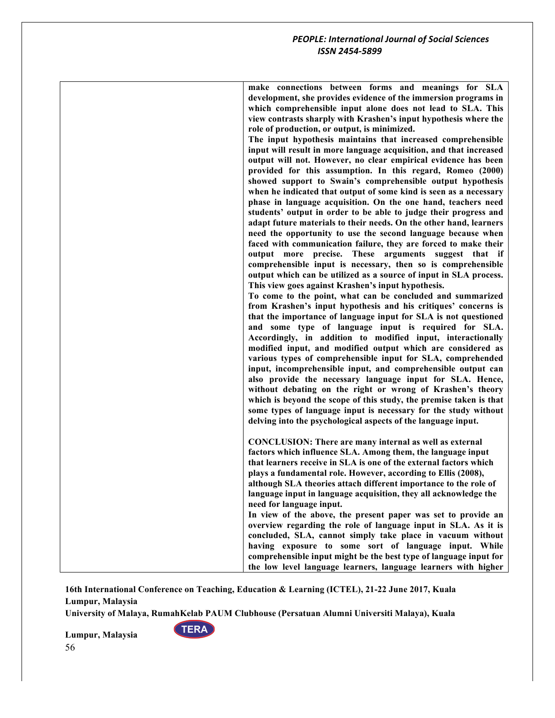| make connections between forms and meanings for SLA                |
|--------------------------------------------------------------------|
| development, she provides evidence of the immersion programs in    |
| which comprehensible input alone does not lead to SLA. This        |
| view contrasts sharply with Krashen's input hypothesis where the   |
| role of production, or output, is minimized.                       |
| The input hypothesis maintains that increased comprehensible       |
| input will result in more language acquisition, and that increased |
| output will not. However, no clear empirical evidence has been     |
| provided for this assumption. In this regard, Romeo (2000)         |
| showed support to Swain's comprehensible output hypothesis         |
| when he indicated that output of some kind is seen as a necessary  |
| phase in language acquisition. On the one hand, teachers need      |
| students' output in order to be able to judge their progress and   |
| adapt future materials to their needs. On the other hand, learners |
|                                                                    |
| need the opportunity to use the second language because when       |
| faced with communication failure, they are forced to make their    |
| output more precise. These arguments suggest that if               |
| comprehensible input is necessary, then so is comprehensible       |
| output which can be utilized as a source of input in SLA process.  |
| This view goes against Krashen's input hypothesis.                 |
| To come to the point, what can be concluded and summarized         |
| from Krashen's input hypothesis and his critiques' concerns is     |
| that the importance of language input for SLA is not questioned    |
| and some type of language input is required for SLA.               |
| Accordingly, in addition to modified input, interactionally        |
| modified input, and modified output which are considered as        |
| various types of comprehensible input for SLA, comprehended        |
| input, incomprehensible input, and comprehensible output can       |
| also provide the necessary language input for SLA. Hence,          |
| without debating on the right or wrong of Krashen's theory         |
| which is beyond the scope of this study, the premise taken is that |
| some types of language input is necessary for the study without    |
| delving into the psychological aspects of the language input.      |
|                                                                    |
| <b>CONCLUSION:</b> There are many internal as well as external     |
| factors which influence SLA. Among them, the language input        |
| that learners receive in SLA is one of the external factors which  |
| plays a fundamental role. However, according to Ellis (2008),      |
| although SLA theories attach different importance to the role of   |
| language input in language acquisition, they all acknowledge the   |
| need for language input.                                           |
| In view of the above, the present paper was set to provide an      |
| overview regarding the role of language input in SLA. As it is     |
| concluded, SLA, cannot simply take place in vacuum without         |
| having exposure to some sort of language input. While              |
| comprehensible input might be the best type of language input for  |
| the low level language learners, language learners with higher     |
|                                                                    |

**University of Malaya, RumahKelab PAUM Clubhouse (Persatuan Alumni Universiti Malaya), Kuala** 

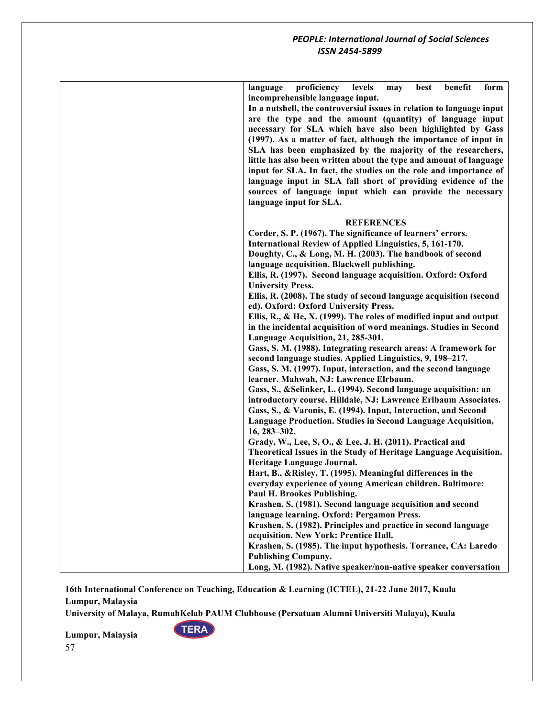| proficiency<br>benefit<br>language<br>levels<br>form<br>may<br>best<br>incomprehensible language input.                      |
|------------------------------------------------------------------------------------------------------------------------------|
| In a nutshell, the controversial issues in relation to language input                                                        |
| are the type and the amount (quantity) of language input                                                                     |
| necessary for SLA which have also been highlighted by Gass                                                                   |
| (1997). As a matter of fact, although the importance of input in                                                             |
| SLA has been emphasized by the majority of the researchers,                                                                  |
| little has also been written about the type and amount of language                                                           |
| input for SLA. In fact, the studies on the role and importance of                                                            |
| language input in SLA fall short of providing evidence of the                                                                |
| sources of language input which can provide the necessary                                                                    |
| language input for SLA.                                                                                                      |
| <b>REFERENCES</b>                                                                                                            |
| Corder, S. P. (1967). The significance of learners' errors.                                                                  |
| International Review of Applied Linguistics, 5, 161-170.                                                                     |
| Doughty, C., & Long, M. H. (2003). The handbook of second                                                                    |
| language acquisition. Blackwell publishing.                                                                                  |
| Ellis, R. (1997). Second language acquisition. Oxford: Oxford                                                                |
| <b>University Press.</b>                                                                                                     |
| Ellis, R. (2008). The study of second language acquisition (second                                                           |
| ed). Oxford: Oxford University Press.                                                                                        |
| Ellis, R., & He, X. (1999). The roles of modified input and output                                                           |
| in the incidental acquisition of word meanings. Studies in Second                                                            |
| Language Acquisition, 21, 285-301.                                                                                           |
| Gass, S. M. (1988). Integrating research areas: A framework for<br>second language studies. Applied Linguistics, 9, 198-217. |
| Gass, S. M. (1997). Input, interaction, and the second language                                                              |
| learner. Mahwah, NJ: Lawrence Elrbaum.                                                                                       |
| Gass, S., & Selinker, L. (1994). Second language acquisition: an                                                             |
| introductory course. Hilldale, NJ: Lawrence Erlbaum Associates.                                                              |
| Gass, S., & Varonis, E. (1994). Input, Interaction, and Second                                                               |
| Language Production. Studies in Second Language Acquisition,                                                                 |
| 16, 283-302.                                                                                                                 |
| Grady, W., Lee, S, O., & Lee, J. H. (2011). Practical and                                                                    |
| Theoretical Issues in the Study of Heritage Language Acquisition.                                                            |
| Heritage Language Journal.                                                                                                   |
| Hart, B., & Risley, T. (1995). Meaningful differences in the                                                                 |
| everyday experience of young American children. Baltimore:<br>Paul H. Brookes Publishing.                                    |
| Krashen, S. (1981). Second language acquisition and second                                                                   |
| language learning. Oxford: Pergamon Press.                                                                                   |
| Krashen, S. (1982). Principles and practice in second language                                                               |
| acquisition. New York: Prentice Hall.                                                                                        |
| Krashen, S. (1985). The input hypothesis. Torrance, CA: Laredo                                                               |
| <b>Publishing Company.</b>                                                                                                   |
| Long, M. (1982). Native speaker/non-native speaker conversation                                                              |

**University of Malaya, RumahKelab PAUM Clubhouse (Persatuan Alumni Universiti Malaya), Kuala** 

**TERA**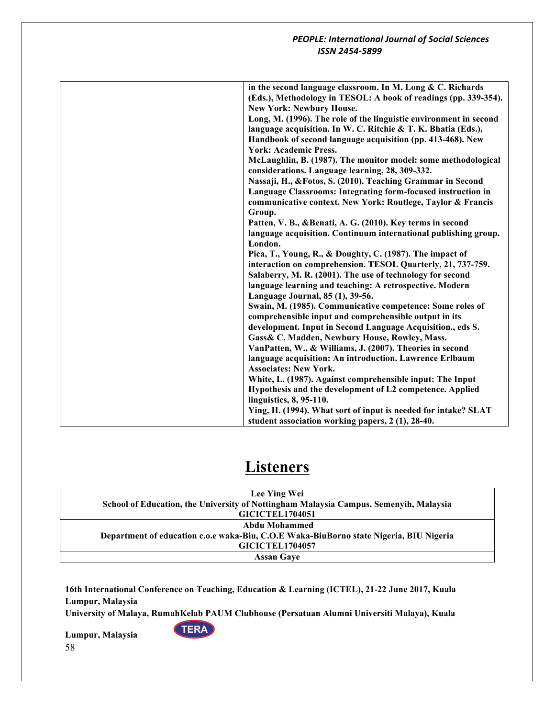| in the second language classroom. In M. Long & C. Richards        |
|-------------------------------------------------------------------|
| (Eds.), Methodology in TESOL: A book of readings (pp. 339-354).   |
| <b>New York: Newbury House.</b>                                   |
| Long, M. (1996). The role of the linguistic environment in second |
| language acquisition. In W. C. Ritchie & T. K. Bhatia (Eds.),     |
| Handbook of second language acquisition (pp. 413-468). New        |
| <b>York: Academic Press.</b>                                      |
| McLaughlin, B. (1987). The monitor model: some methodological     |
| considerations. Language learning, 28, 309-332.                   |
| Nassaji, H., & Fotos, S. (2010). Teaching Grammar in Second       |
| Language Classrooms: Integrating form-focused instruction in      |
| communicative context. New York: Routlege, Taylor & Francis       |
| Group.                                                            |
| Patten, V. B., & Benati, A. G. (2010). Key terms in second        |
| language acquisition. Continuum international publishing group.   |
| London.                                                           |
| Pica, T., Young, R., & Doughty, C. (1987). The impact of          |
| interaction on comprehension. TESOL Quarterly, 21, 737-759.       |
| Salaberry, M. R. (2001). The use of technology for second         |
| language learning and teaching: A retrospective. Modern           |
| Language Journal, 85 (1), 39-56.                                  |
| Swain, M. (1985). Communicative competence: Some roles of         |
| comprehensible input and comprehensible output in its             |
| development. Input in Second Language Acquisition., eds S.        |
| Gass& C. Madden, Newbury House, Rowley, Mass.                     |
| VanPatten, W., & Williams, J. (2007). Theories in second          |
| language acquisition: An introduction. Lawrence Erlbaum           |
| <b>Associates: New York.</b>                                      |
| White, L. (1987). Against comprehensible input: The Input         |
| Hypothesis and the development of L2 competence. Applied          |
| linguistics, 8, 95-110.                                           |
| Ying, H. (1994). What sort of input is needed for intake? SLAT    |
| student association working papers, 2 (1), 28-40.                 |

# **Listeners**

| Lee Ying Wei                                                                           |  |
|----------------------------------------------------------------------------------------|--|
| School of Education, the University of Nottingham Malaysia Campus, Semenyih, Malaysia  |  |
| <b>GICICTEL1704051</b>                                                                 |  |
| Abdu Mohammed                                                                          |  |
| Department of education c.o.e waka-Biu, C.O.E Waka-BiuBorno state Nigeria, BIU Nigeria |  |
| <b>GICICTEL1704057</b>                                                                 |  |
| <b>Assan Gave</b>                                                                      |  |

**16th International Conference on Teaching, Education & Learning (ICTEL), 21-22 June 2017, Kuala Lumpur, Malaysia**

**University of Malaya, RumahKelab PAUM Clubhouse (Persatuan Alumni Universiti Malaya), Kuala** 

**TERA**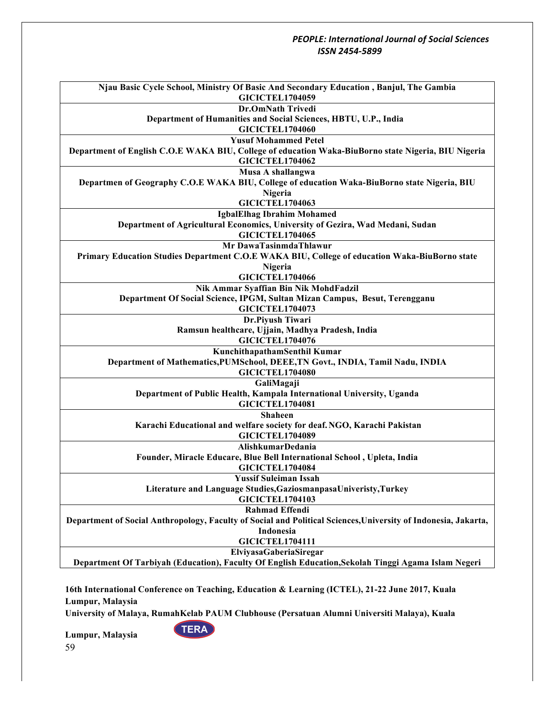| Njau Basic Cycle School, Ministry Of Basic And Secondary Education, Banjul, The Gambia<br><b>GICICTEL1704059</b> |  |  |
|------------------------------------------------------------------------------------------------------------------|--|--|
| <b>Dr.OmNath Trivedi</b>                                                                                         |  |  |
| Department of Humanities and Social Sciences, HBTU, U.P., India                                                  |  |  |
| <b>GICICTEL1704060</b>                                                                                           |  |  |
| <b>Yusuf Mohammed Petel</b>                                                                                      |  |  |
| Department of English C.O.E WAKA BIU, College of education Waka-BiuBorno state Nigeria, BIU Nigeria              |  |  |
| <b>GICICTEL1704062</b>                                                                                           |  |  |
| Musa A shallangwa                                                                                                |  |  |
| Departmen of Geography C.O.E WAKA BIU, College of education Waka-BiuBorno state Nigeria, BIU                     |  |  |
| Nigeria                                                                                                          |  |  |
| <b>GICICTEL1704063</b>                                                                                           |  |  |
| <b>IgbalElhag Ibrahim Mohamed</b>                                                                                |  |  |
| Department of Agricultural Economics, University of Gezira, Wad Medani, Sudan                                    |  |  |
| <b>GICICTEL1704065</b>                                                                                           |  |  |
| Mr DawaTasinmdaThlawur                                                                                           |  |  |
| Primary Education Studies Department C.O.E WAKA BIU, College of education Waka-BiuBorno state                    |  |  |
| Nigeria                                                                                                          |  |  |
| <b>GICICTEL1704066</b>                                                                                           |  |  |
| Nik Ammar Syaffian Bin Nik MohdFadzil                                                                            |  |  |
| Department Of Social Science, IPGM, Sultan Mizan Campus, Besut, Terengganu                                       |  |  |
| <b>GICICTEL1704073</b>                                                                                           |  |  |
| Dr.Piyush Tiwari                                                                                                 |  |  |
| Ramsun healthcare, Ujjain, Madhya Pradesh, India                                                                 |  |  |
| <b>GICICTEL1704076</b>                                                                                           |  |  |
| KunchithapathamSenthil Kumar                                                                                     |  |  |
| Department of Mathematics, PUMSchool, DEEE, TN Govt., INDIA, Tamil Nadu, INDIA                                   |  |  |
| <b>GICICTEL1704080</b>                                                                                           |  |  |
| GaliMagaji                                                                                                       |  |  |
| Department of Public Health, Kampala International University, Uganda                                            |  |  |
| <b>GICICTEL1704081</b>                                                                                           |  |  |
| <b>Shaheen</b>                                                                                                   |  |  |
| Karachi Educational and welfare society for deaf. NGO, Karachi Pakistan                                          |  |  |
| <b>GICICTEL1704089</b>                                                                                           |  |  |
| AlishkumarDedania                                                                                                |  |  |
| Founder, Miracle Educare, Blue Bell International School, Upleta, India                                          |  |  |
| <b>GICICTEL1704084</b>                                                                                           |  |  |
| <b>Yussif Suleiman Issah</b>                                                                                     |  |  |
| Literature and Language Studies, Gaziosmanpasa Univeristy, Turkey                                                |  |  |
| <b>GICICTEL1704103</b>                                                                                           |  |  |
| <b>Rahmad Effendi</b>                                                                                            |  |  |
| Department of Social Anthropology, Faculty of Social and Political Sciences, University of Indonesia, Jakarta,   |  |  |
| Indonesia                                                                                                        |  |  |
| <b>GICICTEL1704111</b>                                                                                           |  |  |
| ElviyasaGaberiaSiregar                                                                                           |  |  |
| Department Of Tarbiyah (Education), Faculty Of English Education, Sekolah Tinggi Agama Islam Negeri              |  |  |

**16th International Conference on Teaching, Education & Learning (ICTEL), 21-22 June 2017, Kuala Lumpur, Malaysia**

**University of Malaya, RumahKelab PAUM Clubhouse (Persatuan Alumni Universiti Malaya), Kuala** 

**TERA**